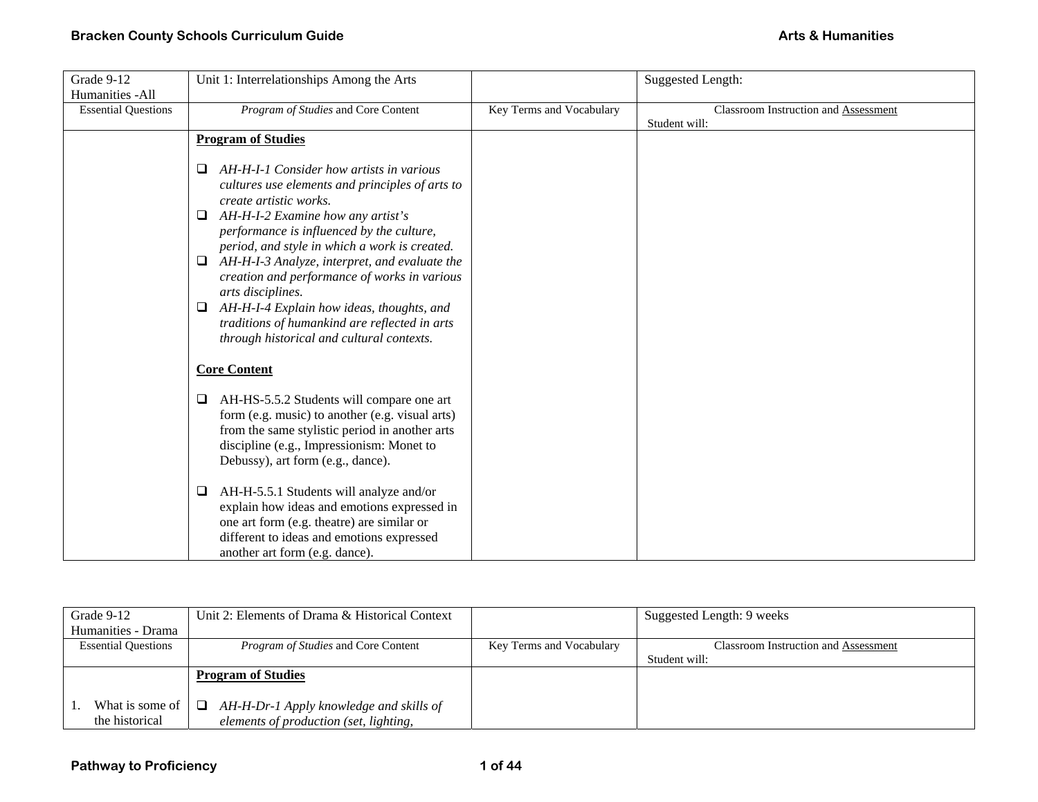| Grade 9-12                 | Unit 1: Interrelationships Among the Arts                                                                                                                                                                                                                                                                                                                                                                                                                                                                                                          |                          | <b>Suggested Length:</b>             |
|----------------------------|----------------------------------------------------------------------------------------------------------------------------------------------------------------------------------------------------------------------------------------------------------------------------------------------------------------------------------------------------------------------------------------------------------------------------------------------------------------------------------------------------------------------------------------------------|--------------------------|--------------------------------------|
| Humanities - All           |                                                                                                                                                                                                                                                                                                                                                                                                                                                                                                                                                    |                          |                                      |
| <b>Essential Questions</b> | Program of Studies and Core Content                                                                                                                                                                                                                                                                                                                                                                                                                                                                                                                | Key Terms and Vocabulary | Classroom Instruction and Assessment |
|                            |                                                                                                                                                                                                                                                                                                                                                                                                                                                                                                                                                    |                          | Student will:                        |
|                            | <b>Program of Studies</b>                                                                                                                                                                                                                                                                                                                                                                                                                                                                                                                          |                          |                                      |
|                            | AH-H-I-1 Consider how artists in various<br>❏<br>cultures use elements and principles of arts to<br>create artistic works.<br>AH-H-I-2 Examine how any artist's<br>❏<br>performance is influenced by the culture,<br>period, and style in which a work is created.<br>AH-H-I-3 Analyze, interpret, and evaluate the<br>□<br>creation and performance of works in various<br>arts disciplines.<br>AH-H-I-4 Explain how ideas, thoughts, and<br>$\Box$<br>traditions of humankind are reflected in arts<br>through historical and cultural contexts. |                          |                                      |
|                            | <b>Core Content</b>                                                                                                                                                                                                                                                                                                                                                                                                                                                                                                                                |                          |                                      |
|                            | AH-HS-5.5.2 Students will compare one art<br>$\Box$<br>form (e.g. music) to another (e.g. visual arts)<br>from the same stylistic period in another arts<br>discipline (e.g., Impressionism: Monet to<br>Debussy), art form (e.g., dance).                                                                                                                                                                                                                                                                                                         |                          |                                      |
|                            | AH-H-5.5.1 Students will analyze and/or<br>$\Box$<br>explain how ideas and emotions expressed in<br>one art form (e.g. theatre) are similar or<br>different to ideas and emotions expressed<br>another art form (e.g. dance).                                                                                                                                                                                                                                                                                                                      |                          |                                      |

| Grade 9-12                 | Unit 2: Elements of Drama & Historical Context |                          | Suggested Length: 9 weeks            |
|----------------------------|------------------------------------------------|--------------------------|--------------------------------------|
| Humanities - Drama         |                                                |                          |                                      |
| <b>Essential Questions</b> | Program of Studies and Core Content            | Key Terms and Vocabulary | Classroom Instruction and Assessment |
|                            |                                                |                          | Student will:                        |
|                            | <b>Program of Studies</b>                      |                          |                                      |
|                            |                                                |                          |                                      |
| What is some of            | AH-H-Dr-1 Apply knowledge and skills of<br>└   |                          |                                      |
| the historical             | elements of production (set, lighting,         |                          |                                      |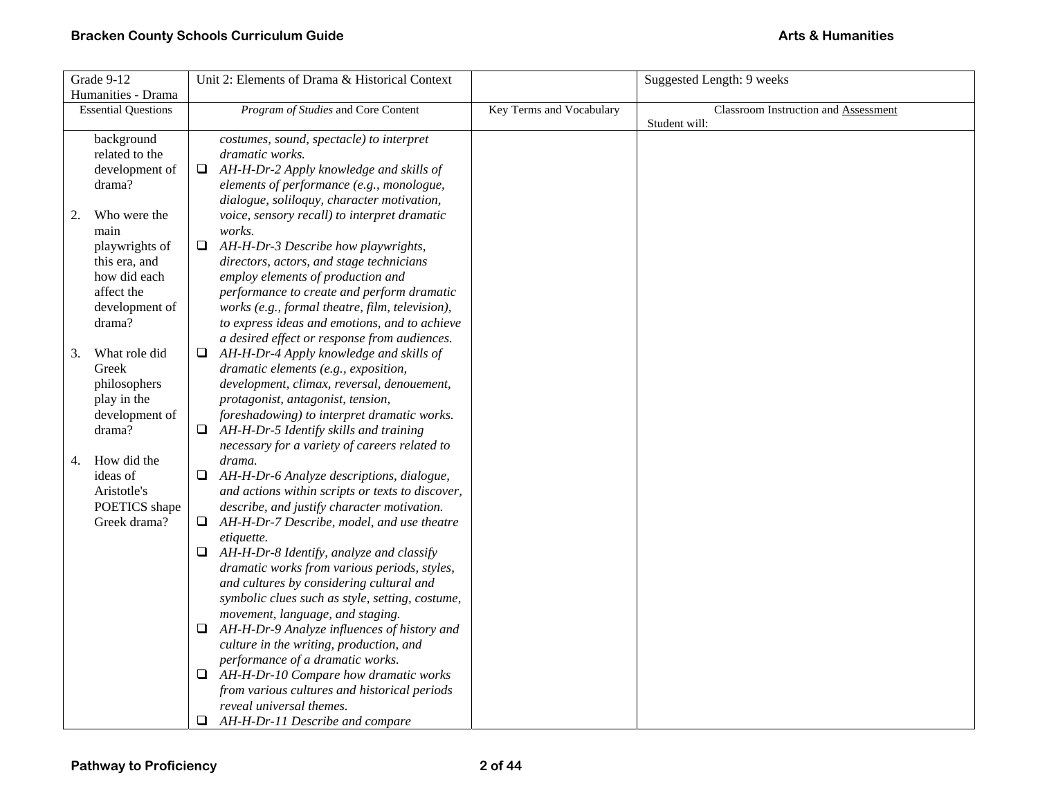| Grade 9-12 |                            |    | Unit 2: Elements of Drama & Historical Context                  |  | Suggested Length: 9 weeks                   |
|------------|----------------------------|----|-----------------------------------------------------------------|--|---------------------------------------------|
|            | Humanities - Drama         |    |                                                                 |  |                                             |
|            | <b>Essential Questions</b> |    | Program of Studies and Core Content<br>Key Terms and Vocabulary |  | <b>Classroom Instruction and Assessment</b> |
|            |                            |    |                                                                 |  | Student will:                               |
|            | background                 |    | costumes, sound, spectacle) to interpret                        |  |                                             |
|            | related to the             |    | dramatic works.                                                 |  |                                             |
|            | development of             |    | $\Box$ AH-H-Dr-2 Apply knowledge and skills of                  |  |                                             |
|            | drama?                     |    | elements of performance (e.g., monologue,                       |  |                                             |
|            |                            |    | dialogue, soliloquy, character motivation,                      |  |                                             |
| 2.         | Who were the               |    | voice, sensory recall) to interpret dramatic                    |  |                                             |
|            | main                       |    | works.                                                          |  |                                             |
|            | playwrights of             | ❏  | AH-H-Dr-3 Describe how playwrights,                             |  |                                             |
|            | this era, and              |    | directors, actors, and stage technicians                        |  |                                             |
|            | how did each               |    | employ elements of production and                               |  |                                             |
|            | affect the                 |    | performance to create and perform dramatic                      |  |                                             |
|            | development of             |    | works (e.g., formal theatre, film, television),                 |  |                                             |
|            | drama?                     |    | to express ideas and emotions, and to achieve                   |  |                                             |
|            |                            |    | a desired effect or response from audiences.                    |  |                                             |
| 3.         | What role did              | Q. | AH-H-Dr-4 Apply knowledge and skills of                         |  |                                             |
|            | Greek                      |    | dramatic elements (e.g., exposition,                            |  |                                             |
|            | philosophers               |    | development, climax, reversal, denouement,                      |  |                                             |
|            | play in the                |    | protagonist, antagonist, tension,                               |  |                                             |
|            | development of             |    | foreshadowing) to interpret dramatic works.                     |  |                                             |
|            | drama?                     | u  | AH-H-Dr-5 Identify skills and training                          |  |                                             |
|            |                            |    | necessary for a variety of careers related to                   |  |                                             |
| 4.         | How did the                |    | drama.                                                          |  |                                             |
|            | ideas of                   |    | $\Box$ AH-H-Dr-6 Analyze descriptions, dialogue,                |  |                                             |
|            | Aristotle's                |    | and actions within scripts or texts to discover,                |  |                                             |
|            | POETICS shape              |    | describe, and justify character motivation.                     |  |                                             |
|            | Greek drama?               |    | $\Box$ AH-H-Dr-7 Describe, model, and use theatre               |  |                                             |
|            |                            |    | etiquette.                                                      |  |                                             |
|            |                            | Q. | AH-H-Dr-8 Identify, analyze and classify                        |  |                                             |
|            |                            |    | dramatic works from various periods, styles,                    |  |                                             |
|            |                            |    | and cultures by considering cultural and                        |  |                                             |
|            |                            |    | symbolic clues such as style, setting, costume,                 |  |                                             |
|            |                            |    | movement, language, and staging.                                |  |                                             |
|            |                            | Q. | AH-H-Dr-9 Analyze influences of history and                     |  |                                             |
|            |                            |    | culture in the writing, production, and                         |  |                                             |
|            |                            |    | performance of a dramatic works.                                |  |                                             |
|            |                            | ⊔  | AH-H-Dr-10 Compare how dramatic works                           |  |                                             |
|            |                            |    | from various cultures and historical periods                    |  |                                             |
|            |                            |    | reveal universal themes.                                        |  |                                             |
|            |                            |    | $\Box$ AH-H-Dr-11 Describe and compare                          |  |                                             |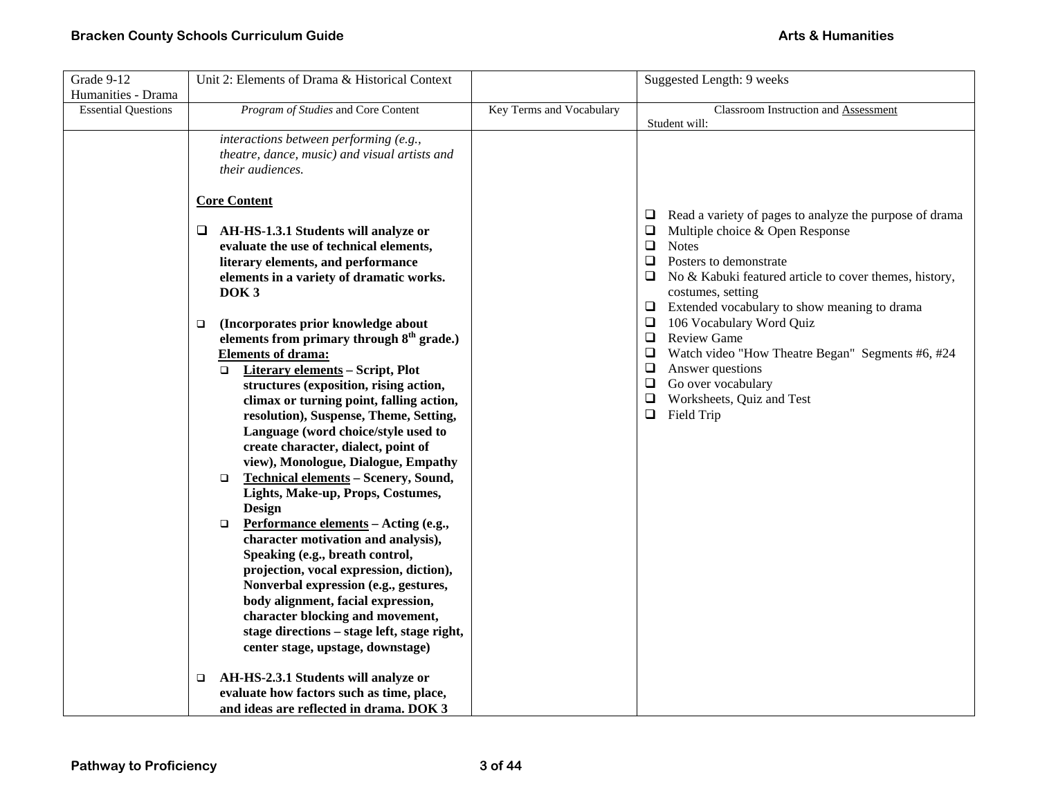| Grade 9-12                 | Unit 2: Elements of Drama & Historical Context                                                                                                                                                                                                                                                                                                                                                                                                                                                                                                                                                                                                                                                                                                                                                                                                                                                                                                                                                                         |                          | Suggested Length: 9 weeks                                                                                                                                                                                                                                                                                                                                                                                                                                                                                                         |  |
|----------------------------|------------------------------------------------------------------------------------------------------------------------------------------------------------------------------------------------------------------------------------------------------------------------------------------------------------------------------------------------------------------------------------------------------------------------------------------------------------------------------------------------------------------------------------------------------------------------------------------------------------------------------------------------------------------------------------------------------------------------------------------------------------------------------------------------------------------------------------------------------------------------------------------------------------------------------------------------------------------------------------------------------------------------|--------------------------|-----------------------------------------------------------------------------------------------------------------------------------------------------------------------------------------------------------------------------------------------------------------------------------------------------------------------------------------------------------------------------------------------------------------------------------------------------------------------------------------------------------------------------------|--|
| Humanities - Drama         |                                                                                                                                                                                                                                                                                                                                                                                                                                                                                                                                                                                                                                                                                                                                                                                                                                                                                                                                                                                                                        |                          |                                                                                                                                                                                                                                                                                                                                                                                                                                                                                                                                   |  |
| <b>Essential Questions</b> | Program of Studies and Core Content                                                                                                                                                                                                                                                                                                                                                                                                                                                                                                                                                                                                                                                                                                                                                                                                                                                                                                                                                                                    | Key Terms and Vocabulary | Classroom Instruction and Assessment<br>Student will:                                                                                                                                                                                                                                                                                                                                                                                                                                                                             |  |
|                            | interactions between performing (e.g.,<br>theatre, dance, music) and visual artists and<br>their audiences.                                                                                                                                                                                                                                                                                                                                                                                                                                                                                                                                                                                                                                                                                                                                                                                                                                                                                                            |                          |                                                                                                                                                                                                                                                                                                                                                                                                                                                                                                                                   |  |
|                            | <b>Core Content</b><br>$\Box$ AH-HS-1.3.1 Students will analyze or<br>evaluate the use of technical elements,<br>literary elements, and performance<br>elements in a variety of dramatic works.<br>DOK <sub>3</sub><br>(Incorporates prior knowledge about<br>□<br>elements from primary through 8 <sup>th</sup> grade.)<br><b>Elements of drama:</b><br>Literary elements - Script, Plot<br>$\Box$<br>structures (exposition, rising action,<br>climax or turning point, falling action,<br>resolution), Suspense, Theme, Setting,<br>Language (word choice/style used to<br>create character, dialect, point of<br>view), Monologue, Dialogue, Empathy<br>Technical elements - Scenery, Sound,<br>$\Box$<br>Lights, Make-up, Props, Costumes,<br><b>Design</b><br>Performance elements - Acting (e.g.,<br>$\Box$<br>character motivation and analysis),<br>Speaking (e.g., breath control,<br>projection, vocal expression, diction),<br>Nonverbal expression (e.g., gestures,<br>body alignment, facial expression, |                          | $\Box$ Read a variety of pages to analyze the purpose of drama<br>$\Box$ Multiple choice & Open Response<br>$\Box$ Notes<br>Posters to demonstrate<br>$\Box$<br>$\Box$ No & Kabuki featured article to cover themes, history,<br>costumes, setting<br>$\Box$ Extended vocabulary to show meaning to drama<br>106 Vocabulary Word Quiz<br>□<br>Review Game<br>$\Box$<br>Watch video "How Theatre Began" Segments #6, #24<br>$\Box$ Answer questions<br>$\Box$ Go over vocabulary<br>Worksheets, Quiz and Test<br>$\Box$ Field Trip |  |
|                            | character blocking and movement,<br>stage directions - stage left, stage right,<br>center stage, upstage, downstage)                                                                                                                                                                                                                                                                                                                                                                                                                                                                                                                                                                                                                                                                                                                                                                                                                                                                                                   |                          |                                                                                                                                                                                                                                                                                                                                                                                                                                                                                                                                   |  |
|                            | AH-HS-2.3.1 Students will analyze or<br>$\Box$<br>evaluate how factors such as time, place,<br>and ideas are reflected in drama. DOK 3                                                                                                                                                                                                                                                                                                                                                                                                                                                                                                                                                                                                                                                                                                                                                                                                                                                                                 |                          |                                                                                                                                                                                                                                                                                                                                                                                                                                                                                                                                   |  |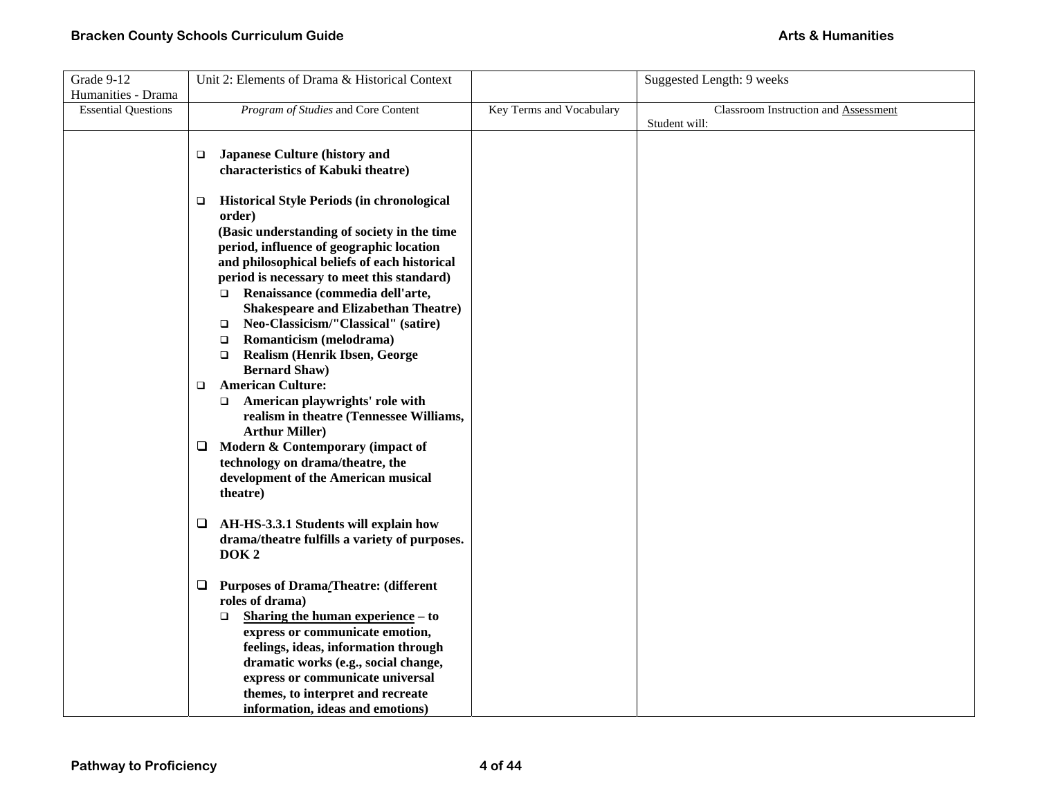| Grade 9-12                 | Unit 2: Elements of Drama & Historical Context                                   |                          | Suggested Length: 9 weeks                   |
|----------------------------|----------------------------------------------------------------------------------|--------------------------|---------------------------------------------|
| Humanities - Drama         |                                                                                  |                          |                                             |
| <b>Essential Questions</b> | Program of Studies and Core Content                                              | Key Terms and Vocabulary | <b>Classroom Instruction and Assessment</b> |
|                            |                                                                                  |                          | Student will:                               |
|                            |                                                                                  |                          |                                             |
|                            | <b>Japanese Culture (history and</b><br>□                                        |                          |                                             |
|                            | characteristics of Kabuki theatre)                                               |                          |                                             |
|                            |                                                                                  |                          |                                             |
|                            | <b>Historical Style Periods (in chronological</b><br>$\Box$                      |                          |                                             |
|                            | order)                                                                           |                          |                                             |
|                            | (Basic understanding of society in the time                                      |                          |                                             |
|                            | period, influence of geographic location                                         |                          |                                             |
|                            | and philosophical beliefs of each historical                                     |                          |                                             |
|                            | period is necessary to meet this standard)<br>□ Renaissance (commedia dell'arte, |                          |                                             |
|                            | <b>Shakespeare and Elizabethan Theatre)</b>                                      |                          |                                             |
|                            | Neo-Classicism/"Classical" (satire)<br>$\Box$                                    |                          |                                             |
|                            | Romanticism (melodrama)<br>$\Box$                                                |                          |                                             |
|                            | <b>Realism (Henrik Ibsen, George</b><br>$\Box$                                   |                          |                                             |
|                            | <b>Bernard Shaw)</b>                                                             |                          |                                             |
|                            | <b>American Culture:</b><br>$\Box$                                               |                          |                                             |
|                            | American playwrights' role with<br>$\Box$                                        |                          |                                             |
|                            | realism in theatre (Tennessee Williams,                                          |                          |                                             |
|                            | <b>Arthur Miller)</b>                                                            |                          |                                             |
|                            | Modern & Contemporary (impact of<br>⊔                                            |                          |                                             |
|                            | technology on drama/theatre, the                                                 |                          |                                             |
|                            | development of the American musical                                              |                          |                                             |
|                            | theatre)                                                                         |                          |                                             |
|                            |                                                                                  |                          |                                             |
|                            | AH-HS-3.3.1 Students will explain how<br>⊔                                       |                          |                                             |
|                            | drama/theatre fulfills a variety of purposes.                                    |                          |                                             |
|                            | DOK <sub>2</sub>                                                                 |                          |                                             |
|                            | <b>Purposes of Drama/Theatre: (different</b><br>Q                                |                          |                                             |
|                            | roles of drama)                                                                  |                          |                                             |
|                            | Sharing the human experience – to<br>$\Box$                                      |                          |                                             |
|                            | express or communicate emotion,                                                  |                          |                                             |
|                            | feelings, ideas, information through                                             |                          |                                             |
|                            | dramatic works (e.g., social change,                                             |                          |                                             |
|                            | express or communicate universal                                                 |                          |                                             |
|                            | themes, to interpret and recreate                                                |                          |                                             |
|                            | information, ideas and emotions)                                                 |                          |                                             |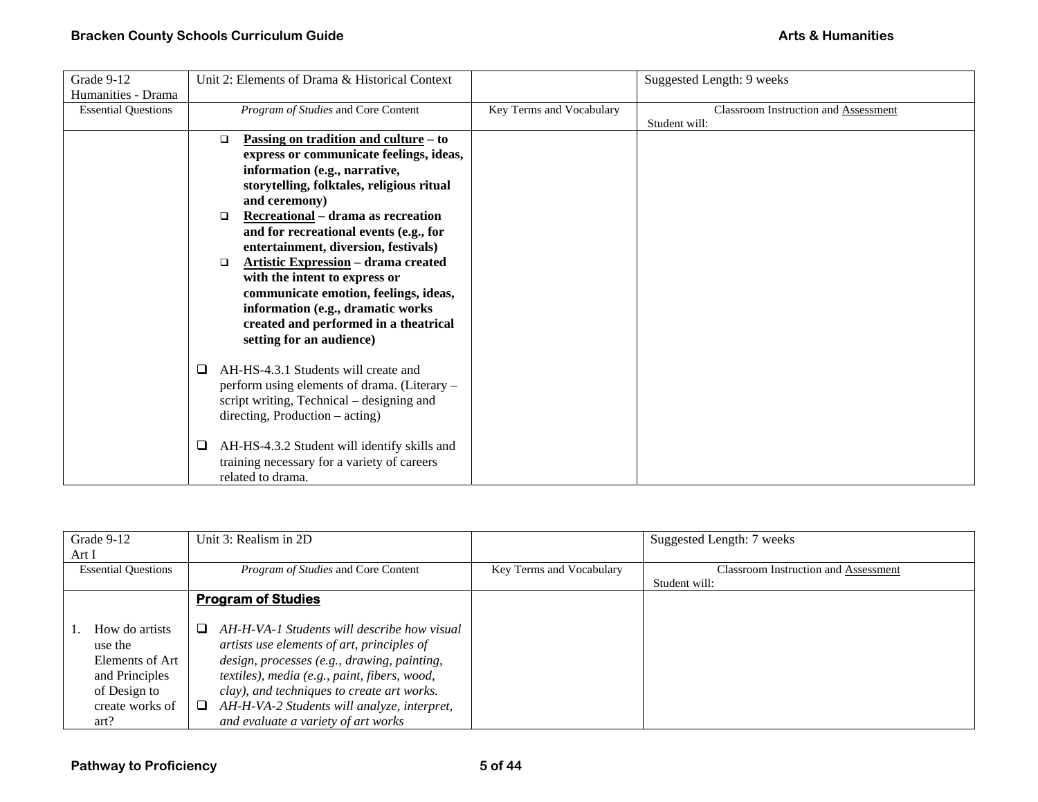| Grade 9-12                 | Unit 2: Elements of Drama & Historical Context         |                          | Suggested Length: 9 weeks                   |
|----------------------------|--------------------------------------------------------|--------------------------|---------------------------------------------|
| Humanities - Drama         |                                                        |                          |                                             |
| <b>Essential Questions</b> | Program of Studies and Core Content                    | Key Terms and Vocabulary | <b>Classroom Instruction and Assessment</b> |
|                            |                                                        |                          | Student will:                               |
|                            | <u>Passing on tradition and culture</u> – to<br>$\Box$ |                          |                                             |
|                            | express or communicate feelings, ideas,                |                          |                                             |
|                            | information (e.g., narrative,                          |                          |                                             |
|                            | storytelling, folktales, religious ritual              |                          |                                             |
|                            | and ceremony)                                          |                          |                                             |
|                            | Recreational - drama as recreation<br>$\Box$           |                          |                                             |
|                            | and for recreational events (e.g., for                 |                          |                                             |
|                            | entertainment, diversion, festivals)                   |                          |                                             |
|                            | <b>Artistic Expression - drama created</b><br>$\Box$   |                          |                                             |
|                            | with the intent to express or                          |                          |                                             |
|                            | communicate emotion, feelings, ideas,                  |                          |                                             |
|                            | information (e.g., dramatic works                      |                          |                                             |
|                            | created and performed in a theatrical                  |                          |                                             |
|                            | setting for an audience)                               |                          |                                             |
|                            |                                                        |                          |                                             |
|                            | AH-HS-4.3.1 Students will create and<br>□              |                          |                                             |
|                            | perform using elements of drama. (Literary –           |                          |                                             |
|                            | script writing, Technical – designing and              |                          |                                             |
|                            | $direction, Production - acting)$                      |                          |                                             |
|                            |                                                        |                          |                                             |
|                            | AH-HS-4.3.2 Student will identify skills and           |                          |                                             |
|                            | training necessary for a variety of careers            |                          |                                             |
|                            | related to drama.                                      |                          |                                             |

| Grade 9-12<br>Unit 3: Realism in 2D |                                                  |                          | Suggested Length: 7 weeks            |  |
|-------------------------------------|--------------------------------------------------|--------------------------|--------------------------------------|--|
| Art I                               |                                                  |                          |                                      |  |
| <b>Essential Questions</b>          | <i>Program of Studies</i> and Core Content       | Key Terms and Vocabulary | Classroom Instruction and Assessment |  |
|                                     |                                                  |                          | Student will:                        |  |
|                                     | <b>Program of Studies</b>                        |                          |                                      |  |
|                                     |                                                  |                          |                                      |  |
| How do artists                      | AH-H-VA-1 Students will describe how visual<br>ப |                          |                                      |  |
| use the                             | artists use elements of art, principles of       |                          |                                      |  |
| Elements of Art                     | design, processes (e.g., drawing, painting,      |                          |                                      |  |
| and Principles                      | textiles), media (e.g., paint, fibers, wood,     |                          |                                      |  |
| of Design to                        | clay), and techniques to create art works.       |                          |                                      |  |
| create works of                     | AH-H-VA-2 Students will analyze, interpret,<br>⊔ |                          |                                      |  |
| art?                                | and evaluate a variety of art works              |                          |                                      |  |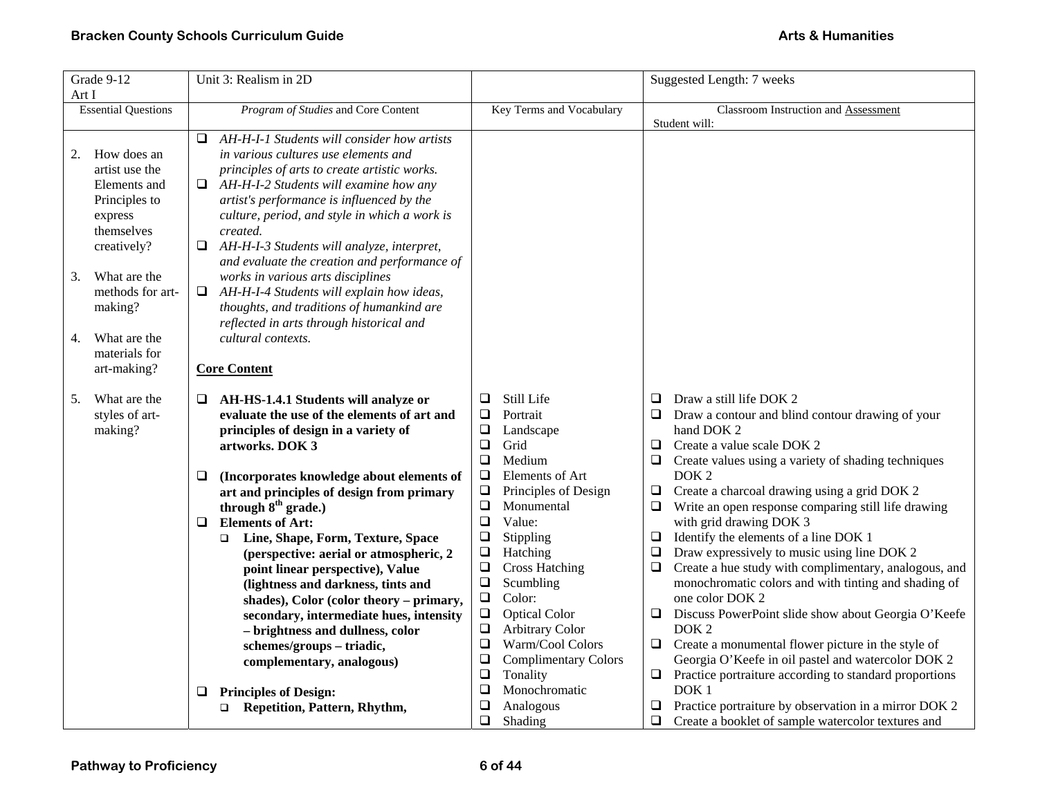| Grade 9-12                                                                                                                                                                                               | Unit 3: Realism in 2D                                                                                                                                                                                                                                                                                                                                                                                                                                                                                                                                                                                                                                                            | Suggested Length: 7 weeks                                                                                                                                                                                                                                                                                                                                                                                                                                                             |                                                                                                                                                                                                                                                                                                                                                                                                                                                                                                                                                                                                                                                                                                                                                                                                                                                                                                                  |  |
|----------------------------------------------------------------------------------------------------------------------------------------------------------------------------------------------------------|----------------------------------------------------------------------------------------------------------------------------------------------------------------------------------------------------------------------------------------------------------------------------------------------------------------------------------------------------------------------------------------------------------------------------------------------------------------------------------------------------------------------------------------------------------------------------------------------------------------------------------------------------------------------------------|---------------------------------------------------------------------------------------------------------------------------------------------------------------------------------------------------------------------------------------------------------------------------------------------------------------------------------------------------------------------------------------------------------------------------------------------------------------------------------------|------------------------------------------------------------------------------------------------------------------------------------------------------------------------------------------------------------------------------------------------------------------------------------------------------------------------------------------------------------------------------------------------------------------------------------------------------------------------------------------------------------------------------------------------------------------------------------------------------------------------------------------------------------------------------------------------------------------------------------------------------------------------------------------------------------------------------------------------------------------------------------------------------------------|--|
| Art I                                                                                                                                                                                                    |                                                                                                                                                                                                                                                                                                                                                                                                                                                                                                                                                                                                                                                                                  |                                                                                                                                                                                                                                                                                                                                                                                                                                                                                       |                                                                                                                                                                                                                                                                                                                                                                                                                                                                                                                                                                                                                                                                                                                                                                                                                                                                                                                  |  |
| <b>Essential Questions</b>                                                                                                                                                                               | Program of Studies and Core Content                                                                                                                                                                                                                                                                                                                                                                                                                                                                                                                                                                                                                                              | Key Terms and Vocabulary                                                                                                                                                                                                                                                                                                                                                                                                                                                              | Classroom Instruction and Assessment<br>Student will:                                                                                                                                                                                                                                                                                                                                                                                                                                                                                                                                                                                                                                                                                                                                                                                                                                                            |  |
| How does an<br>2.<br>artist use the<br>Elements and<br>Principles to<br>express<br>themselves<br>creatively?<br>What are the<br>3.<br>methods for art-<br>making?<br>What are the<br>4.<br>materials for | AH-H-I-1 Students will consider how artists<br>❏<br>in various cultures use elements and<br>principles of arts to create artistic works.<br>$\Box$ AH-H-I-2 Students will examine how any<br>artist's performance is influenced by the<br>culture, period, and style in which a work is<br>created.<br>AH-H-I-3 Students will analyze, interpret,<br>⊔<br>and evaluate the creation and performance of<br>works in various arts disciplines<br>AH-H-I-4 Students will explain how ideas,<br>❏<br>thoughts, and traditions of humankind are<br>reflected in arts through historical and<br>cultural contexts.                                                                     |                                                                                                                                                                                                                                                                                                                                                                                                                                                                                       |                                                                                                                                                                                                                                                                                                                                                                                                                                                                                                                                                                                                                                                                                                                                                                                                                                                                                                                  |  |
| art-making?                                                                                                                                                                                              | <b>Core Content</b>                                                                                                                                                                                                                                                                                                                                                                                                                                                                                                                                                                                                                                                              |                                                                                                                                                                                                                                                                                                                                                                                                                                                                                       |                                                                                                                                                                                                                                                                                                                                                                                                                                                                                                                                                                                                                                                                                                                                                                                                                                                                                                                  |  |
| What are the<br>5.<br>styles of art-<br>making?                                                                                                                                                          | AH-HS-1.4.1 Students will analyze or<br>Q.<br>evaluate the use of the elements of art and<br>principles of design in a variety of<br>artworks. DOK 3<br>(Incorporates knowledge about elements of<br>❏<br>art and principles of design from primary<br>through 8 <sup>th</sup> grade.)<br><b>Elements of Art:</b><br>$\Box$<br>Line, Shape, Form, Texture, Space<br>$\Box$<br>(perspective: aerial or atmospheric, 2<br>point linear perspective), Value<br>(lightness and darkness, tints and<br>shades), Color (color theory – primary,<br>secondary, intermediate hues, intensity<br>- brightness and dullness, color<br>schemes/groups-triadic,<br>complementary, analogous) | Still Life<br>❏<br>Portrait<br>⊔<br>❏<br>Landscape<br>$\Box$<br>Grid<br>$\Box$<br>Medium<br>$\Box$<br>Elements of Art<br>$\Box$<br>Principles of Design<br>$\Box$<br>Monumental<br>$\Box$<br>Value:<br>$\Box$<br>Stippling<br>$\Box$<br>Hatching<br>$\Box$<br><b>Cross Hatching</b><br>Scumbling<br>$\Box$<br>$\Box$<br>Color:<br>$\Box$<br><b>Optical Color</b><br>$\Box$<br>Arbitrary Color<br>Warm/Cool Colors<br>$\Box$<br><b>Complimentary Colors</b><br>$\Box$<br>❏<br>Tonality | ❏<br>Draw a still life DOK 2<br>Draw a contour and blind contour drawing of your<br>⊔<br>hand DOK 2<br>$\Box$<br>Create a value scale DOK 2<br>❏<br>Create values using a variety of shading techniques<br>DOK <sub>2</sub><br>Create a charcoal drawing using a grid DOK 2<br>$\Box$<br>Write an open response comparing still life drawing<br>$\Box$<br>with grid drawing DOK 3<br>Identify the elements of a line DOK 1<br>$\Box$<br>$\Box$<br>Draw expressively to music using line DOK 2<br>Create a hue study with complimentary, analogous, and<br>$\Box$<br>monochromatic colors and with tinting and shading of<br>one color DOK 2<br>Discuss PowerPoint slide show about Georgia O'Keefe<br>❏<br>DOK <sub>2</sub><br>Create a monumental flower picture in the style of<br>❏<br>Georgia O'Keefe in oil pastel and watercolor DOK 2<br>Practice portraiture according to standard proportions<br>$\Box$ |  |
|                                                                                                                                                                                                          | <b>Principles of Design:</b><br>⊔<br>Repetition, Pattern, Rhythm,<br>$\Box$                                                                                                                                                                                                                                                                                                                                                                                                                                                                                                                                                                                                      | $\Box$<br>Monochromatic<br>❏<br>Analogous<br>$\Box$<br>Shading                                                                                                                                                                                                                                                                                                                                                                                                                        | DOK <sub>1</sub><br>Practice portraiture by observation in a mirror DOK 2<br>❏<br>$\Box$<br>Create a booklet of sample watercolor textures and                                                                                                                                                                                                                                                                                                                                                                                                                                                                                                                                                                                                                                                                                                                                                                   |  |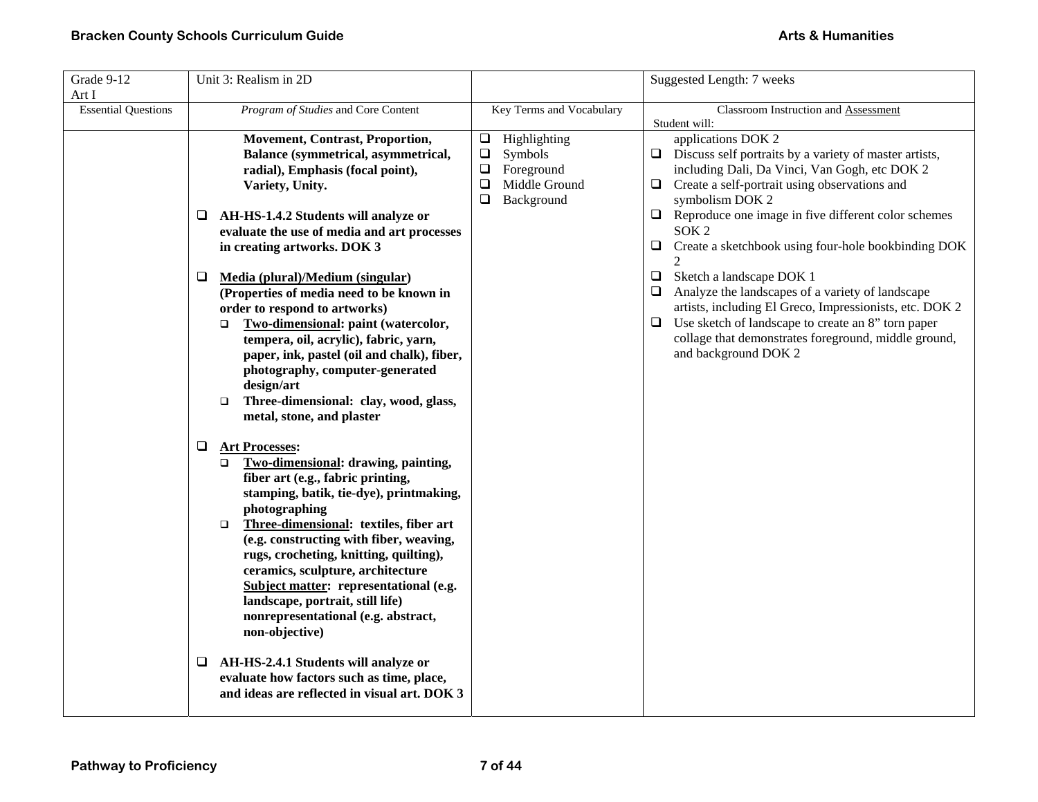| Art I<br><b>Essential Questions</b><br>Program of Studies and Core Content<br>Key Terms and Vocabulary<br>Student will:                                                                                                                                                                                                                                                                                                                                                                                                                                                                                                                                                                                                                                                                                                                                                                                                                                                                                                                                                                                                                                                                                                                                                                                                                                                                                                                                                                      | Classroom Instruction and Assessment                                                                                                                                                                                                                                                                                                                                                                                                                                                                                                                                                                                        |
|----------------------------------------------------------------------------------------------------------------------------------------------------------------------------------------------------------------------------------------------------------------------------------------------------------------------------------------------------------------------------------------------------------------------------------------------------------------------------------------------------------------------------------------------------------------------------------------------------------------------------------------------------------------------------------------------------------------------------------------------------------------------------------------------------------------------------------------------------------------------------------------------------------------------------------------------------------------------------------------------------------------------------------------------------------------------------------------------------------------------------------------------------------------------------------------------------------------------------------------------------------------------------------------------------------------------------------------------------------------------------------------------------------------------------------------------------------------------------------------------|-----------------------------------------------------------------------------------------------------------------------------------------------------------------------------------------------------------------------------------------------------------------------------------------------------------------------------------------------------------------------------------------------------------------------------------------------------------------------------------------------------------------------------------------------------------------------------------------------------------------------------|
|                                                                                                                                                                                                                                                                                                                                                                                                                                                                                                                                                                                                                                                                                                                                                                                                                                                                                                                                                                                                                                                                                                                                                                                                                                                                                                                                                                                                                                                                                              |                                                                                                                                                                                                                                                                                                                                                                                                                                                                                                                                                                                                                             |
| <b>Movement, Contrast, Proportion,</b><br>Highlighting<br>⊔<br>Symbols<br>Balance (symmetrical, asymmetrical,<br>$\Box$<br>Foreground<br>radial), Emphasis (focal point),<br>$\Box$<br>$\Box$<br>Middle Ground<br>$\Box$<br>Variety, Unity.<br>$\Box$<br>Background<br>AH-HS-1.4.2 Students will analyze or<br>❏<br>⊔<br>evaluate the use of media and art processes<br>❏<br>in creating artworks. DOK 3<br>$\mathfrak{D}$<br>$\Box$<br>Media (plural)/Medium (singular)<br>⊔<br>(Properties of media need to be known in<br>❏<br>order to respond to artworks)<br>$\Box$<br>Two-dimensional: paint (watercolor,<br>□<br>tempera, oil, acrylic), fabric, yarn,<br>paper, ink, pastel (oil and chalk), fiber,<br>photography, computer-generated<br>design/art<br>Three-dimensional: clay, wood, glass,<br>$\Box$<br>metal, stone, and plaster<br>Q<br><b>Art Processes:</b><br>Two-dimensional: drawing, painting,<br>$\Box$<br>fiber art (e.g., fabric printing,<br>stamping, batik, tie-dye), printmaking,<br>photographing<br>Three-dimensional: textiles, fiber art<br>$\Box$<br>(e.g. constructing with fiber, weaving,<br>rugs, crocheting, knitting, quilting),<br>ceramics, sculpture, architecture<br>Subject matter: representational (e.g.<br>landscape, portrait, still life)<br>nonrepresentational (e.g. abstract,<br>non-objective)<br>AH-HS-2.4.1 Students will analyze or<br>⊔<br>evaluate how factors such as time, place,<br>and ideas are reflected in visual art. DOK 3 | applications DOK 2<br>$\Box$ Discuss self portraits by a variety of master artists,<br>including Dali, Da Vinci, Van Gogh, etc DOK 2<br>Create a self-portrait using observations and<br>symbolism DOK 2<br>Reproduce one image in five different color schemes<br>SOK <sub>2</sub><br>Create a sketchbook using four-hole bookbinding DOK<br>Sketch a landscape DOK 1<br>Analyze the landscapes of a variety of landscape<br>artists, including El Greco, Impressionists, etc. DOK 2<br>Use sketch of landscape to create an 8" torn paper<br>collage that demonstrates foreground, middle ground,<br>and background DOK 2 |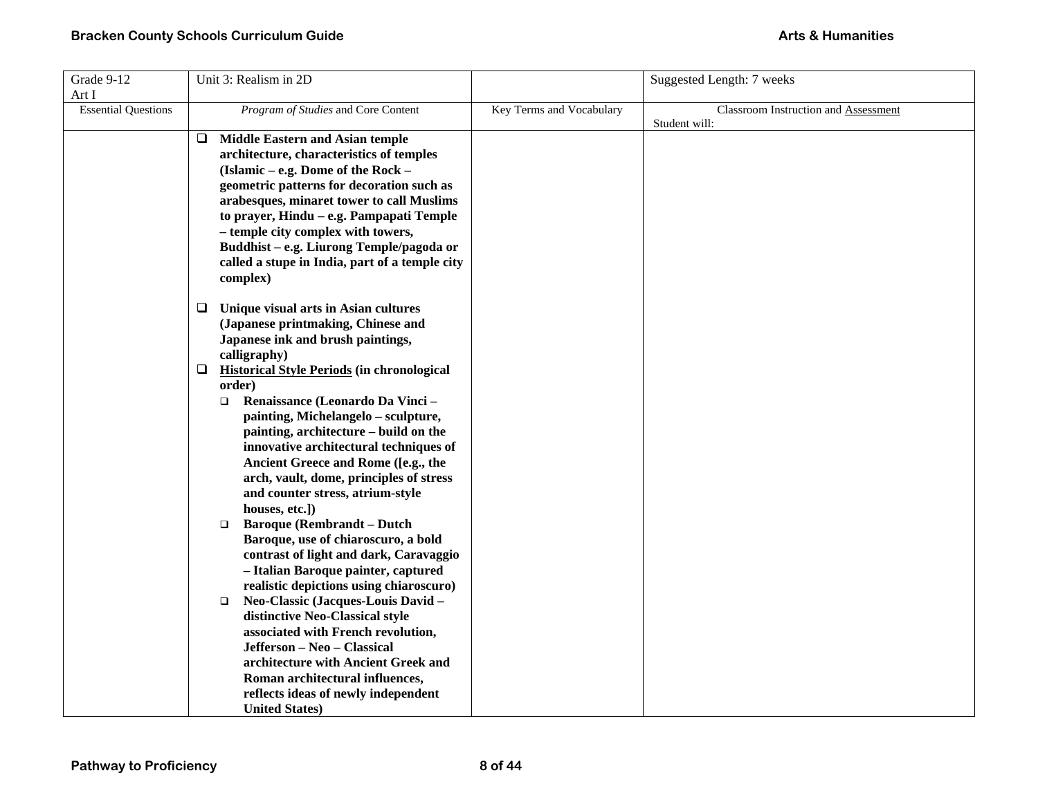| Grade 9-12                 | Unit 3: Realism in 2D                                  |                          | Suggested Length: 7 weeks            |
|----------------------------|--------------------------------------------------------|--------------------------|--------------------------------------|
| Art I                      |                                                        |                          |                                      |
| <b>Essential Questions</b> | Program of Studies and Core Content                    | Key Terms and Vocabulary | Classroom Instruction and Assessment |
|                            |                                                        |                          | Student will:                        |
|                            | <b>Middle Eastern and Asian temple</b><br>❏            |                          |                                      |
|                            | architecture, characteristics of temples               |                          |                                      |
|                            | (Islamic – e.g. Dome of the Rock –                     |                          |                                      |
|                            | geometric patterns for decoration such as              |                          |                                      |
|                            | arabesques, minaret tower to call Muslims              |                          |                                      |
|                            | to prayer, Hindu - e.g. Pampapati Temple               |                          |                                      |
|                            | - temple city complex with towers,                     |                          |                                      |
|                            | Buddhist - e.g. Liurong Temple/pagoda or               |                          |                                      |
|                            | called a stupe in India, part of a temple city         |                          |                                      |
|                            | complex)                                               |                          |                                      |
|                            |                                                        |                          |                                      |
|                            | Unique visual arts in Asian cultures<br>Q.             |                          |                                      |
|                            | (Japanese printmaking, Chinese and                     |                          |                                      |
|                            | Japanese ink and brush paintings,                      |                          |                                      |
|                            | calligraphy)                                           |                          |                                      |
|                            | <b>Historical Style Periods (in chronological</b><br>⊔ |                          |                                      |
|                            | order)                                                 |                          |                                      |
|                            | Renaissance (Leonardo Da Vinci -<br>$\Box$             |                          |                                      |
|                            | painting, Michelangelo - sculpture,                    |                          |                                      |
|                            | painting, architecture - build on the                  |                          |                                      |
|                            | innovative architectural techniques of                 |                          |                                      |
|                            | Ancient Greece and Rome ([e.g., the                    |                          |                                      |
|                            | arch, vault, dome, principles of stress                |                          |                                      |
|                            | and counter stress, atrium-style                       |                          |                                      |
|                            | houses, etc.])                                         |                          |                                      |
|                            | <b>Baroque (Rembrandt – Dutch</b><br>$\Box$            |                          |                                      |
|                            | Baroque, use of chiaroscuro, a bold                    |                          |                                      |
|                            | contrast of light and dark, Caravaggio                 |                          |                                      |
|                            | - Italian Baroque painter, captured                    |                          |                                      |
|                            | realistic depictions using chiaroscuro)                |                          |                                      |
|                            | Neo-Classic (Jacques-Louis David -<br>$\Box$           |                          |                                      |
|                            | distinctive Neo-Classical style                        |                          |                                      |
|                            | associated with French revolution,                     |                          |                                      |
|                            | Jefferson - Neo - Classical                            |                          |                                      |
|                            | architecture with Ancient Greek and                    |                          |                                      |
|                            | Roman architectural influences,                        |                          |                                      |
|                            | reflects ideas of newly independent                    |                          |                                      |
|                            | <b>United States)</b>                                  |                          |                                      |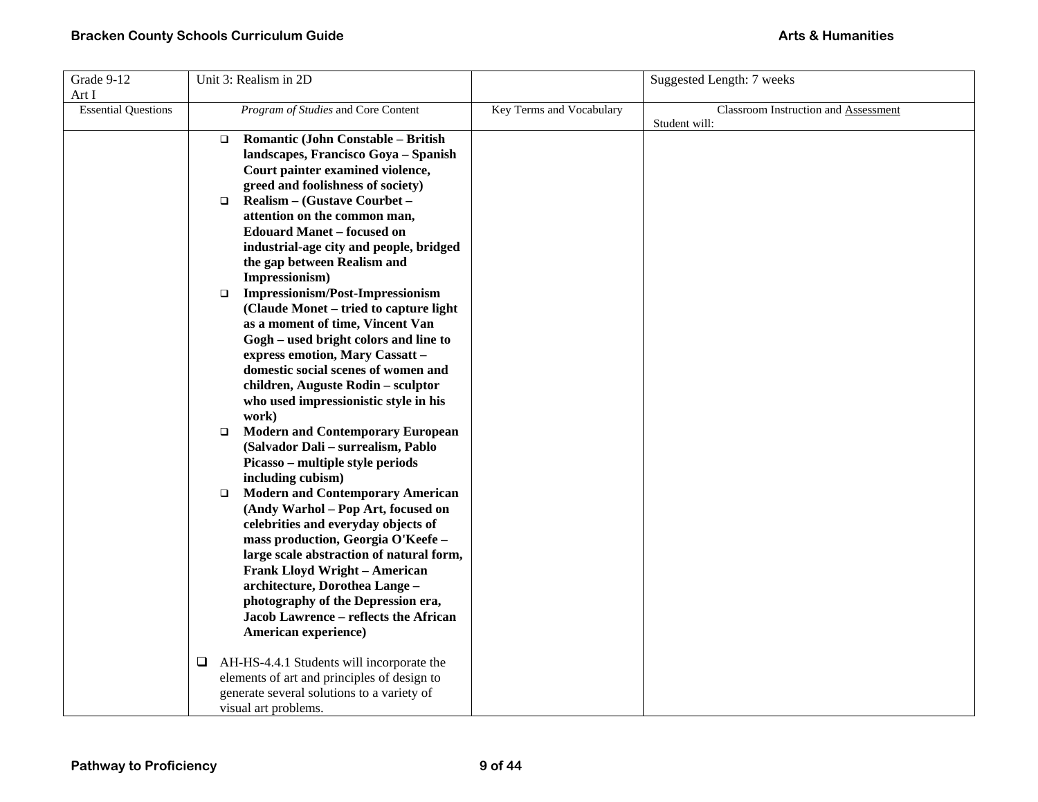| Grade 9-12                 |        | Unit 3: Realism in 2D                       |                          | Suggested Length: 7 weeks            |
|----------------------------|--------|---------------------------------------------|--------------------------|--------------------------------------|
| Art I                      |        |                                             |                          |                                      |
| <b>Essential Questions</b> |        | Program of Studies and Core Content         | Key Terms and Vocabulary | Classroom Instruction and Assessment |
|                            |        |                                             |                          | Student will:                        |
|                            | $\Box$ | Romantic (John Constable - British          |                          |                                      |
|                            |        | landscapes, Francisco Goya - Spanish        |                          |                                      |
|                            |        | Court painter examined violence,            |                          |                                      |
|                            |        | greed and foolishness of society)           |                          |                                      |
|                            | $\Box$ | Realism - (Gustave Courbet -                |                          |                                      |
|                            |        | attention on the common man,                |                          |                                      |
|                            |        | <b>Edouard Manet - focused on</b>           |                          |                                      |
|                            |        | industrial-age city and people, bridged     |                          |                                      |
|                            |        | the gap between Realism and                 |                          |                                      |
|                            |        | Impressionism)                              |                          |                                      |
|                            | $\Box$ | <b>Impressionism/Post-Impressionism</b>     |                          |                                      |
|                            |        | (Claude Monet – tried to capture light      |                          |                                      |
|                            |        | as a moment of time, Vincent Van            |                          |                                      |
|                            |        | Gogh - used bright colors and line to       |                          |                                      |
|                            |        | express emotion, Mary Cassatt -             |                          |                                      |
|                            |        | domestic social scenes of women and         |                          |                                      |
|                            |        | children, Auguste Rodin - sculptor          |                          |                                      |
|                            |        | who used impressionistic style in his       |                          |                                      |
|                            |        | work)                                       |                          |                                      |
|                            | $\Box$ | <b>Modern and Contemporary European</b>     |                          |                                      |
|                            |        | (Salvador Dali - surrealism, Pablo          |                          |                                      |
|                            |        | Picasso – multiple style periods            |                          |                                      |
|                            |        | including cubism)                           |                          |                                      |
|                            | $\Box$ | <b>Modern and Contemporary American</b>     |                          |                                      |
|                            |        | (Andy Warhol – Pop Art, focused on          |                          |                                      |
|                            |        | celebrities and everyday objects of         |                          |                                      |
|                            |        | mass production, Georgia O'Keefe -          |                          |                                      |
|                            |        | large scale abstraction of natural form,    |                          |                                      |
|                            |        | <b>Frank Lloyd Wright - American</b>        |                          |                                      |
|                            |        | architecture, Dorothea Lange -              |                          |                                      |
|                            |        | photography of the Depression era,          |                          |                                      |
|                            |        | Jacob Lawrence - reflects the African       |                          |                                      |
|                            |        | American experience)                        |                          |                                      |
|                            |        |                                             |                          |                                      |
|                            | Q.     | AH-HS-4.4.1 Students will incorporate the   |                          |                                      |
|                            |        | elements of art and principles of design to |                          |                                      |
|                            |        | generate several solutions to a variety of  |                          |                                      |
|                            |        | visual art problems.                        |                          |                                      |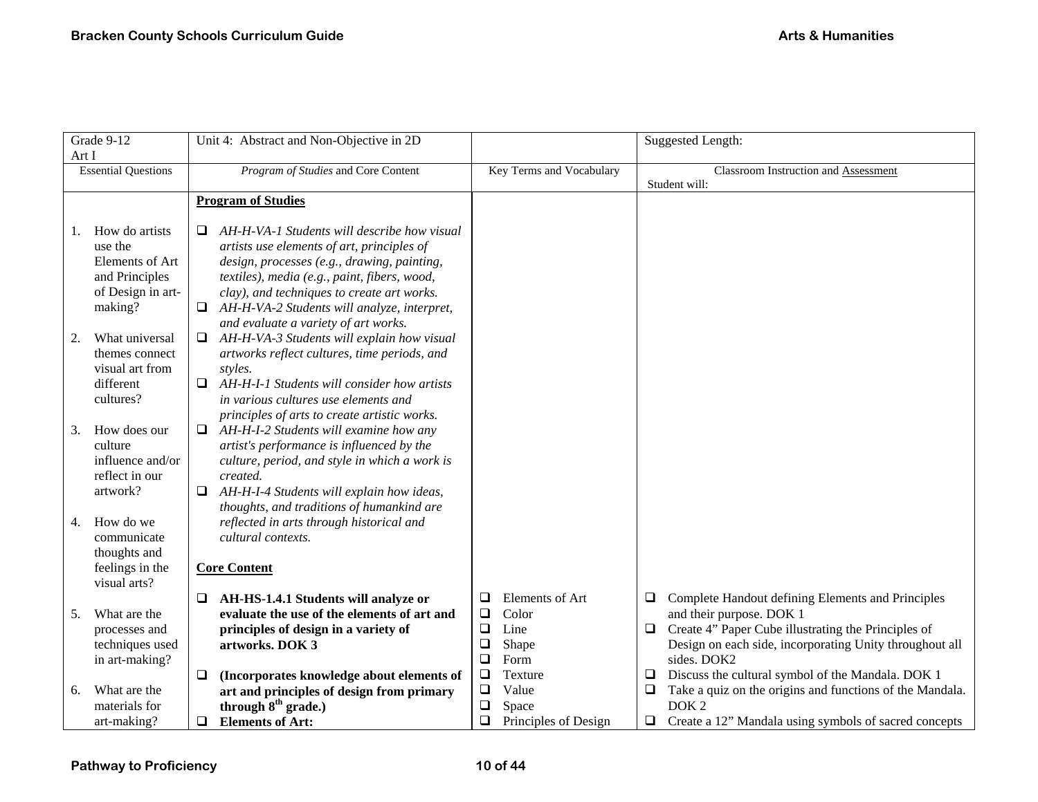| Grade 9-12 |                                  | Unit 4: Abstract and Non-Objective in 2D                                                 |             |                          |        | <b>Suggested Length:</b>                                                      |
|------------|----------------------------------|------------------------------------------------------------------------------------------|-------------|--------------------------|--------|-------------------------------------------------------------------------------|
| Art I      | <b>Essential Questions</b>       | Program of Studies and Core Content                                                      |             | Key Terms and Vocabulary |        | Classroom Instruction and Assessment                                          |
|            |                                  |                                                                                          |             |                          |        | Student will:                                                                 |
|            |                                  | <b>Program of Studies</b>                                                                |             |                          |        |                                                                               |
|            |                                  |                                                                                          |             |                          |        |                                                                               |
| 1.         | How do artists                   | AH-H-VA-1 Students will describe how visual<br>⊔                                         |             |                          |        |                                                                               |
|            | use the                          | artists use elements of art, principles of                                               |             |                          |        |                                                                               |
|            | Elements of Art                  | design, processes (e.g., drawing, painting,                                              |             |                          |        |                                                                               |
|            | and Principles                   | textiles), media (e.g., paint, fibers, wood,                                             |             |                          |        |                                                                               |
|            | of Design in art-                | clay), and techniques to create art works.                                               |             |                          |        |                                                                               |
|            | making?                          | AH-H-VA-2 Students will analyze, interpret,                                              |             |                          |        |                                                                               |
|            |                                  | and evaluate a variety of art works.                                                     |             |                          |        |                                                                               |
| 2.         | What universal<br>themes connect | AH-H-VA-3 Students will explain how visual<br>$\Box$                                     |             |                          |        |                                                                               |
|            | visual art from                  | artworks reflect cultures, time periods, and<br>styles.                                  |             |                          |        |                                                                               |
|            | different                        | AH-H-I-1 Students will consider how artists<br>❏.                                        |             |                          |        |                                                                               |
|            | cultures?                        | in various cultures use elements and                                                     |             |                          |        |                                                                               |
|            |                                  | principles of arts to create artistic works.                                             |             |                          |        |                                                                               |
| 3.         | How does our                     | AH-H-I-2 Students will examine how any<br>$\Box$                                         |             |                          |        |                                                                               |
|            | culture                          | artist's performance is influenced by the                                                |             |                          |        |                                                                               |
|            | influence and/or                 | culture, period, and style in which a work is                                            |             |                          |        |                                                                               |
|            | reflect in our                   | created.                                                                                 |             |                          |        |                                                                               |
|            | artwork?                         | AH-H-I-4 Students will explain how ideas,<br>$\Box$                                      |             |                          |        |                                                                               |
|            |                                  | thoughts, and traditions of humankind are                                                |             |                          |        |                                                                               |
| 4.         | How do we                        | reflected in arts through historical and                                                 |             |                          |        |                                                                               |
|            | communicate                      | cultural contexts.                                                                       |             |                          |        |                                                                               |
|            | thoughts and                     |                                                                                          |             |                          |        |                                                                               |
|            | feelings in the                  | <b>Core Content</b>                                                                      |             |                          |        |                                                                               |
|            | visual arts?                     |                                                                                          |             |                          |        |                                                                               |
|            | What are the                     | AH-HS-1.4.1 Students will analyze or<br>⊔<br>evaluate the use of the elements of art and | ❏<br>$\Box$ | Elements of Art<br>Color | $\Box$ | Complete Handout defining Elements and Principles<br>and their purpose. DOK 1 |
| 5.         | processes and                    | principles of design in a variety of                                                     | $\Box$      | Line                     | $\Box$ | Create 4" Paper Cube illustrating the Principles of                           |
|            | techniques used                  | artworks. DOK 3                                                                          | $\Box$      | Shape                    |        | Design on each side, incorporating Unity throughout all                       |
|            | in art-making?                   |                                                                                          | $\Box$      | Form                     |        | sides. DOK2                                                                   |
|            |                                  | (Incorporates knowledge about elements of<br>$\Box$                                      | $\Box$      | Texture                  | □      | Discuss the cultural symbol of the Mandala. DOK 1                             |
| 6.         | What are the                     | art and principles of design from primary                                                | $\Box$      | Value                    | $\Box$ | Take a quiz on the origins and functions of the Mandala.                      |
|            | materials for                    | through $8th$ grade.)                                                                    | $\Box$      | Space                    |        | DOK <sub>2</sub>                                                              |
|            | art-making?                      | <b>Elements of Art:</b><br>$\Box$                                                        | $\Box$      | Principles of Design     | $\Box$ | Create a 12" Mandala using symbols of sacred concepts                         |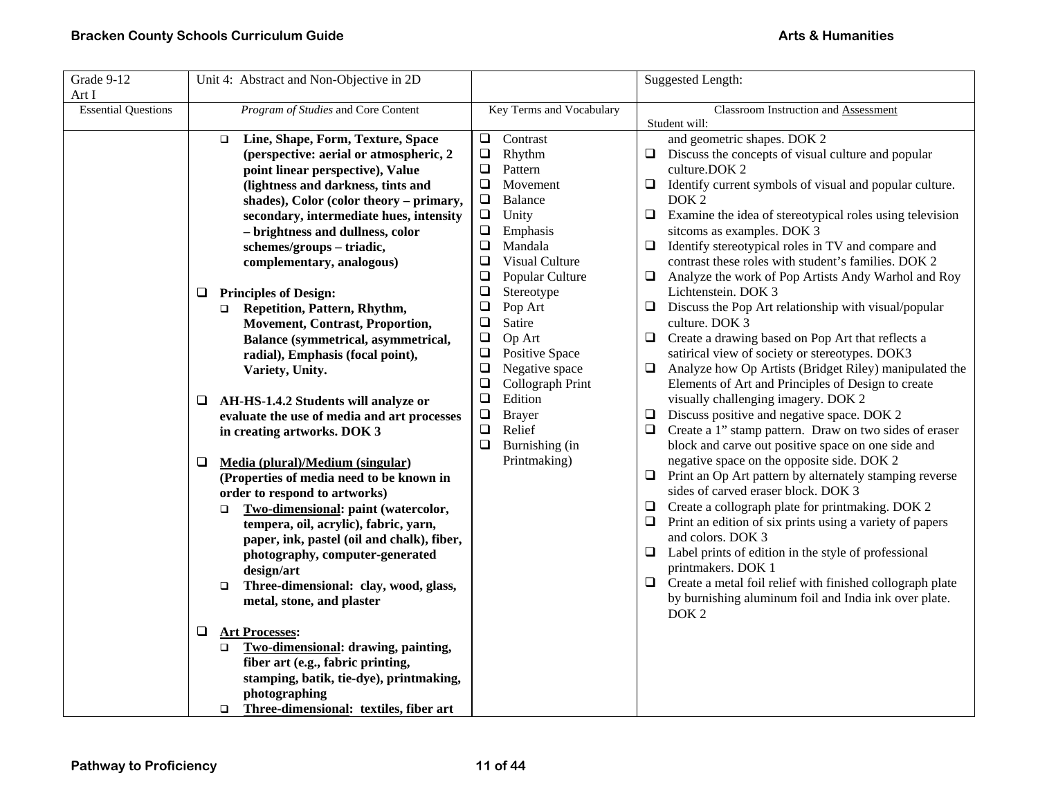| Grade 9-12<br>Art I        | Unit 4: Abstract and Non-Objective in 2D                                                                                                                                                                                                                                                                                                                                                                                                                                                                                                                                                                                                                                                                                                                                                                                                                                                                                                                                                                                                                                                                                                                                             |                                                                                                                                                                                                                                                                                                                                                                                                                                                                                                                                        | <b>Suggested Length:</b>                                                                                                                                                                                                                                                                                                                                                                                                                                                                                                                                                                                                                                                                                                                                                                                                                                                                                                                                                                                                                                                                                                                                                                                                                                                                                                                                                                                                                                                                                                                                                                                               |
|----------------------------|--------------------------------------------------------------------------------------------------------------------------------------------------------------------------------------------------------------------------------------------------------------------------------------------------------------------------------------------------------------------------------------------------------------------------------------------------------------------------------------------------------------------------------------------------------------------------------------------------------------------------------------------------------------------------------------------------------------------------------------------------------------------------------------------------------------------------------------------------------------------------------------------------------------------------------------------------------------------------------------------------------------------------------------------------------------------------------------------------------------------------------------------------------------------------------------|----------------------------------------------------------------------------------------------------------------------------------------------------------------------------------------------------------------------------------------------------------------------------------------------------------------------------------------------------------------------------------------------------------------------------------------------------------------------------------------------------------------------------------------|------------------------------------------------------------------------------------------------------------------------------------------------------------------------------------------------------------------------------------------------------------------------------------------------------------------------------------------------------------------------------------------------------------------------------------------------------------------------------------------------------------------------------------------------------------------------------------------------------------------------------------------------------------------------------------------------------------------------------------------------------------------------------------------------------------------------------------------------------------------------------------------------------------------------------------------------------------------------------------------------------------------------------------------------------------------------------------------------------------------------------------------------------------------------------------------------------------------------------------------------------------------------------------------------------------------------------------------------------------------------------------------------------------------------------------------------------------------------------------------------------------------------------------------------------------------------------------------------------------------------|
| <b>Essential Questions</b> | Program of Studies and Core Content                                                                                                                                                                                                                                                                                                                                                                                                                                                                                                                                                                                                                                                                                                                                                                                                                                                                                                                                                                                                                                                                                                                                                  | Key Terms and Vocabulary                                                                                                                                                                                                                                                                                                                                                                                                                                                                                                               | Classroom Instruction and Assessment<br>Student will:                                                                                                                                                                                                                                                                                                                                                                                                                                                                                                                                                                                                                                                                                                                                                                                                                                                                                                                                                                                                                                                                                                                                                                                                                                                                                                                                                                                                                                                                                                                                                                  |
|                            | Line, Shape, Form, Texture, Space<br>$\Box$<br>(perspective: aerial or atmospheric, 2<br>point linear perspective), Value<br>(lightness and darkness, tints and<br>shades), Color (color theory - primary,<br>secondary, intermediate hues, intensity<br>- brightness and dullness, color<br>schemes/groups - triadic,<br>complementary, analogous)<br><b>Principles of Design:</b><br>Q.<br>Repetition, Pattern, Rhythm,<br>$\Box$<br><b>Movement, Contrast, Proportion,</b><br>Balance (symmetrical, asymmetrical,<br>radial), Emphasis (focal point),<br>Variety, Unity.<br>AH-HS-1.4.2 Students will analyze or<br>⊔<br>evaluate the use of media and art processes<br>in creating artworks. DOK 3<br>❏<br>Media (plural)/Medium (singular)<br>(Properties of media need to be known in<br>order to respond to artworks)<br>Two-dimensional: paint (watercolor,<br>$\Box$<br>tempera, oil, acrylic), fabric, yarn,<br>paper, ink, pastel (oil and chalk), fiber,<br>photography, computer-generated<br>design/art<br>Three-dimensional: clay, wood, glass,<br>$\Box$<br>metal, stone, and plaster<br>❏<br><b>Art Processes:</b><br>Two-dimensional: drawing, painting,<br>$\Box$ | Contrast<br>$\Box$<br>$\Box$<br>Rhythm<br>$\Box$<br>Pattern<br>$\Box$<br>Movement<br><b>Balance</b><br>$\Box$<br>$\Box$<br>Unity<br>$\Box$<br>Emphasis<br>$\Box$<br>Mandala<br>$\Box$<br>Visual Culture<br>Popular Culture<br>$\Box$<br>$\Box$<br>Stereotype<br>$\Box$<br>Pop Art<br>$\Box$<br>Satire<br>$\Box$<br>Op Art<br>$\Box$<br><b>Positive Space</b><br>$\Box$<br>Negative space<br>$\Box$<br>Collograph Print<br>Edition<br>$\Box$<br>$\Box$<br><b>Brayer</b><br>Relief<br>$\Box$<br>$\Box$<br>Burnishing (in<br>Printmaking) | and geometric shapes. DOK 2<br>Discuss the concepts of visual culture and popular<br>$\Box$<br>culture.DOK 2<br>Identify current symbols of visual and popular culture.<br>$\Box$<br>DOK <sub>2</sub><br>Examine the idea of stereotypical roles using television<br>□<br>sitcoms as examples. DOK 3<br>Identify stereotypical roles in TV and compare and<br>$\Box$<br>contrast these roles with student's families. DOK 2<br>Analyze the work of Pop Artists Andy Warhol and Roy<br>$\Box$<br>Lichtenstein. DOK 3<br>Discuss the Pop Art relationship with visual/popular<br>$\Box$<br>culture. DOK 3<br>Create a drawing based on Pop Art that reflects a<br>$\Box$<br>satirical view of society or stereotypes. DOK3<br>Analyze how Op Artists (Bridget Riley) manipulated the<br>$\Box$<br>Elements of Art and Principles of Design to create<br>visually challenging imagery. DOK 2<br>Discuss positive and negative space. DOK 2<br>$\Box$<br>Create a 1" stamp pattern. Draw on two sides of eraser<br>$\Box$<br>block and carve out positive space on one side and<br>negative space on the opposite side. DOK 2<br>Print an Op Art pattern by alternately stamping reverse<br>$\Box$<br>sides of carved eraser block. DOK 3<br>Create a collograph plate for printmaking. DOK 2<br>Print an edition of six prints using a variety of papers<br>and colors. DOK 3<br>Label prints of edition in the style of professional<br>$\Box$<br>printmakers. DOK 1<br>Create a metal foil relief with finished collograph plate<br>$\Box$<br>by burnishing aluminum foil and India ink over plate.<br>DOK <sub>2</sub> |
|                            | fiber art (e.g., fabric printing,<br>stamping, batik, tie-dye), printmaking,<br>photographing<br>□ Three-dimensional: textiles, fiber art                                                                                                                                                                                                                                                                                                                                                                                                                                                                                                                                                                                                                                                                                                                                                                                                                                                                                                                                                                                                                                            |                                                                                                                                                                                                                                                                                                                                                                                                                                                                                                                                        |                                                                                                                                                                                                                                                                                                                                                                                                                                                                                                                                                                                                                                                                                                                                                                                                                                                                                                                                                                                                                                                                                                                                                                                                                                                                                                                                                                                                                                                                                                                                                                                                                        |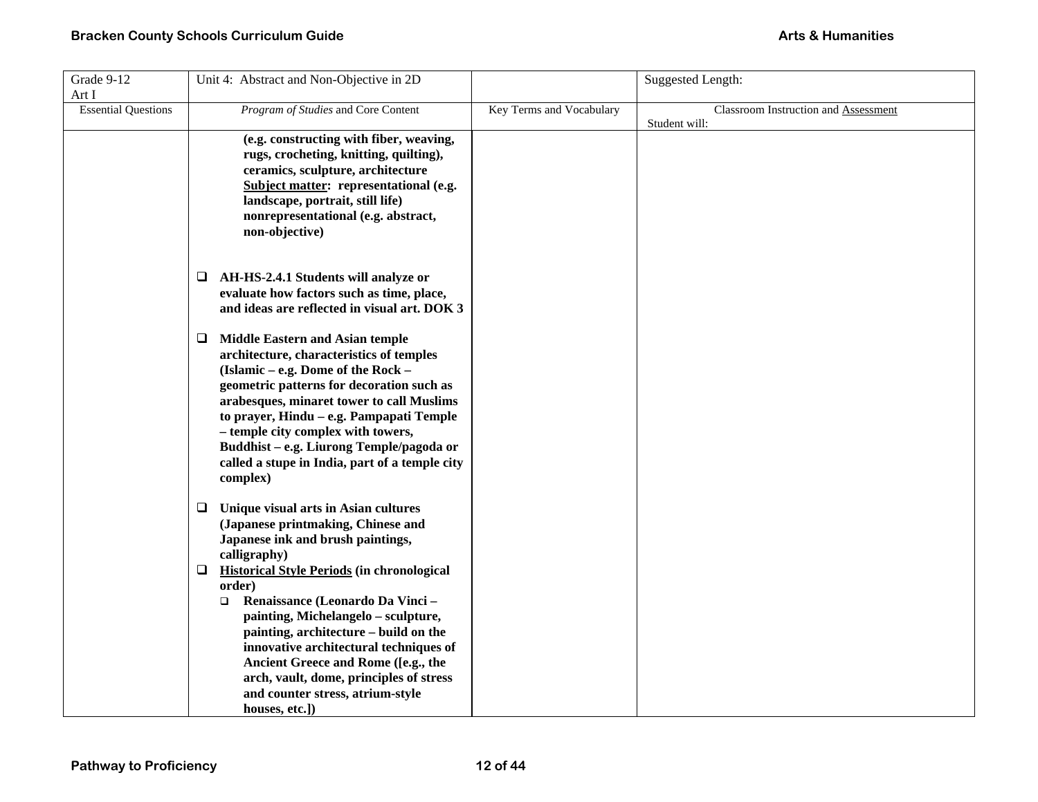| Grade 9-12                 | Unit 4: Abstract and Non-Objective in 2D                                               |                          | <b>Suggested Length:</b>             |
|----------------------------|----------------------------------------------------------------------------------------|--------------------------|--------------------------------------|
| Art I                      |                                                                                        |                          |                                      |
| <b>Essential Questions</b> | Program of Studies and Core Content                                                    | Key Terms and Vocabulary | Classroom Instruction and Assessment |
|                            |                                                                                        |                          | Student will:                        |
|                            | (e.g. constructing with fiber, weaving,                                                |                          |                                      |
|                            | rugs, crocheting, knitting, quilting),                                                 |                          |                                      |
|                            | ceramics, sculpture, architecture                                                      |                          |                                      |
|                            | Subject matter: representational (e.g.                                                 |                          |                                      |
|                            | landscape, portrait, still life)                                                       |                          |                                      |
|                            | nonrepresentational (e.g. abstract,                                                    |                          |                                      |
|                            | non-objective)                                                                         |                          |                                      |
|                            |                                                                                        |                          |                                      |
|                            |                                                                                        |                          |                                      |
|                            | AH-HS-2.4.1 Students will analyze or<br>❏                                              |                          |                                      |
|                            | evaluate how factors such as time, place,                                              |                          |                                      |
|                            | and ideas are reflected in visual art. DOK 3                                           |                          |                                      |
|                            |                                                                                        |                          |                                      |
|                            | <b>Middle Eastern and Asian temple</b><br>⊔                                            |                          |                                      |
|                            | architecture, characteristics of temples                                               |                          |                                      |
|                            | (Islamic - e.g. Dome of the Rock -                                                     |                          |                                      |
|                            | geometric patterns for decoration such as<br>arabesques, minaret tower to call Muslims |                          |                                      |
|                            | to prayer, Hindu - e.g. Pampapati Temple                                               |                          |                                      |
|                            | - temple city complex with towers,                                                     |                          |                                      |
|                            | Buddhist - e.g. Liurong Temple/pagoda or                                               |                          |                                      |
|                            | called a stupe in India, part of a temple city                                         |                          |                                      |
|                            | complex)                                                                               |                          |                                      |
|                            |                                                                                        |                          |                                      |
|                            | $\Box$ Unique visual arts in Asian cultures                                            |                          |                                      |
|                            | (Japanese printmaking, Chinese and                                                     |                          |                                      |
|                            | Japanese ink and brush paintings,                                                      |                          |                                      |
|                            | calligraphy)                                                                           |                          |                                      |
|                            | <b>Historical Style Periods (in chronological</b><br>❏                                 |                          |                                      |
|                            | order)                                                                                 |                          |                                      |
|                            | Renaissance (Leonardo Da Vinci -<br>$\Box$                                             |                          |                                      |
|                            | painting, Michelangelo - sculpture,                                                    |                          |                                      |
|                            | painting, architecture – build on the                                                  |                          |                                      |
|                            | innovative architectural techniques of                                                 |                          |                                      |
|                            | Ancient Greece and Rome ([e.g., the                                                    |                          |                                      |
|                            | arch, vault, dome, principles of stress                                                |                          |                                      |
|                            | and counter stress, atrium-style                                                       |                          |                                      |
|                            | houses, etc.])                                                                         |                          |                                      |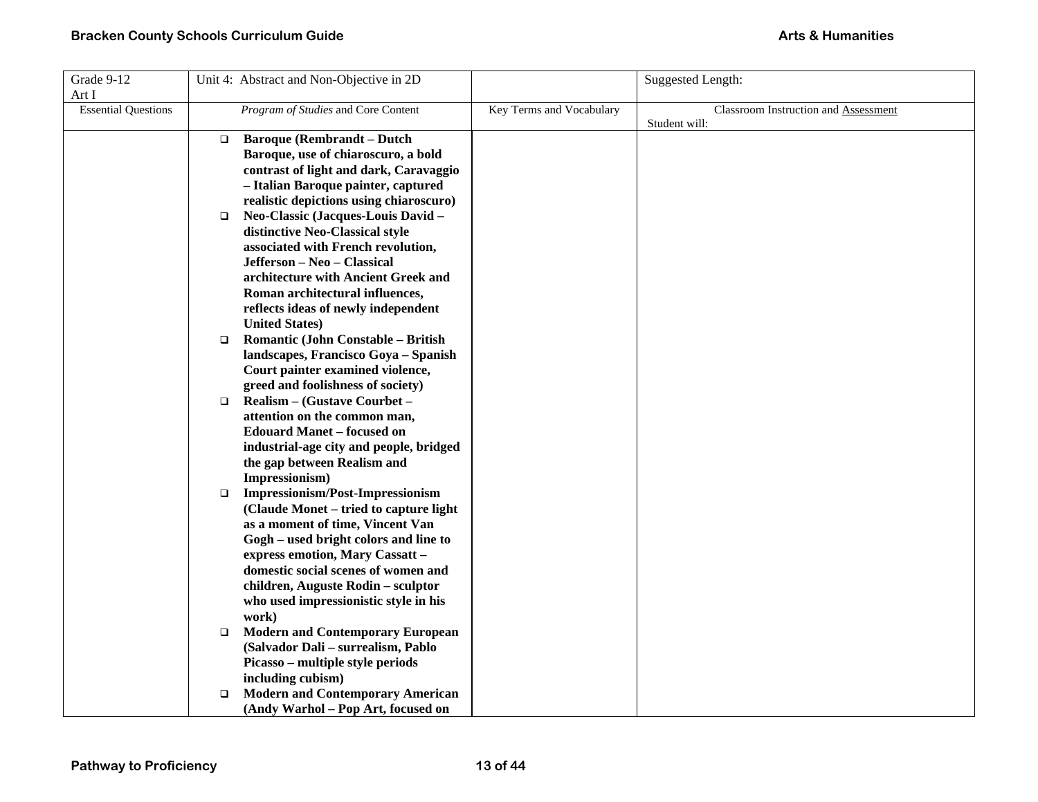| Grade 9-12                 |        | Unit 4: Abstract and Non-Objective in 2D                                 |                          | <b>Suggested Length:</b>                    |
|----------------------------|--------|--------------------------------------------------------------------------|--------------------------|---------------------------------------------|
| Art I                      |        |                                                                          |                          |                                             |
| <b>Essential Questions</b> |        | Program of Studies and Core Content                                      | Key Terms and Vocabulary | <b>Classroom Instruction and Assessment</b> |
|                            |        |                                                                          |                          | Student will:                               |
|                            | □      | <b>Baroque (Rembrandt - Dutch</b>                                        |                          |                                             |
|                            |        | Baroque, use of chiaroscuro, a bold                                      |                          |                                             |
|                            |        | contrast of light and dark, Caravaggio                                   |                          |                                             |
|                            |        | - Italian Baroque painter, captured                                      |                          |                                             |
|                            |        | realistic depictions using chiaroscuro)                                  |                          |                                             |
|                            | $\Box$ | Neo-Classic (Jacques-Louis David -                                       |                          |                                             |
|                            |        | distinctive Neo-Classical style                                          |                          |                                             |
|                            |        | associated with French revolution,                                       |                          |                                             |
|                            |        | Jefferson - Neo - Classical                                              |                          |                                             |
|                            |        | architecture with Ancient Greek and                                      |                          |                                             |
|                            |        | Roman architectural influences,                                          |                          |                                             |
|                            |        | reflects ideas of newly independent                                      |                          |                                             |
|                            |        | <b>United States)</b>                                                    |                          |                                             |
|                            | $\Box$ | Romantic (John Constable - British                                       |                          |                                             |
|                            |        | landscapes, Francisco Goya - Spanish                                     |                          |                                             |
|                            |        | Court painter examined violence,                                         |                          |                                             |
|                            |        | greed and foolishness of society)                                        |                          |                                             |
|                            | $\Box$ | Realism – (Gustave Courbet –                                             |                          |                                             |
|                            |        | attention on the common man,                                             |                          |                                             |
|                            |        | <b>Edouard Manet - focused on</b>                                        |                          |                                             |
|                            |        | industrial-age city and people, bridged                                  |                          |                                             |
|                            |        | the gap between Realism and                                              |                          |                                             |
|                            |        | Impressionism)                                                           |                          |                                             |
|                            | $\Box$ | <b>Impressionism/Post-Impressionism</b>                                  |                          |                                             |
|                            |        | (Claude Monet - tried to capture light                                   |                          |                                             |
|                            |        | as a moment of time, Vincent Van                                         |                          |                                             |
|                            |        | Gogh – used bright colors and line to<br>express emotion, Mary Cassatt - |                          |                                             |
|                            |        | domestic social scenes of women and                                      |                          |                                             |
|                            |        | children, Auguste Rodin - sculptor                                       |                          |                                             |
|                            |        | who used impressionistic style in his                                    |                          |                                             |
|                            |        | work)                                                                    |                          |                                             |
|                            | $\Box$ | <b>Modern and Contemporary European</b>                                  |                          |                                             |
|                            |        | (Salvador Dali - surrealism, Pablo                                       |                          |                                             |
|                            |        | Picasso – multiple style periods                                         |                          |                                             |
|                            |        | including cubism)                                                        |                          |                                             |
|                            | $\Box$ | <b>Modern and Contemporary American</b>                                  |                          |                                             |
|                            |        | (Andy Warhol – Pop Art, focused on                                       |                          |                                             |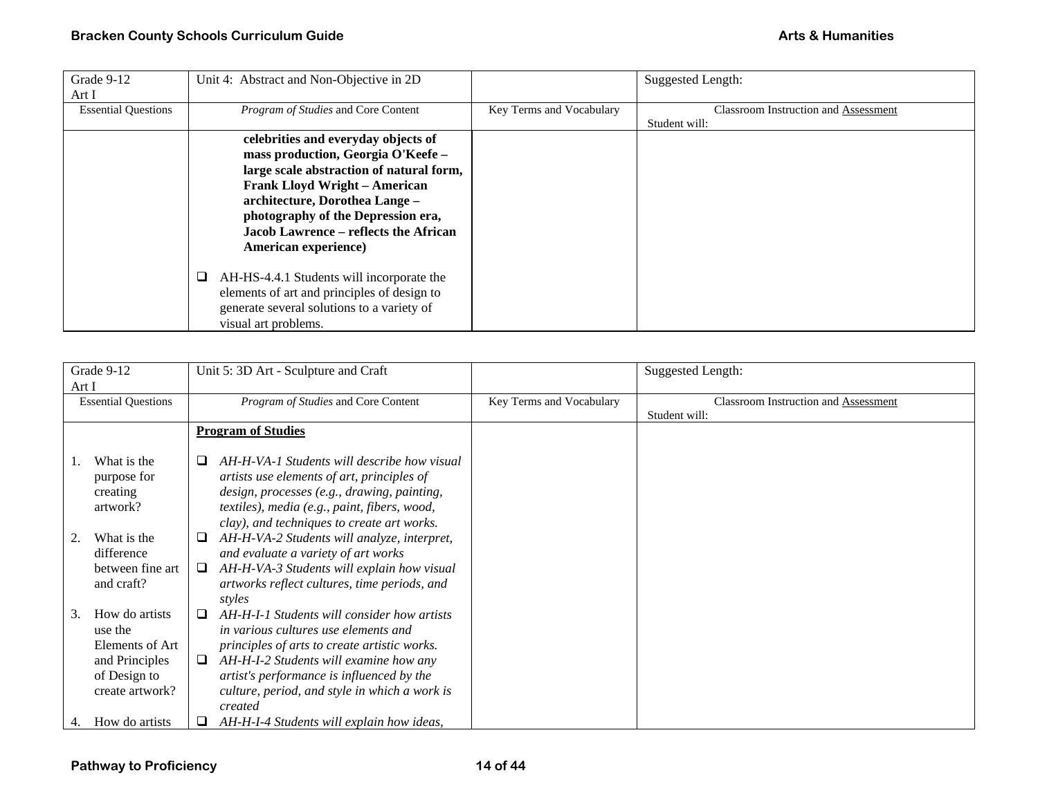| Grade 9-12<br>Art I        | Unit 4: Abstract and Non-Objective in 2D                                                                                                                                                                                                                                                               |                          | Suggested Length:                                     |
|----------------------------|--------------------------------------------------------------------------------------------------------------------------------------------------------------------------------------------------------------------------------------------------------------------------------------------------------|--------------------------|-------------------------------------------------------|
| <b>Essential Questions</b> | Program of Studies and Core Content                                                                                                                                                                                                                                                                    | Key Terms and Vocabulary | Classroom Instruction and Assessment<br>Student will: |
|                            | celebrities and everyday objects of<br>mass production, Georgia O'Keefe -<br>large scale abstraction of natural form,<br><b>Frank Lloyd Wright - American</b><br>architecture, Dorothea Lange -<br>photography of the Depression era,<br>Jacob Lawrence – reflects the African<br>American experience) |                          |                                                       |
|                            | AH-HS-4.4.1 Students will incorporate the<br>u<br>elements of art and principles of design to<br>generate several solutions to a variety of<br>visual art problems.                                                                                                                                    |                          |                                                       |

| Grade 9-12                          | Unit 5: 3D Art - Sculpture and Craft                                                                                                      |                          | Suggested Length:                           |
|-------------------------------------|-------------------------------------------------------------------------------------------------------------------------------------------|--------------------------|---------------------------------------------|
| Art I                               |                                                                                                                                           |                          |                                             |
| <b>Essential Questions</b>          | Program of Studies and Core Content                                                                                                       | Key Terms and Vocabulary | <b>Classroom Instruction and Assessment</b> |
|                                     |                                                                                                                                           |                          | Student will:                               |
|                                     | <b>Program of Studies</b>                                                                                                                 |                          |                                             |
| What is the<br>1.                   | AH-H-VA-1 Students will describe how visual<br>⊔                                                                                          |                          |                                             |
| purpose for<br>creating<br>artwork? | artists use elements of art, principles of<br>design, processes (e.g., drawing, painting,<br>textiles), media (e.g., paint, fibers, wood, |                          |                                             |
|                                     | clay), and techniques to create art works.                                                                                                |                          |                                             |
| What is the<br>difference           | AH-H-VA-2 Students will analyze, interpret,<br>⊔<br>and evaluate a variety of art works                                                   |                          |                                             |
| between fine art<br>and craft?      | AH-H-VA-3 Students will explain how visual<br>□<br>artworks reflect cultures, time periods, and<br>styles                                 |                          |                                             |
| How do artists<br>3.<br>use the     | AH-H-I-1 Students will consider how artists<br>in various cultures use elements and                                                       |                          |                                             |
| Elements of Art                     | principles of arts to create artistic works.                                                                                              |                          |                                             |
| and Principles                      | AH-H-I-2 Students will examine how any<br>⊔                                                                                               |                          |                                             |
| of Design to                        | artist's performance is influenced by the                                                                                                 |                          |                                             |
| create artwork?                     | culture, period, and style in which a work is<br>created                                                                                  |                          |                                             |
| How do artists<br>4.                | AH-H-I-4 Students will explain how ideas,                                                                                                 |                          |                                             |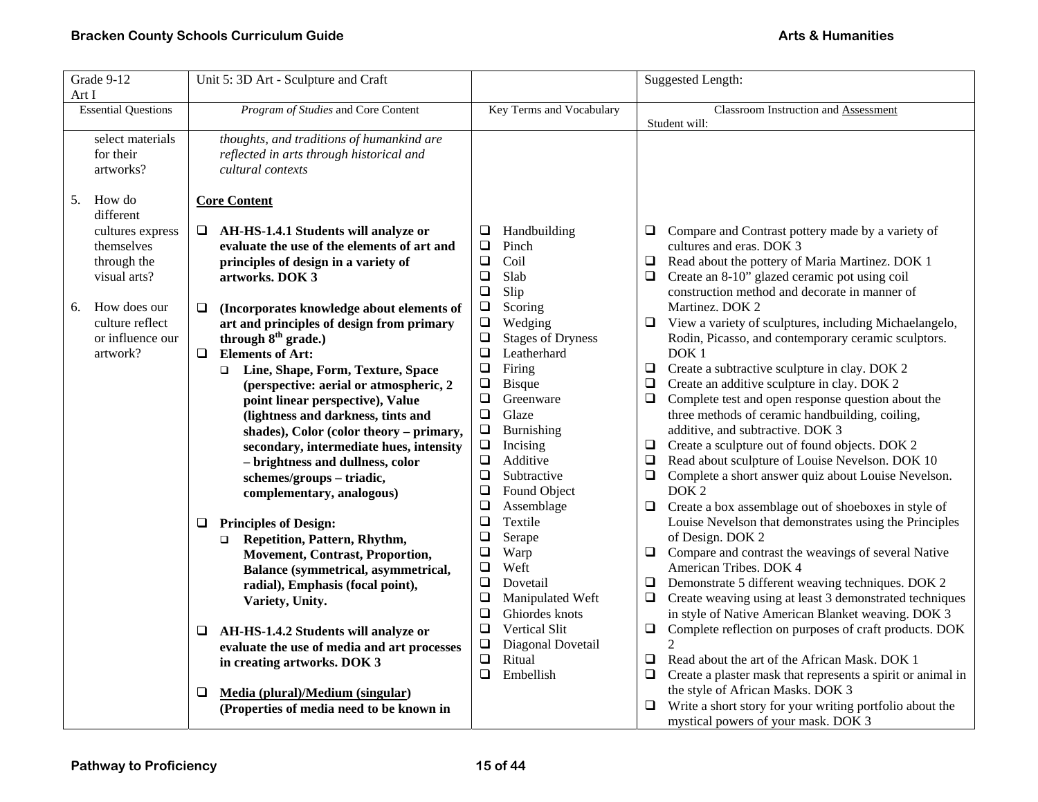| Grade 9-12<br>Art I                                                                                                                                 | Unit 5: 3D Art - Sculpture and Craft                                                                                                                                                                                                                                                                                                                                                                                                                                                                                                                                                                                                                                                                                                                                                                                                                                                                                                                                                                                      |                                                                                                                                                                                                                                                                                                                                                                                                                                                                                                                                                                                                                                                                                                               | <b>Suggested Length:</b>                                                                                                                                                                                                                                                                                                                                                                                                                                                                                                                                                                                                                                                                                                                                                                                                                                                                                                                                                                                                                                                                                                                                                                                                                                                                                                                                                                                                                                                                                                                                            |
|-----------------------------------------------------------------------------------------------------------------------------------------------------|---------------------------------------------------------------------------------------------------------------------------------------------------------------------------------------------------------------------------------------------------------------------------------------------------------------------------------------------------------------------------------------------------------------------------------------------------------------------------------------------------------------------------------------------------------------------------------------------------------------------------------------------------------------------------------------------------------------------------------------------------------------------------------------------------------------------------------------------------------------------------------------------------------------------------------------------------------------------------------------------------------------------------|---------------------------------------------------------------------------------------------------------------------------------------------------------------------------------------------------------------------------------------------------------------------------------------------------------------------------------------------------------------------------------------------------------------------------------------------------------------------------------------------------------------------------------------------------------------------------------------------------------------------------------------------------------------------------------------------------------------|---------------------------------------------------------------------------------------------------------------------------------------------------------------------------------------------------------------------------------------------------------------------------------------------------------------------------------------------------------------------------------------------------------------------------------------------------------------------------------------------------------------------------------------------------------------------------------------------------------------------------------------------------------------------------------------------------------------------------------------------------------------------------------------------------------------------------------------------------------------------------------------------------------------------------------------------------------------------------------------------------------------------------------------------------------------------------------------------------------------------------------------------------------------------------------------------------------------------------------------------------------------------------------------------------------------------------------------------------------------------------------------------------------------------------------------------------------------------------------------------------------------------------------------------------------------------|
| <b>Essential Questions</b>                                                                                                                          | Program of Studies and Core Content                                                                                                                                                                                                                                                                                                                                                                                                                                                                                                                                                                                                                                                                                                                                                                                                                                                                                                                                                                                       | Key Terms and Vocabulary                                                                                                                                                                                                                                                                                                                                                                                                                                                                                                                                                                                                                                                                                      | Classroom Instruction and Assessment<br>Student will:                                                                                                                                                                                                                                                                                                                                                                                                                                                                                                                                                                                                                                                                                                                                                                                                                                                                                                                                                                                                                                                                                                                                                                                                                                                                                                                                                                                                                                                                                                               |
| select materials<br>for their<br>artworks?                                                                                                          | thoughts, and traditions of humankind are<br>reflected in arts through historical and<br>cultural contexts                                                                                                                                                                                                                                                                                                                                                                                                                                                                                                                                                                                                                                                                                                                                                                                                                                                                                                                |                                                                                                                                                                                                                                                                                                                                                                                                                                                                                                                                                                                                                                                                                                               |                                                                                                                                                                                                                                                                                                                                                                                                                                                                                                                                                                                                                                                                                                                                                                                                                                                                                                                                                                                                                                                                                                                                                                                                                                                                                                                                                                                                                                                                                                                                                                     |
| How do<br>5.                                                                                                                                        | <b>Core Content</b>                                                                                                                                                                                                                                                                                                                                                                                                                                                                                                                                                                                                                                                                                                                                                                                                                                                                                                                                                                                                       |                                                                                                                                                                                                                                                                                                                                                                                                                                                                                                                                                                                                                                                                                                               |                                                                                                                                                                                                                                                                                                                                                                                                                                                                                                                                                                                                                                                                                                                                                                                                                                                                                                                                                                                                                                                                                                                                                                                                                                                                                                                                                                                                                                                                                                                                                                     |
| different<br>cultures express<br>themselves<br>through the<br>visual arts?<br>How does our<br>6.<br>culture reflect<br>or influence our<br>artwork? | □ AH-HS-1.4.1 Students will analyze or<br>evaluate the use of the elements of art and<br>principles of design in a variety of<br>artworks. DOK 3<br>$\Box$<br>(Incorporates knowledge about elements of<br>art and principles of design from primary<br>through $8th$ grade.)<br>$\Box$<br><b>Elements of Art:</b><br>Line, Shape, Form, Texture, Space<br>$\Box$<br>(perspective: aerial or atmospheric, 2<br>point linear perspective), Value<br>(lightness and darkness, tints and<br>shades), Color (color theory - primary,<br>secondary, intermediate hues, intensity<br>- brightness and dullness, color<br>schemes/groups-triadic,<br>complementary, analogous)<br><b>Principles of Design:</b><br>❏<br>Repetition, Pattern, Rhythm,<br>$\Box$<br><b>Movement, Contrast, Proportion,</b><br>Balance (symmetrical, asymmetrical,<br>radial), Emphasis (focal point),<br>Variety, Unity.<br>AH-HS-1.4.2 Students will analyze or<br>❏<br>evaluate the use of media and art processes<br>in creating artworks. DOK 3 | Handbuilding<br>❏<br>$\Box$<br>Pinch<br>$\Box$<br>Coil<br>$\Box$<br>Slab<br>$\Box$<br>Slip<br>$\Box$<br>Scoring<br>$\Box$<br>Wedging<br>$\Box$<br><b>Stages of Dryness</b><br>Leatherhard<br>$\Box$<br>$\Box$<br>Firing<br>$\Box$<br>Bisque<br>$\Box$<br>Greenware<br>Glaze<br>$\Box$<br>$\Box$<br>Burnishing<br>$\Box$<br>Incising<br>$\Box$<br>Additive<br>$\Box$<br>Subtractive<br>$\Box$<br>Found Object<br>$\Box$<br>Assemblage<br>Textile<br>$\Box$<br>$\Box$<br>Serape<br>Warp<br>$\Box$<br>$\Box$<br>Weft<br>Dovetail<br>$\Box$<br>$\Box$<br>Manipulated Weft<br>$\Box$<br>Ghiordes knots<br>$\Box$<br><b>Vertical Slit</b><br>Diagonal Dovetail<br>$\Box$<br>$\Box$<br>Ritual<br>$\Box$<br>Embellish | Compare and Contrast pottery made by a variety of<br>$\Box$<br>cultures and eras. DOK 3<br>$\Box$<br>Read about the pottery of Maria Martinez. DOK 1<br>Create an 8-10" glazed ceramic pot using coil<br>$\Box$<br>construction method and decorate in manner of<br>Martinez. DOK 2<br>$\Box$<br>View a variety of sculptures, including Michaelangelo,<br>Rodin, Picasso, and contemporary ceramic sculptors.<br>DOK <sub>1</sub><br>Create a subtractive sculpture in clay. DOK 2<br>$\Box$<br>Create an additive sculpture in clay. DOK 2<br>$\Box$<br>Complete test and open response question about the<br>$\Box$<br>three methods of ceramic handbuilding, coiling,<br>additive, and subtractive. DOK 3<br>Create a sculpture out of found objects. DOK 2<br>$\Box$<br>Read about sculpture of Louise Nevelson. DOK 10<br>$\Box$<br>Complete a short answer quiz about Louise Nevelson.<br>$\Box$<br>DOK <sub>2</sub><br>Create a box assemblage out of shoeboxes in style of<br>$\Box$<br>Louise Nevelson that demonstrates using the Principles<br>of Design. DOK 2<br>Compare and contrast the weavings of several Native<br>$\Box$<br>American Tribes. DOK 4<br>Demonstrate 5 different weaving techniques. DOK 2<br>⊔<br>Create weaving using at least 3 demonstrated techniques<br>$\Box$<br>in style of Native American Blanket weaving. DOK 3<br>Complete reflection on purposes of craft products. DOK<br>$\Box$<br>$\Box$<br>Read about the art of the African Mask. DOK 1<br>Create a plaster mask that represents a spirit or animal in<br>$\Box$ |
|                                                                                                                                                     | Media (plural)/Medium (singular)<br>❏<br>(Properties of media need to be known in                                                                                                                                                                                                                                                                                                                                                                                                                                                                                                                                                                                                                                                                                                                                                                                                                                                                                                                                         |                                                                                                                                                                                                                                                                                                                                                                                                                                                                                                                                                                                                                                                                                                               | the style of African Masks. DOK 3<br>Write a short story for your writing portfolio about the<br>❏<br>mystical powers of your mask. DOK 3                                                                                                                                                                                                                                                                                                                                                                                                                                                                                                                                                                                                                                                                                                                                                                                                                                                                                                                                                                                                                                                                                                                                                                                                                                                                                                                                                                                                                           |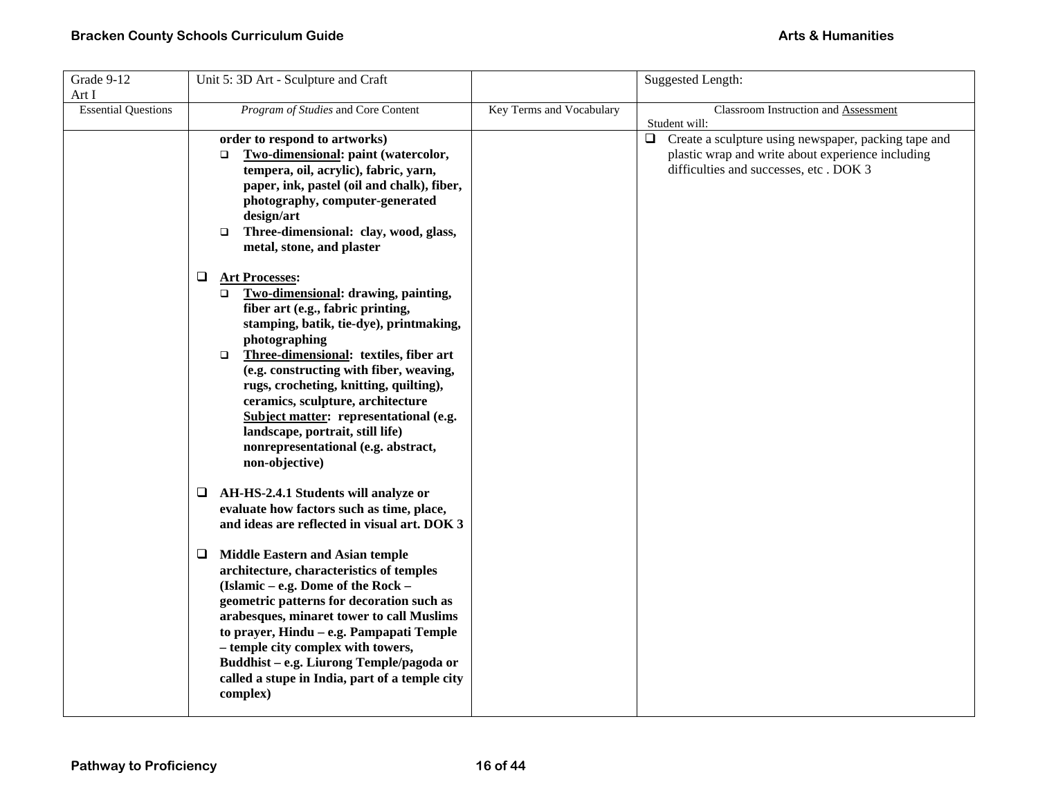| Grade 9-12<br>Art I        | Unit 5: 3D Art - Sculpture and Craft                                                                                                                                                                                                                                                                                                                                                                                                                                                                     |                          | <b>Suggested Length:</b>                                                                                                                                      |
|----------------------------|----------------------------------------------------------------------------------------------------------------------------------------------------------------------------------------------------------------------------------------------------------------------------------------------------------------------------------------------------------------------------------------------------------------------------------------------------------------------------------------------------------|--------------------------|---------------------------------------------------------------------------------------------------------------------------------------------------------------|
| <b>Essential Questions</b> | Program of Studies and Core Content                                                                                                                                                                                                                                                                                                                                                                                                                                                                      | Key Terms and Vocabulary | <b>Classroom Instruction and Assessment</b><br>Student will:                                                                                                  |
|                            | order to respond to artworks)<br>Two-dimensional: paint (watercolor,<br>$\Box$<br>tempera, oil, acrylic), fabric, yarn,<br>paper, ink, pastel (oil and chalk), fiber,<br>photography, computer-generated<br>design/art<br>Three-dimensional: clay, wood, glass,<br>$\Box$<br>metal, stone, and plaster                                                                                                                                                                                                   |                          | Create a sculpture using newspaper, packing tape and<br>$\Box$<br>plastic wrap and write about experience including<br>difficulties and successes, etc. DOK 3 |
|                            | ❏<br><b>Art Processes:</b><br><b>Two-dimensional: drawing, painting,</b><br>$\Box$<br>fiber art (e.g., fabric printing,<br>stamping, batik, tie-dye), printmaking,<br>photographing<br>Three-dimensional: textiles, fiber art<br>$\Box$<br>(e.g. constructing with fiber, weaving,<br>rugs, crocheting, knitting, quilting),<br>ceramics, sculpture, architecture<br>Subject matter: representational (e.g.<br>landscape, portrait, still life)<br>nonrepresentational (e.g. abstract,<br>non-objective) |                          |                                                                                                                                                               |
|                            | AH-HS-2.4.1 Students will analyze or<br>⊔<br>evaluate how factors such as time, place,<br>and ideas are reflected in visual art. DOK 3                                                                                                                                                                                                                                                                                                                                                                   |                          |                                                                                                                                                               |
|                            | <b>Middle Eastern and Asian temple</b><br>⊔<br>architecture, characteristics of temples<br>(Islamic – e.g. Dome of the Rock –<br>geometric patterns for decoration such as<br>arabesques, minaret tower to call Muslims<br>to prayer, Hindu - e.g. Pampapati Temple<br>- temple city complex with towers,<br>Buddhist - e.g. Liurong Temple/pagoda or<br>called a stupe in India, part of a temple city<br>complex)                                                                                      |                          |                                                                                                                                                               |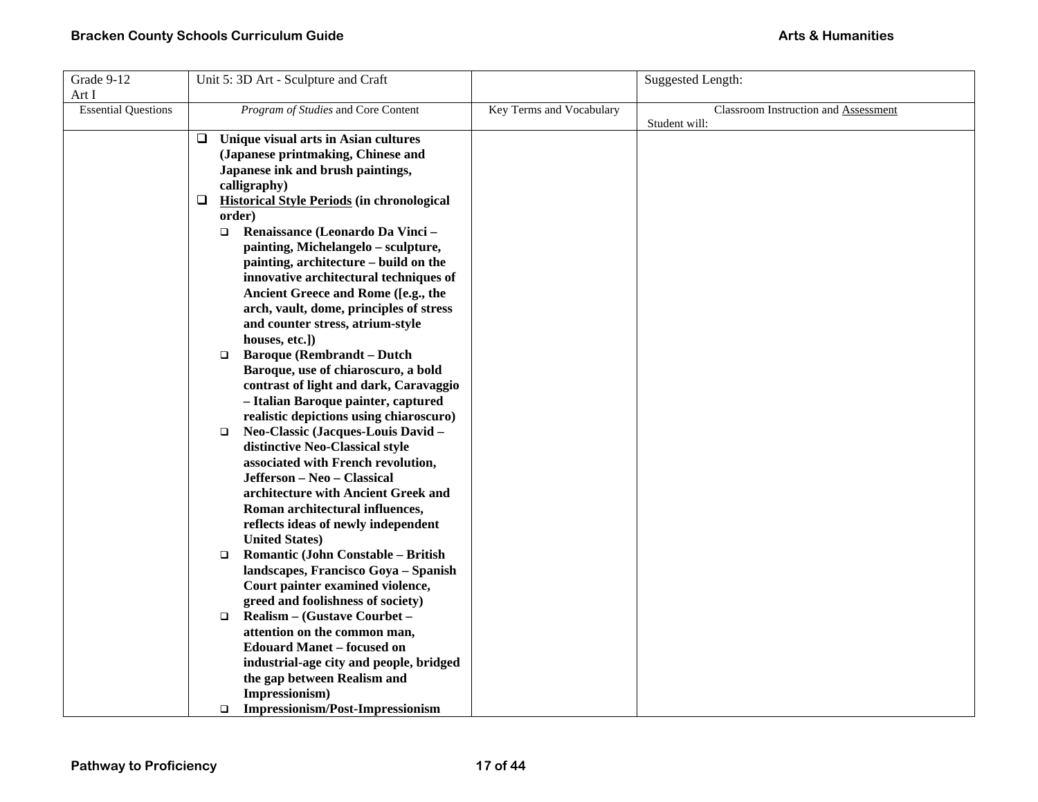| Grade 9-12                 | Unit 5: 3D Art - Sculpture and Craft |                                                   |                          | Suggested Length:                    |
|----------------------------|--------------------------------------|---------------------------------------------------|--------------------------|--------------------------------------|
| Art I                      |                                      |                                                   |                          |                                      |
| <b>Essential Questions</b> |                                      | Program of Studies and Core Content               | Key Terms and Vocabulary | Classroom Instruction and Assessment |
|                            |                                      |                                                   |                          | Student will:                        |
|                            |                                      | $\Box$ Unique visual arts in Asian cultures       |                          |                                      |
|                            |                                      | (Japanese printmaking, Chinese and                |                          |                                      |
|                            |                                      | Japanese ink and brush paintings,                 |                          |                                      |
|                            |                                      | calligraphy)                                      |                          |                                      |
|                            | ⊔                                    | <b>Historical Style Periods (in chronological</b> |                          |                                      |
|                            |                                      | order)                                            |                          |                                      |
|                            | $\Box$                               | Renaissance (Leonardo Da Vinci -                  |                          |                                      |
|                            |                                      | painting, Michelangelo - sculpture,               |                          |                                      |
|                            |                                      | painting, architecture - build on the             |                          |                                      |
|                            |                                      | innovative architectural techniques of            |                          |                                      |
|                            |                                      | Ancient Greece and Rome ([e.g., the               |                          |                                      |
|                            |                                      | arch, vault, dome, principles of stress           |                          |                                      |
|                            |                                      | and counter stress, atrium-style                  |                          |                                      |
|                            |                                      | houses, etc.])                                    |                          |                                      |
|                            | $\Box$                               | <b>Baroque (Rembrandt - Dutch</b>                 |                          |                                      |
|                            |                                      | Baroque, use of chiaroscuro, a bold               |                          |                                      |
|                            |                                      | contrast of light and dark, Caravaggio            |                          |                                      |
|                            |                                      | - Italian Baroque painter, captured               |                          |                                      |
|                            |                                      | realistic depictions using chiaroscuro)           |                          |                                      |
|                            | $\Box$                               | Neo-Classic (Jacques-Louis David -                |                          |                                      |
|                            |                                      | distinctive Neo-Classical style                   |                          |                                      |
|                            |                                      | associated with French revolution,                |                          |                                      |
|                            |                                      | Jefferson - Neo - Classical                       |                          |                                      |
|                            |                                      | architecture with Ancient Greek and               |                          |                                      |
|                            |                                      | Roman architectural influences,                   |                          |                                      |
|                            |                                      | reflects ideas of newly independent               |                          |                                      |
|                            |                                      | <b>United States)</b>                             |                          |                                      |
|                            | $\Box$                               | Romantic (John Constable - British                |                          |                                      |
|                            |                                      | landscapes, Francisco Goya - Spanish              |                          |                                      |
|                            |                                      | Court painter examined violence,                  |                          |                                      |
|                            |                                      | greed and foolishness of society)                 |                          |                                      |
|                            | $\Box$                               | Realism - (Gustave Courbet -                      |                          |                                      |
|                            |                                      | attention on the common man,                      |                          |                                      |
|                            |                                      | <b>Edouard Manet - focused on</b>                 |                          |                                      |
|                            |                                      | industrial-age city and people, bridged           |                          |                                      |
|                            |                                      | the gap between Realism and                       |                          |                                      |
|                            |                                      | Impressionism)                                    |                          |                                      |
|                            | $\Box$                               | <b>Impressionism/Post-Impressionism</b>           |                          |                                      |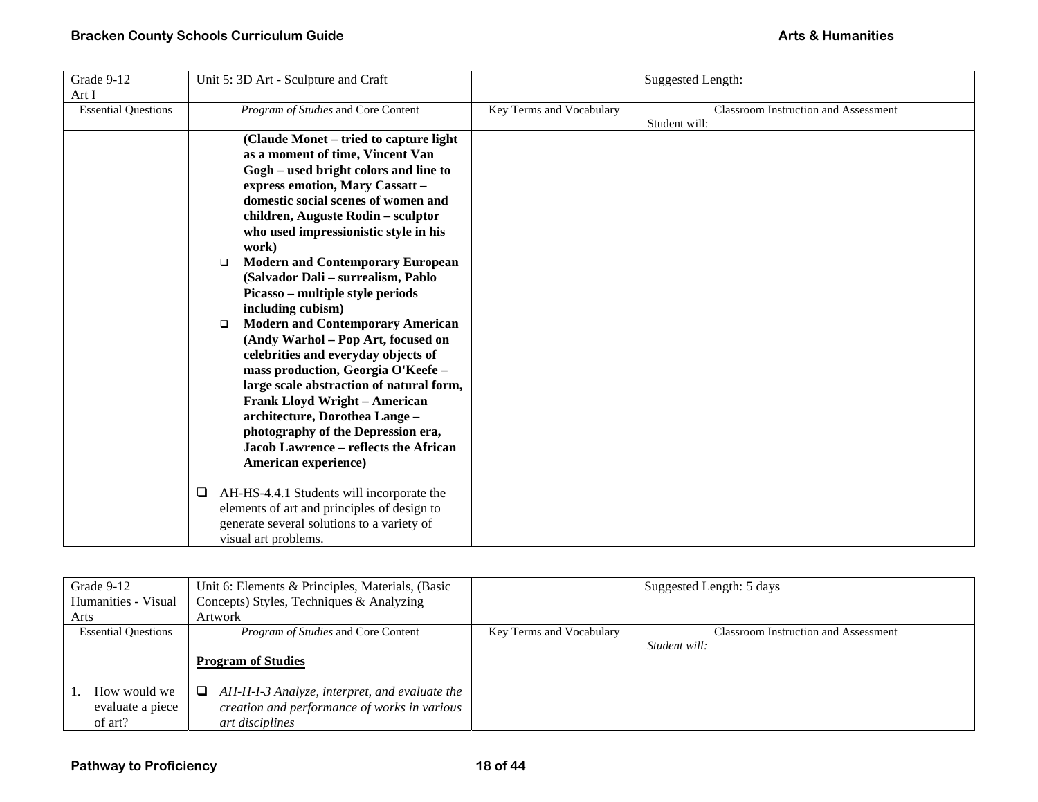| Grade 9-12                 | Unit 5: 3D Art - Sculpture and Craft           |                          | <b>Suggested Length:</b>             |
|----------------------------|------------------------------------------------|--------------------------|--------------------------------------|
| Art I                      |                                                |                          |                                      |
| <b>Essential Questions</b> | Program of Studies and Core Content            | Key Terms and Vocabulary | Classroom Instruction and Assessment |
|                            |                                                |                          | Student will:                        |
|                            | (Claude Monet – tried to capture light)        |                          |                                      |
|                            | as a moment of time, Vincent Van               |                          |                                      |
|                            | Gogh – used bright colors and line to          |                          |                                      |
|                            | express emotion, Mary Cassatt -                |                          |                                      |
|                            | domestic social scenes of women and            |                          |                                      |
|                            | children, Auguste Rodin - sculptor             |                          |                                      |
|                            | who used impressionistic style in his          |                          |                                      |
|                            | work)                                          |                          |                                      |
|                            | <b>Modern and Contemporary European</b><br>▫   |                          |                                      |
|                            | (Salvador Dali - surrealism, Pablo             |                          |                                      |
|                            | Picasso – multiple style periods               |                          |                                      |
|                            | including cubism)                              |                          |                                      |
|                            | <b>Modern and Contemporary American</b><br>□   |                          |                                      |
|                            | (Andy Warhol – Pop Art, focused on             |                          |                                      |
|                            | celebrities and everyday objects of            |                          |                                      |
|                            | mass production, Georgia O'Keefe -             |                          |                                      |
|                            | large scale abstraction of natural form,       |                          |                                      |
|                            | <b>Frank Lloyd Wright - American</b>           |                          |                                      |
|                            | architecture, Dorothea Lange -                 |                          |                                      |
|                            | photography of the Depression era,             |                          |                                      |
|                            | <b>Jacob Lawrence - reflects the African</b>   |                          |                                      |
|                            | American experience)                           |                          |                                      |
|                            |                                                |                          |                                      |
|                            | AH-HS-4.4.1 Students will incorporate the<br>⊔ |                          |                                      |
|                            | elements of art and principles of design to    |                          |                                      |
|                            | generate several solutions to a variety of     |                          |                                      |
|                            | visual art problems.                           |                          |                                      |
|                            |                                                |                          |                                      |

| Grade 9-12                                  | Unit 6: Elements & Principles, Materials, (Basic                                                                      |                          | Suggested Length: 5 days             |
|---------------------------------------------|-----------------------------------------------------------------------------------------------------------------------|--------------------------|--------------------------------------|
| Humanities - Visual                         | Concepts) Styles, Techniques & Analyzing                                                                              |                          |                                      |
| Arts                                        | Artwork                                                                                                               |                          |                                      |
| <b>Essential Questions</b>                  | <i>Program of Studies</i> and Core Content                                                                            | Key Terms and Vocabulary | Classroom Instruction and Assessment |
|                                             |                                                                                                                       |                          | Student will:                        |
|                                             | <b>Program of Studies</b>                                                                                             |                          |                                      |
| How would we<br>evaluate a piece<br>of art? | AH-H-I-3 Analyze, interpret, and evaluate the<br>⊔<br>creation and performance of works in various<br>art disciplines |                          |                                      |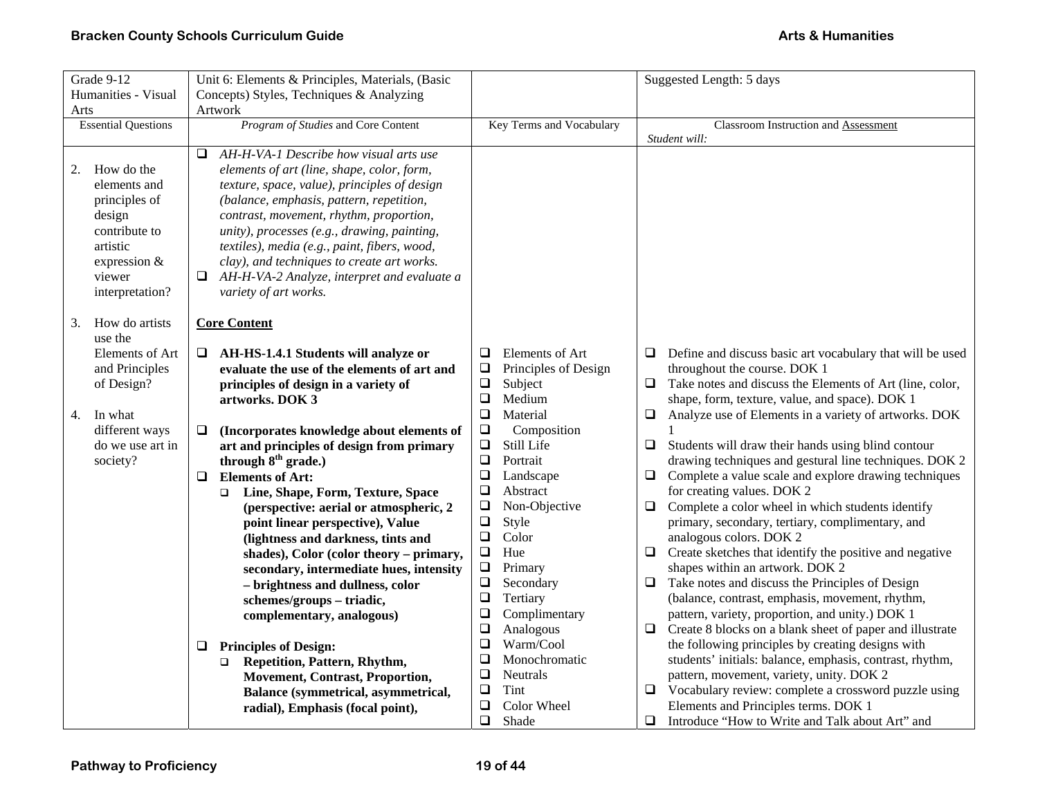| Grade 9-12                 | Unit 6: Elements & Principles, Materials, (Basic                           | Suggested Length: 5 days        |                                                                                                                        |  |  |
|----------------------------|----------------------------------------------------------------------------|---------------------------------|------------------------------------------------------------------------------------------------------------------------|--|--|
| Humanities - Visual        | Concepts) Styles, Techniques & Analyzing                                   |                                 |                                                                                                                        |  |  |
| Arts                       | Artwork                                                                    |                                 |                                                                                                                        |  |  |
| <b>Essential Questions</b> | Program of Studies and Core Content                                        | Key Terms and Vocabulary        | Classroom Instruction and Assessment                                                                                   |  |  |
|                            |                                                                            |                                 | Student will:                                                                                                          |  |  |
|                            | AH-H-VA-1 Describe how visual arts use<br>Q                                |                                 |                                                                                                                        |  |  |
| How do the<br>2.           | elements of art (line, shape, color, form,                                 |                                 |                                                                                                                        |  |  |
| elements and               | texture, space, value), principles of design                               |                                 |                                                                                                                        |  |  |
| principles of              | (balance, emphasis, pattern, repetition,                                   |                                 |                                                                                                                        |  |  |
| design                     | contrast, movement, rhythm, proportion,                                    |                                 |                                                                                                                        |  |  |
| contribute to              | unity), processes (e.g., drawing, painting,                                |                                 |                                                                                                                        |  |  |
| artistic                   | textiles), media (e.g., paint, fibers, wood,                               |                                 |                                                                                                                        |  |  |
| expression &               | clay), and techniques to create art works.                                 |                                 |                                                                                                                        |  |  |
| viewer                     | AH-H-VA-2 Analyze, interpret and evaluate a                                |                                 |                                                                                                                        |  |  |
| interpretation?            | variety of art works.                                                      |                                 |                                                                                                                        |  |  |
|                            |                                                                            |                                 |                                                                                                                        |  |  |
| How do artists<br>3.       | <b>Core Content</b>                                                        |                                 |                                                                                                                        |  |  |
| use the                    |                                                                            |                                 |                                                                                                                        |  |  |
| Elements of Art            | $\Box$ AH-HS-1.4.1 Students will analyze or                                | $\Box$<br>Elements of Art       | Define and discuss basic art vocabulary that will be used<br>⊔                                                         |  |  |
| and Principles             | evaluate the use of the elements of art and                                | Principles of Design<br>$\Box$  | throughout the course. DOK 1                                                                                           |  |  |
| of Design?                 | principles of design in a variety of                                       | $\Box$<br>Subject               | Take notes and discuss the Elements of Art (line, color,<br>$\Box$                                                     |  |  |
|                            | artworks. DOK 3                                                            | $\Box$<br>Medium                | shape, form, texture, value, and space). DOK 1                                                                         |  |  |
| In what<br>4.              |                                                                            | $\Box$<br>Material              | $\Box$<br>Analyze use of Elements in a variety of artworks. DOK                                                        |  |  |
| different ways             | (Incorporates knowledge about elements of<br>⊔                             | $\Box$<br>Composition           |                                                                                                                        |  |  |
| do we use art in           | art and principles of design from primary                                  | $\Box$<br>Still Life<br>$\Box$  | $\Box$<br>Students will draw their hands using blind contour<br>drawing techniques and gestural line techniques. DOK 2 |  |  |
| society?                   | through $8th$ grade.)<br><b>Elements of Art:</b>                           | Portrait<br>$\Box$              | Complete a value scale and explore drawing techniques<br>□                                                             |  |  |
|                            | ❏                                                                          | Landscape<br>$\Box$<br>Abstract | for creating values. DOK 2                                                                                             |  |  |
|                            | Line, Shape, Form, Texture, Space<br>$\Box$                                | $\Box$<br>Non-Objective         | Complete a color wheel in which students identify<br>$\Box$                                                            |  |  |
|                            | (perspective: aerial or atmospheric, 2<br>point linear perspective), Value | $\Box$<br>Style                 | primary, secondary, tertiary, complimentary, and                                                                       |  |  |
|                            | (lightness and darkness, tints and                                         | $\Box$<br>Color                 | analogous colors. DOK 2                                                                                                |  |  |
|                            | shades), Color (color theory - primary,                                    | $\Box$<br>Hue                   | Create sketches that identify the positive and negative<br>❏                                                           |  |  |
|                            | secondary, intermediate hues, intensity                                    | $\Box$<br>Primary               | shapes within an artwork. DOK 2                                                                                        |  |  |
|                            | - brightness and dullness, color                                           | ❏<br>Secondary                  | Take notes and discuss the Principles of Design<br>❏                                                                   |  |  |
|                            | schemes/groups-triadic,                                                    | Tertiary<br>$\Box$              | (balance, contrast, emphasis, movement, rhythm,                                                                        |  |  |
|                            | complementary, analogous)                                                  | $\Box$<br>Complimentary         | pattern, variety, proportion, and unity.) DOK 1                                                                        |  |  |
|                            |                                                                            | ❏<br>Analogous                  | Create 8 blocks on a blank sheet of paper and illustrate<br>❏                                                          |  |  |
|                            | <b>Principles of Design:</b><br>❏                                          | $\Box$<br>Warm/Cool             | the following principles by creating designs with                                                                      |  |  |
|                            | Repetition, Pattern, Rhythm,<br>$\Box$                                     | $\Box$<br>Monochromatic         | students' initials: balance, emphasis, contrast, rhythm,                                                               |  |  |
|                            | <b>Movement, Contrast, Proportion,</b>                                     | ❏<br>Neutrals                   | pattern, movement, variety, unity. DOK 2                                                                               |  |  |
|                            | Balance (symmetrical, asymmetrical,                                        | Tint<br>❏                       | Vocabulary review: complete a crossword puzzle using<br>u.                                                             |  |  |
|                            | radial), Emphasis (focal point),                                           | ❏<br>Color Wheel                | Elements and Principles terms. DOK 1                                                                                   |  |  |
|                            |                                                                            | $\Box$<br>Shade                 | Introduce "How to Write and Talk about Art" and<br>❏                                                                   |  |  |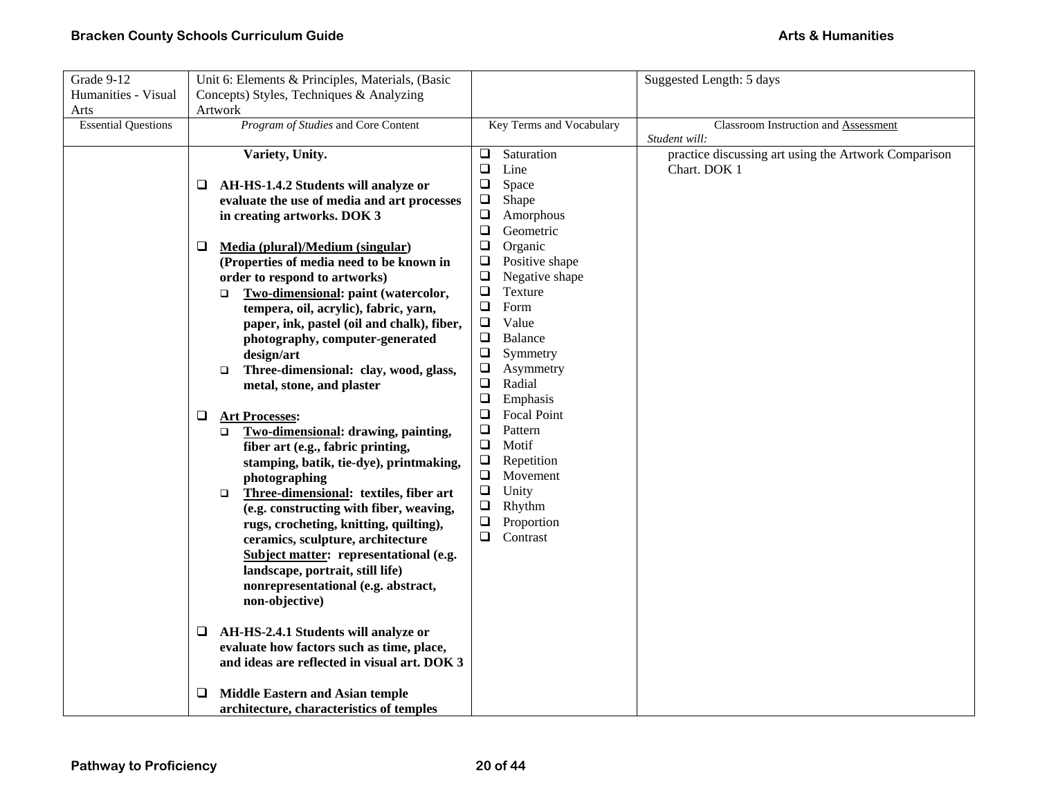| Grade 9-12                 | Unit 6: Elements & Principles, Materials, (Basic |                                              |                          |                    | Suggested Length: 5 days                             |
|----------------------------|--------------------------------------------------|----------------------------------------------|--------------------------|--------------------|------------------------------------------------------|
| Humanities - Visual        | Concepts) Styles, Techniques & Analyzing         |                                              |                          |                    |                                                      |
| Arts                       | Artwork                                          |                                              |                          |                    |                                                      |
| <b>Essential Questions</b> | Program of Studies and Core Content              |                                              | Key Terms and Vocabulary |                    | Classroom Instruction and Assessment                 |
|                            |                                                  |                                              |                          |                    | Student will:                                        |
|                            | Variety, Unity.                                  |                                              | $\Box$                   | Saturation         | practice discussing art using the Artwork Comparison |
|                            |                                                  |                                              | $\Box$                   | Line               | Chart. DOK 1                                         |
|                            | AH-HS-1.4.2 Students will analyze or<br>⊔        |                                              | $\Box$                   | Space              |                                                      |
|                            |                                                  | evaluate the use of media and art processes  | $\Box$                   | Shape              |                                                      |
|                            | in creating artworks. DOK 3                      |                                              | $\Box$                   | Amorphous          |                                                      |
|                            |                                                  |                                              | $\Box$                   | Geometric          |                                                      |
|                            | Media (plural)/Medium (singular)<br>⊔            |                                              | $\Box$                   | Organic            |                                                      |
|                            |                                                  | (Properties of media need to be known in     | $\Box$                   | Positive shape     |                                                      |
|                            | order to respond to artworks)                    |                                              | $\Box$                   | Negative shape     |                                                      |
|                            | □                                                | Two-dimensional: paint (watercolor,          | $\Box$                   | Texture            |                                                      |
|                            |                                                  | tempera, oil, acrylic), fabric, yarn,        | $\Box$                   | Form               |                                                      |
|                            |                                                  | paper, ink, pastel (oil and chalk), fiber,   | $\Box$                   | Value              |                                                      |
|                            |                                                  | photography, computer-generated              | Q                        | <b>Balance</b>     |                                                      |
|                            | design/art                                       |                                              | $\Box$                   | Symmetry           |                                                      |
|                            | $\Box$                                           | Three-dimensional: clay, wood, glass,        | ❏                        | Asymmetry          |                                                      |
|                            | metal, stone, and plaster                        |                                              | $\Box$                   | Radial             |                                                      |
|                            |                                                  |                                              | $\Box$                   | Emphasis           |                                                      |
|                            | <b>Art Processes:</b><br>❏                       |                                              | $\Box$                   | <b>Focal Point</b> |                                                      |
|                            | □                                                | Two-dimensional: drawing, painting,          | $\Box$                   | Pattern            |                                                      |
|                            | fiber art (e.g., fabric printing,                |                                              | $\Box$                   | Motif              |                                                      |
|                            |                                                  | stamping, batik, tie-dye), printmaking,      | $\Box$                   | Repetition         |                                                      |
|                            | photographing                                    |                                              | $\Box$                   | Movement<br>Unity  |                                                      |
|                            | $\Box$                                           | Three-dimensional: textiles, fiber art       | $\Box$<br>$\Box$         | Rhythm             |                                                      |
|                            |                                                  | (e.g. constructing with fiber, weaving,      | $\Box$                   | Proportion         |                                                      |
|                            |                                                  | rugs, crocheting, knitting, quilting),       | ❏                        | Contrast           |                                                      |
|                            |                                                  | ceramics, sculpture, architecture            |                          |                    |                                                      |
|                            | landscape, portrait, still life)                 | Subject matter: representational (e.g.       |                          |                    |                                                      |
|                            |                                                  | nonrepresentational (e.g. abstract,          |                          |                    |                                                      |
|                            | non-objective)                                   |                                              |                          |                    |                                                      |
|                            |                                                  |                                              |                          |                    |                                                      |
|                            | AH-HS-2.4.1 Students will analyze or<br>⊔        |                                              |                          |                    |                                                      |
|                            | evaluate how factors such as time, place,        |                                              |                          |                    |                                                      |
|                            |                                                  | and ideas are reflected in visual art. DOK 3 |                          |                    |                                                      |
|                            |                                                  |                                              |                          |                    |                                                      |
|                            | <b>Middle Eastern and Asian temple</b><br>⊔      |                                              |                          |                    |                                                      |
|                            | architecture, characteristics of temples         |                                              |                          |                    |                                                      |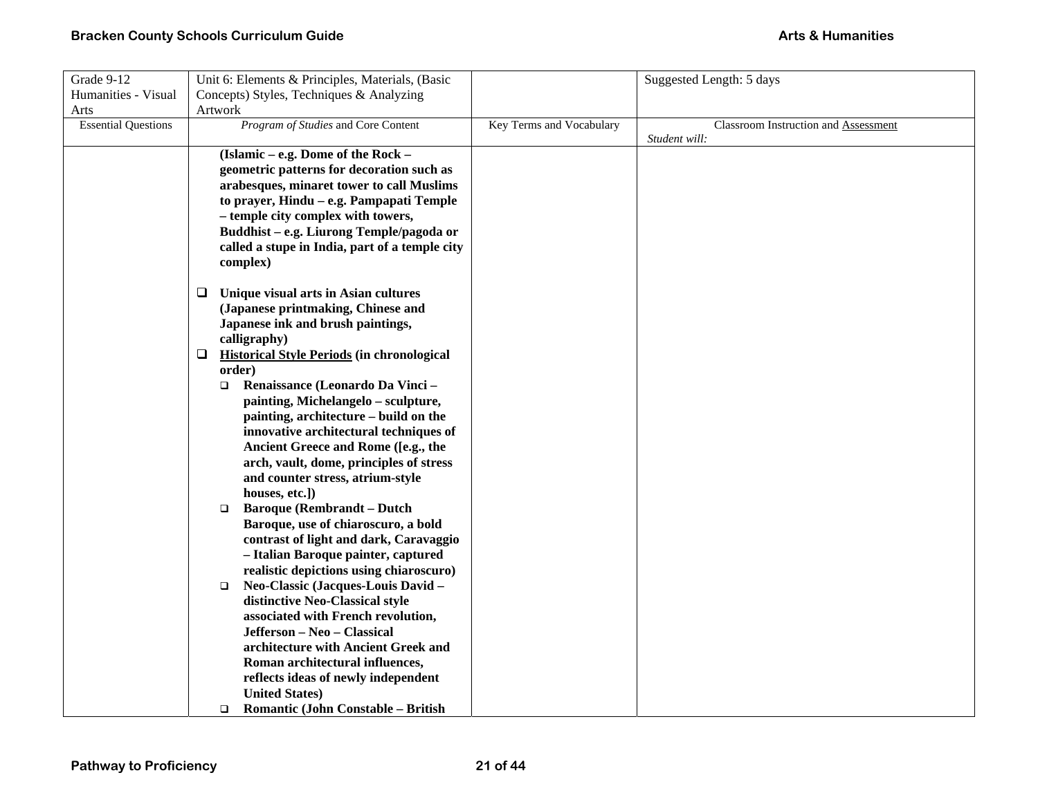| Grade 9-12                 | Unit 6: Elements & Principles, Materials, (Basic                            |                          | Suggested Length: 5 days             |
|----------------------------|-----------------------------------------------------------------------------|--------------------------|--------------------------------------|
| Humanities - Visual        | Concepts) Styles, Techniques & Analyzing                                    |                          |                                      |
| Arts                       | Artwork                                                                     |                          |                                      |
| <b>Essential Questions</b> | Program of Studies and Core Content                                         | Key Terms and Vocabulary | Classroom Instruction and Assessment |
|                            |                                                                             |                          | Student will:                        |
|                            | (Islamic - e.g. Dome of the Rock -                                          |                          |                                      |
|                            | geometric patterns for decoration such as                                   |                          |                                      |
|                            | arabesques, minaret tower to call Muslims                                   |                          |                                      |
|                            | to prayer, Hindu – e.g. Pampapati Temple                                    |                          |                                      |
|                            | - temple city complex with towers,                                          |                          |                                      |
|                            | Buddhist - e.g. Liurong Temple/pagoda or                                    |                          |                                      |
|                            | called a stupe in India, part of a temple city                              |                          |                                      |
|                            | complex)                                                                    |                          |                                      |
|                            |                                                                             |                          |                                      |
|                            | Unique visual arts in Asian cultures<br>⊔                                   |                          |                                      |
|                            | (Japanese printmaking, Chinese and                                          |                          |                                      |
|                            | Japanese ink and brush paintings,                                           |                          |                                      |
|                            | calligraphy)                                                                |                          |                                      |
|                            | <b>Historical Style Periods (in chronological</b><br>⊔                      |                          |                                      |
|                            | order)                                                                      |                          |                                      |
|                            | Renaissance (Leonardo Da Vinci -<br>□                                       |                          |                                      |
|                            | painting, Michelangelo - sculpture,                                         |                          |                                      |
|                            | painting, architecture - build on the                                       |                          |                                      |
|                            | innovative architectural techniques of                                      |                          |                                      |
|                            | Ancient Greece and Rome ([e.g., the                                         |                          |                                      |
|                            | arch, vault, dome, principles of stress<br>and counter stress, atrium-style |                          |                                      |
|                            | houses, etc.])                                                              |                          |                                      |
|                            | <b>Baroque (Rembrandt – Dutch</b><br>$\Box$                                 |                          |                                      |
|                            | Baroque, use of chiaroscuro, a bold                                         |                          |                                      |
|                            | contrast of light and dark, Caravaggio                                      |                          |                                      |
|                            | - Italian Baroque painter, captured                                         |                          |                                      |
|                            | realistic depictions using chiaroscuro)                                     |                          |                                      |
|                            | Neo-Classic (Jacques-Louis David -<br>$\Box$                                |                          |                                      |
|                            | distinctive Neo-Classical style                                             |                          |                                      |
|                            | associated with French revolution,                                          |                          |                                      |
|                            | Jefferson - Neo - Classical                                                 |                          |                                      |
|                            | architecture with Ancient Greek and                                         |                          |                                      |
|                            | Roman architectural influences,                                             |                          |                                      |
|                            | reflects ideas of newly independent                                         |                          |                                      |
|                            | <b>United States)</b>                                                       |                          |                                      |
|                            | <b>Romantic (John Constable - British</b><br>$\Box$                         |                          |                                      |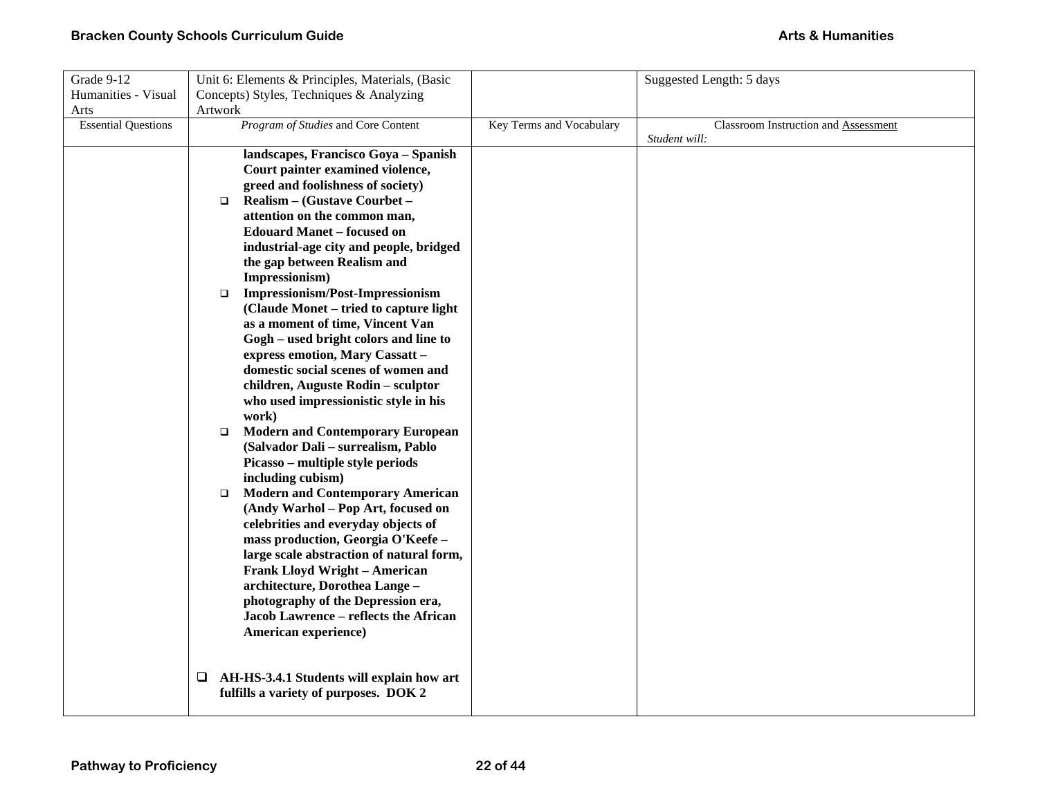| Grade 9-12                 | Unit 6: Elements & Principles, Materials, (Basic                                                                                                                                                                                                                                                                                                                                                                                                                                                                                                                                                                                                                                                                                                                                                                                                                                                                                                                                                                                                                                                                                                                                                                                                                                                                          |                          | Suggested Length: 5 days                              |
|----------------------------|---------------------------------------------------------------------------------------------------------------------------------------------------------------------------------------------------------------------------------------------------------------------------------------------------------------------------------------------------------------------------------------------------------------------------------------------------------------------------------------------------------------------------------------------------------------------------------------------------------------------------------------------------------------------------------------------------------------------------------------------------------------------------------------------------------------------------------------------------------------------------------------------------------------------------------------------------------------------------------------------------------------------------------------------------------------------------------------------------------------------------------------------------------------------------------------------------------------------------------------------------------------------------------------------------------------------------|--------------------------|-------------------------------------------------------|
| Humanities - Visual        | Concepts) Styles, Techniques & Analyzing                                                                                                                                                                                                                                                                                                                                                                                                                                                                                                                                                                                                                                                                                                                                                                                                                                                                                                                                                                                                                                                                                                                                                                                                                                                                                  |                          |                                                       |
| Arts                       | Artwork                                                                                                                                                                                                                                                                                                                                                                                                                                                                                                                                                                                                                                                                                                                                                                                                                                                                                                                                                                                                                                                                                                                                                                                                                                                                                                                   |                          |                                                       |
| <b>Essential Questions</b> | Program of Studies and Core Content                                                                                                                                                                                                                                                                                                                                                                                                                                                                                                                                                                                                                                                                                                                                                                                                                                                                                                                                                                                                                                                                                                                                                                                                                                                                                       | Key Terms and Vocabulary | Classroom Instruction and Assessment<br>Student will: |
|                            | landscapes, Francisco Goya - Spanish<br>Court painter examined violence,<br>greed and foolishness of society)<br>Realism – (Gustave Courbet –<br>$\Box$<br>attention on the common man,<br><b>Edouard Manet - focused on</b><br>industrial-age city and people, bridged<br>the gap between Realism and<br>Impressionism)<br><b>Impressionism/Post-Impressionism</b><br>$\Box$<br>(Claude Monet – tried to capture light<br>as a moment of time, Vincent Van<br>Gogh – used bright colors and line to<br>express emotion, Mary Cassatt -<br>domestic social scenes of women and<br>children, Auguste Rodin - sculptor<br>who used impressionistic style in his<br>work)<br><b>Modern and Contemporary European</b><br>$\Box$<br>(Salvador Dali - surrealism, Pablo<br>Picasso – multiple style periods<br>including cubism)<br><b>Modern and Contemporary American</b><br>$\Box$<br>(Andy Warhol - Pop Art, focused on<br>celebrities and everyday objects of<br>mass production, Georgia O'Keefe-<br>large scale abstraction of natural form,<br><b>Frank Lloyd Wright - American</b><br>architecture, Dorothea Lange -<br>photography of the Depression era,<br>Jacob Lawrence - reflects the African<br>American experience)<br>AH-HS-3.4.1 Students will explain how art<br>⊔<br>fulfills a variety of purposes. DOK 2 |                          |                                                       |
|                            |                                                                                                                                                                                                                                                                                                                                                                                                                                                                                                                                                                                                                                                                                                                                                                                                                                                                                                                                                                                                                                                                                                                                                                                                                                                                                                                           |                          |                                                       |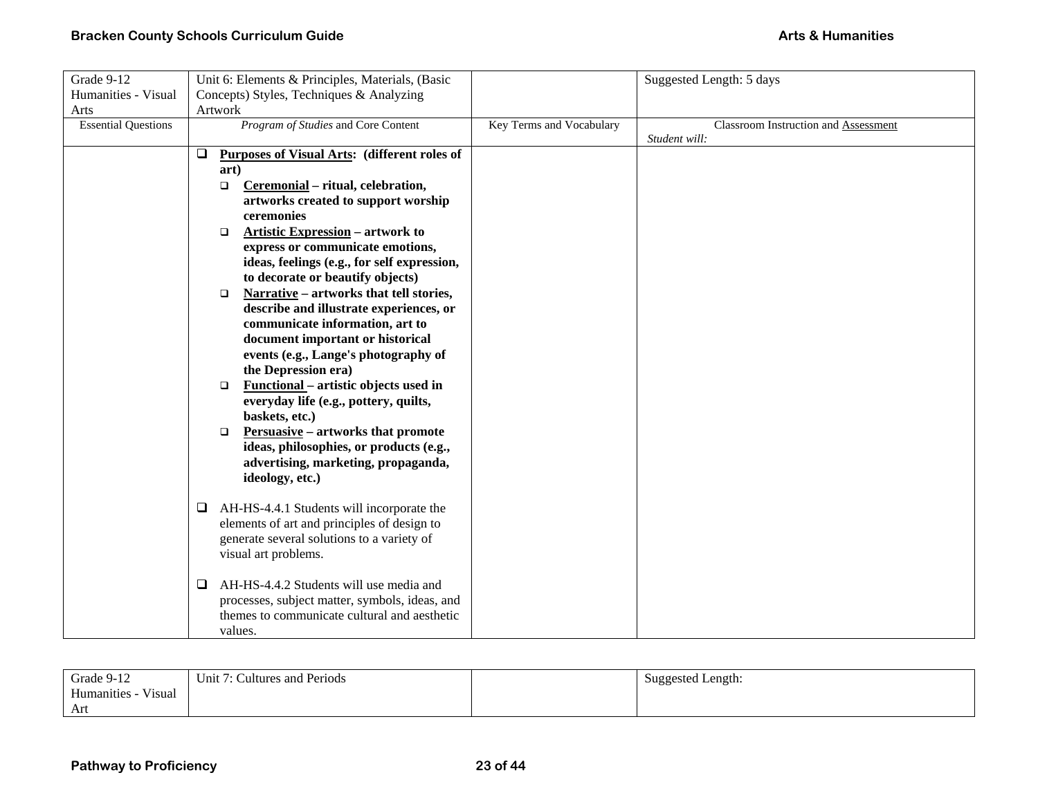| Grade 9-12                 | Unit 6: Elements & Principles, Materials, (Basic       |                          | Suggested Length: 5 days             |
|----------------------------|--------------------------------------------------------|--------------------------|--------------------------------------|
| Humanities - Visual        | Concepts) Styles, Techniques & Analyzing               |                          |                                      |
| Arts                       | Artwork                                                |                          |                                      |
| <b>Essential Questions</b> | Program of Studies and Core Content                    | Key Terms and Vocabulary | Classroom Instruction and Assessment |
|                            | Purposes of Visual Arts: (different roles of<br>$\Box$ |                          | Student will:                        |
|                            | art)                                                   |                          |                                      |
|                            | Ceremonial - ritual, celebration,<br>$\Box$            |                          |                                      |
|                            | artworks created to support worship                    |                          |                                      |
|                            | ceremonies                                             |                          |                                      |
|                            | <b>Artistic Expression</b> – artwork to<br>$\Box$      |                          |                                      |
|                            | express or communicate emotions,                       |                          |                                      |
|                            | ideas, feelings (e.g., for self expression,            |                          |                                      |
|                            | to decorate or beautify objects)                       |                          |                                      |
|                            | Narrative - artworks that tell stories,<br>$\Box$      |                          |                                      |
|                            | describe and illustrate experiences, or                |                          |                                      |
|                            | communicate information, art to                        |                          |                                      |
|                            | document important or historical                       |                          |                                      |
|                            | events (e.g., Lange's photography of                   |                          |                                      |
|                            | the Depression era)                                    |                          |                                      |
|                            | <b>Functional</b> – artistic objects used in<br>$\Box$ |                          |                                      |
|                            | everyday life (e.g., pottery, quilts,                  |                          |                                      |
|                            | baskets, etc.)                                         |                          |                                      |
|                            | Persuasive – artworks that promote<br>$\Box$           |                          |                                      |
|                            | ideas, philosophies, or products (e.g.,                |                          |                                      |
|                            | advertising, marketing, propaganda,                    |                          |                                      |
|                            | ideology, etc.)                                        |                          |                                      |
|                            |                                                        |                          |                                      |
|                            | AH-HS-4.4.1 Students will incorporate the<br>$\Box$    |                          |                                      |
|                            | elements of art and principles of design to            |                          |                                      |
|                            | generate several solutions to a variety of             |                          |                                      |
|                            | visual art problems.                                   |                          |                                      |
|                            | AH-HS-4.4.2 Students will use media and<br>❏           |                          |                                      |
|                            | processes, subject matter, symbols, ideas, and         |                          |                                      |
|                            | themes to communicate cultural and aesthetic           |                          |                                      |
|                            | values.                                                |                          |                                      |

| Grade 9-12                                        | $\sim$<br>.<br>Jnit '<br>l Periods<br>Cultures and <b>F</b> | Suggested Length:<br>ం<br>ັ |
|---------------------------------------------------|-------------------------------------------------------------|-----------------------------|
| $\mathbf{v}$<br><b>TT</b><br>Vısual<br>Humanities |                                                             |                             |
| Art                                               |                                                             |                             |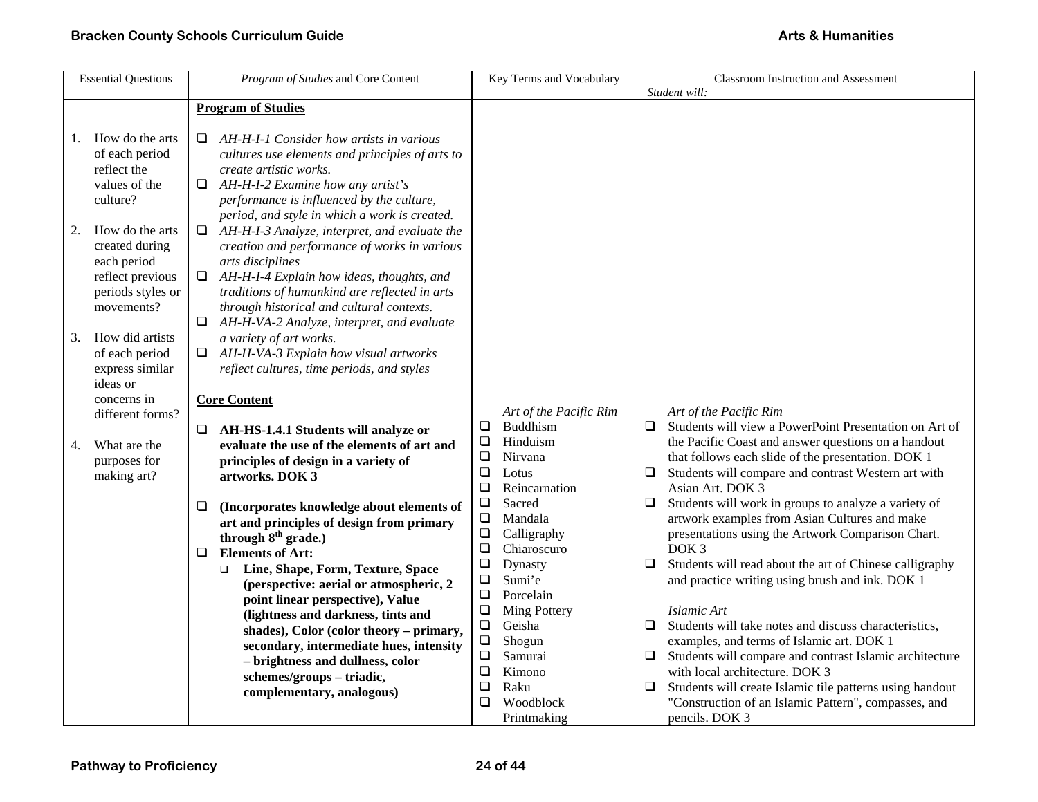| <b>Essential Questions</b>                                                                                    | Program of Studies and Core Content                                                                                                                                                                                                                                                                                            | Key Terms and Vocabulary                                                                                                                                                                    | Classroom Instruction and Assessment                                                                                                                                                                                                                                                                                                                                                                                |
|---------------------------------------------------------------------------------------------------------------|--------------------------------------------------------------------------------------------------------------------------------------------------------------------------------------------------------------------------------------------------------------------------------------------------------------------------------|---------------------------------------------------------------------------------------------------------------------------------------------------------------------------------------------|---------------------------------------------------------------------------------------------------------------------------------------------------------------------------------------------------------------------------------------------------------------------------------------------------------------------------------------------------------------------------------------------------------------------|
|                                                                                                               |                                                                                                                                                                                                                                                                                                                                |                                                                                                                                                                                             | Student will:                                                                                                                                                                                                                                                                                                                                                                                                       |
|                                                                                                               | <b>Program of Studies</b>                                                                                                                                                                                                                                                                                                      |                                                                                                                                                                                             |                                                                                                                                                                                                                                                                                                                                                                                                                     |
| How do the arts<br>1.<br>of each period<br>reflect the<br>values of the<br>culture?                           | $\Box$ AH-H-I-1 Consider how artists in various<br>cultures use elements and principles of arts to<br>create artistic works.<br>$\Box$ AH-H-I-2 Examine how any artist's<br>performance is influenced by the culture,                                                                                                          |                                                                                                                                                                                             |                                                                                                                                                                                                                                                                                                                                                                                                                     |
| How do the arts<br>2.<br>created during<br>each period<br>reflect previous<br>periods styles or<br>movements? | period, and style in which a work is created.<br>$\Box$ AH-H-I-3 Analyze, interpret, and evaluate the<br>creation and performance of works in various<br>arts disciplines<br>AH-H-I-4 Explain how ideas, thoughts, and<br>$\Box$<br>traditions of humankind are reflected in arts<br>through historical and cultural contexts. |                                                                                                                                                                                             |                                                                                                                                                                                                                                                                                                                                                                                                                     |
| How did artists<br>3.<br>of each period<br>express similar<br>ideas or                                        | $\Box$ AH-H-VA-2 Analyze, interpret, and evaluate<br>a variety of art works.<br>$\Box$ AH-H-VA-3 Explain how visual artworks<br>reflect cultures, time periods, and styles                                                                                                                                                     |                                                                                                                                                                                             |                                                                                                                                                                                                                                                                                                                                                                                                                     |
| concerns in<br>different forms?                                                                               | <b>Core Content</b>                                                                                                                                                                                                                                                                                                            | Art of the Pacific Rim<br>Buddhism<br>$\Box$                                                                                                                                                | Art of the Pacific Rim<br>$\Box$ Students will view a PowerPoint Presentation on Art of                                                                                                                                                                                                                                                                                                                             |
| What are the<br>4.<br>purposes for<br>making art?                                                             | AH-HS-1.4.1 Students will analyze or<br>❏<br>evaluate the use of the elements of art and<br>principles of design in a variety of<br>artworks. DOK 3                                                                                                                                                                            | $\Box$<br>Hinduism<br>$\Box$<br>Nirvana<br>$\Box$<br>Lotus<br>$\Box$<br>Reincarnation                                                                                                       | the Pacific Coast and answer questions on a handout<br>that follows each slide of the presentation. DOK 1<br>Students will compare and contrast Western art with<br>$\Box$<br>Asian Art. DOK 3                                                                                                                                                                                                                      |
|                                                                                                               | (Incorporates knowledge about elements of<br>❏<br>art and principles of design from primary<br>through 8 <sup>th</sup> grade.)<br><b>Elements of Art:</b><br>$\Box$<br>Line, Shape, Form, Texture, Space<br>$\Box$                                                                                                             | $\Box$<br>Sacred<br>$\Box$<br>Mandala<br>$\Box$<br>Calligraphy<br>$\Box$<br>Chiaroscuro<br>$\Box$<br>Dynasty                                                                                | Students will work in groups to analyze a variety of<br>❏<br>artwork examples from Asian Cultures and make<br>presentations using the Artwork Comparison Chart.<br>DOK <sub>3</sub><br>Students will read about the art of Chinese calligraphy<br>□                                                                                                                                                                 |
|                                                                                                               | (perspective: aerial or atmospheric, 2<br>point linear perspective), Value<br>(lightness and darkness, tints and<br>shades), Color (color theory - primary,<br>secondary, intermediate hues, intensity<br>- brightness and dullness, color<br>schemes/groups-triadic,<br>complementary, analogous)                             | Sumi'e<br>$\Box$<br>$\Box$<br>Porcelain<br>$\Box$<br>Ming Pottery<br>$\Box$<br>Geisha<br>$\Box$<br>Shogun<br>$\Box$<br>Samurai<br>$\Box$<br>Kimono<br>$\Box$<br>Raku<br>Woodblock<br>$\Box$ | and practice writing using brush and ink. DOK 1<br>Islamic Art<br>Students will take notes and discuss characteristics,<br>$\Box$<br>examples, and terms of Islamic art. DOK 1<br>Students will compare and contrast Islamic architecture<br>$\Box$<br>with local architecture. DOK 3<br>Students will create Islamic tile patterns using handout<br>$\Box$<br>"Construction of an Islamic Pattern", compasses, and |
|                                                                                                               |                                                                                                                                                                                                                                                                                                                                | Printmaking                                                                                                                                                                                 | pencils. DOK 3                                                                                                                                                                                                                                                                                                                                                                                                      |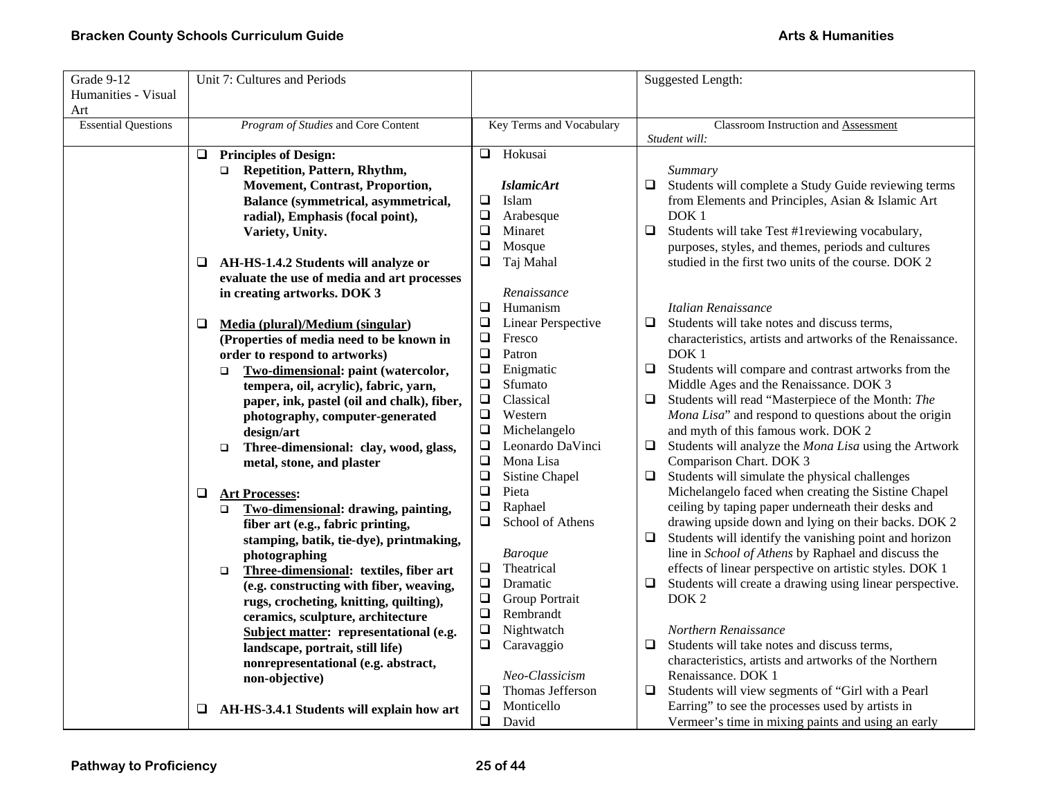| Grade 9-12                 |        | Unit 7: Cultures and Periods                     |                  |                          |        | Suggested Length:                                         |
|----------------------------|--------|--------------------------------------------------|------------------|--------------------------|--------|-----------------------------------------------------------|
| Humanities - Visual        |        |                                                  |                  |                          |        |                                                           |
| Art                        |        |                                                  |                  |                          |        |                                                           |
| <b>Essential Questions</b> |        | Program of Studies and Core Content              |                  | Key Terms and Vocabulary |        | <b>Classroom Instruction and Assessment</b>               |
|                            |        |                                                  |                  |                          |        | Student will:                                             |
|                            | $\Box$ | <b>Principles of Design:</b>                     | ⊔                | Hokusai                  |        |                                                           |
|                            |        | Repetition, Pattern, Rhythm,<br>$\Box$           |                  |                          |        | Summary                                                   |
|                            |        | <b>Movement, Contrast, Proportion,</b>           |                  | <b>IslamicArt</b>        | $\Box$ | Students will complete a Study Guide reviewing terms      |
|                            |        | Balance (symmetrical, asymmetrical,              | $\Box$           | Islam                    |        | from Elements and Principles, Asian & Islamic Art         |
|                            |        | radial), Emphasis (focal point),                 | $\Box$           | Arabesque                |        | DOK <sub>1</sub>                                          |
|                            |        | Variety, Unity.                                  | $\Box$           | Minaret                  | $\Box$ | Students will take Test #1reviewing vocabulary,           |
|                            |        |                                                  | $\Box$           | Mosque                   |        | purposes, styles, and themes, periods and cultures        |
|                            | ⊔      | AH-HS-1.4.2 Students will analyze or             | ❏                | Taj Mahal                |        | studied in the first two units of the course. DOK 2       |
|                            |        | evaluate the use of media and art processes      |                  |                          |        |                                                           |
|                            |        | in creating artworks. DOK 3                      |                  | Renaissance              |        |                                                           |
|                            |        |                                                  | $\Box$           | Humanism                 |        | Italian Renaissance                                       |
|                            | ⊔      | Media (plural)/Medium (singular)                 | $\Box$           | Linear Perspective       | $\Box$ | Students will take notes and discuss terms,               |
|                            |        | (Properties of media need to be known in         | $\Box$           | Fresco                   |        | characteristics, artists and artworks of the Renaissance. |
|                            |        | order to respond to artworks)                    | $\Box$           | Patron                   |        | DOK <sub>1</sub>                                          |
|                            |        | Two-dimensional: paint (watercolor,<br>$\Box$    | $\Box$           | Enigmatic                | □      | Students will compare and contrast artworks from the      |
|                            |        | tempera, oil, acrylic), fabric, yarn,            | $\Box$           | Sfumato                  |        | Middle Ages and the Renaissance. DOK 3                    |
|                            |        | paper, ink, pastel (oil and chalk), fiber,       | $\Box$           | Classical                | $\Box$ | Students will read "Masterpiece of the Month: The         |
|                            |        | photography, computer-generated                  | $\Box$           | Western                  |        | Mona Lisa" and respond to questions about the origin      |
|                            |        | design/art                                       | $\Box$           | Michelangelo             |        | and myth of this famous work. DOK 2                       |
|                            |        | Three-dimensional: clay, wood, glass,<br>$\Box$  | $\Box$           | Leonardo DaVinci         | $\Box$ | Students will analyze the Mona Lisa using the Artwork     |
|                            |        | metal, stone, and plaster                        | $\Box$           | Mona Lisa                |        | Comparison Chart. DOK 3                                   |
|                            |        |                                                  | $\Box$           | Sistine Chapel           | $\Box$ | Students will simulate the physical challenges            |
|                            | ❏      | <b>Art Processes:</b>                            | $\Box$           | Pieta                    |        | Michelangelo faced when creating the Sistine Chapel       |
|                            |        | Two-dimensional: drawing, painting,<br>$\Box$    | $\Box$           | Raphael                  |        | ceiling by taping paper underneath their desks and        |
|                            |        | fiber art (e.g., fabric printing,                | $\Box$           | School of Athens         |        | drawing upside down and lying on their backs. DOK 2       |
|                            |        | stamping, batik, tie-dye), printmaking,          |                  |                          | ❏      | Students will identify the vanishing point and horizon    |
|                            |        | photographing                                    |                  | <b>Baroque</b>           |        | line in School of Athens by Raphael and discuss the       |
|                            |        | Three-dimensional: textiles, fiber art<br>$\Box$ | $\Box$           | Theatrical               |        | effects of linear perspective on artistic styles. DOK 1   |
|                            |        | (e.g. constructing with fiber, weaving,          | $\Box$           | Dramatic                 | $\Box$ | Students will create a drawing using linear perspective.  |
|                            |        | rugs, crocheting, knitting, quilting),           | $\Box$           | Group Portrait           |        | DOK <sub>2</sub>                                          |
|                            |        | ceramics, sculpture, architecture                | $\Box$           | Rembrandt                |        |                                                           |
|                            |        | Subject matter: representational (e.g.           | $\Box$           | Nightwatch               |        | Northern Renaissance                                      |
|                            |        | landscape, portrait, still life)                 | $\Box$           | Caravaggio               | $\Box$ | Students will take notes and discuss terms,               |
|                            |        | nonrepresentational (e.g. abstract,              |                  |                          |        | characteristics, artists and artworks of the Northern     |
|                            |        | non-objective)                                   |                  | Neo-Classicism           |        | Renaissance. DOK 1                                        |
|                            |        |                                                  | $\Box$           | Thomas Jefferson         | $\Box$ | Students will view segments of "Girl with a Pearl         |
|                            | ⊔      | AH-HS-3.4.1 Students will explain how art        | $\Box$<br>$\Box$ | Monticello               |        | Earring" to see the processes used by artists in          |
|                            |        |                                                  |                  | David                    |        | Vermeer's time in mixing paints and using an early        |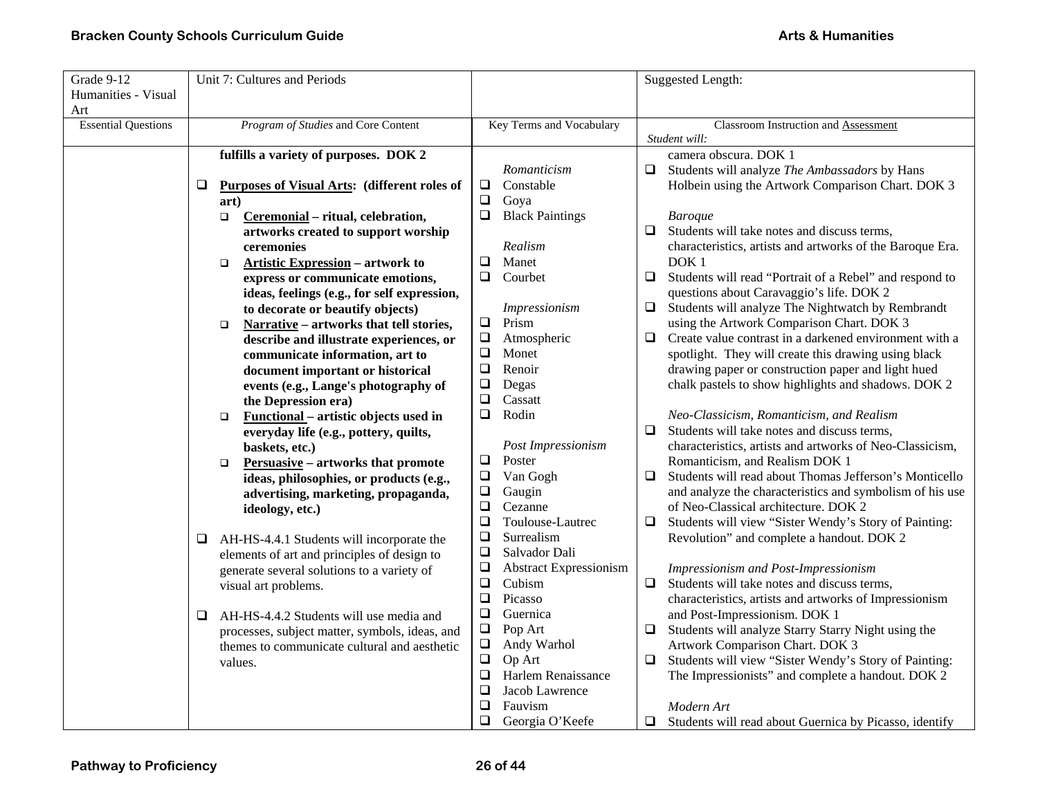| Grade 9-12                 | Unit 7: Cultures and Periods                           |                                         | Suggested Length:                                                 |
|----------------------------|--------------------------------------------------------|-----------------------------------------|-------------------------------------------------------------------|
| Humanities - Visual        |                                                        |                                         |                                                                   |
| Art                        |                                                        |                                         |                                                                   |
| <b>Essential Questions</b> | Program of Studies and Core Content                    | Key Terms and Vocabulary                | Classroom Instruction and Assessment                              |
|                            |                                                        |                                         | Student will:                                                     |
|                            | fulfills a variety of purposes. DOK 2                  |                                         | camera obscura. DOK 1                                             |
|                            |                                                        | Romanticism                             | $\Box$<br>Students will analyze The Ambassadors by Hans           |
|                            | Purposes of Visual Arts: (different roles of<br>❏      | Constable<br>$\Box$                     | Holbein using the Artwork Comparison Chart. DOK 3                 |
|                            | art)                                                   | $\Box$<br>Goya                          |                                                                   |
|                            | Ceremonial - ritual, celebration,<br>$\Box$            | $\Box$<br><b>Black Paintings</b>        | <b>Baroque</b>                                                    |
|                            | artworks created to support worship                    |                                         | $\Box$<br>Students will take notes and discuss terms,             |
|                            | ceremonies                                             | Realism                                 | characteristics, artists and artworks of the Baroque Era.         |
|                            | <b>Artistic Expression - artwork to</b><br>$\Box$      | Manet<br>❏                              | DOK <sub>1</sub>                                                  |
|                            | express or communicate emotions,                       | $\Box$<br>Courbet                       | $\Box$<br>Students will read "Portrait of a Rebel" and respond to |
|                            | ideas, feelings (e.g., for self expression,            |                                         | questions about Caravaggio's life. DOK 2                          |
|                            | to decorate or beautify objects)                       | Impressionism                           | Students will analyze The Nightwatch by Rembrandt<br>$\Box$       |
|                            | Narrative - artworks that tell stories,<br>$\Box$      | $\Box$<br>Prism                         | using the Artwork Comparison Chart. DOK 3                         |
|                            | describe and illustrate experiences, or                | $\Box$<br>Atmospheric                   | Create value contrast in a darkened environment with a<br>$\Box$  |
|                            | communicate information, art to                        | $\Box$<br>Monet                         | spotlight. They will create this drawing using black              |
|                            | document important or historical                       | ❏<br>Renoir                             | drawing paper or construction paper and light hued                |
|                            | events (e.g., Lange's photography of                   | $\Box$<br>Degas                         | chalk pastels to show highlights and shadows. DOK 2               |
|                            | the Depression era)                                    | $\Box$<br>Cassatt                       |                                                                   |
|                            | <b>Functional</b> – artistic objects used in<br>$\Box$ | Rodin<br>$\Box$                         | Neo-Classicism, Romanticism, and Realism                          |
|                            | everyday life (e.g., pottery, quilts,                  |                                         | Students will take notes and discuss terms,<br>$\Box$             |
|                            | baskets, etc.)                                         | Post Impressionism                      | characteristics, artists and artworks of Neo-Classicism,          |
|                            | <b>Persuasive</b> – artworks that promote<br>$\Box$    | $\Box$<br>Poster                        | Romanticism, and Realism DOK 1                                    |
|                            | ideas, philosophies, or products (e.g.,                | $\Box$<br>Van Gogh                      | Students will read about Thomas Jefferson's Monticello<br>$\Box$  |
|                            | advertising, marketing, propaganda,                    | $\Box$<br>Gaugin                        | and analyze the characteristics and symbolism of his use          |
|                            | ideology, etc.)                                        | $\Box$<br>Cezanne                       | of Neo-Classical architecture. DOK 2                              |
|                            |                                                        | $\Box$<br>Toulouse-Lautrec              | Students will view "Sister Wendy's Story of Painting:<br>$\Box$   |
|                            | AH-HS-4.4.1 Students will incorporate the<br>$\Box$    | Surrealism<br>❏                         | Revolution" and complete a handout. DOK 2                         |
|                            | elements of art and principles of design to            | $\Box$<br>Salvador Dali                 |                                                                   |
|                            | generate several solutions to a variety of             | $\Box$<br><b>Abstract Expressionism</b> | Impressionism and Post-Impressionism                              |
|                            | visual art problems.                                   | $\Box$<br>Cubism                        | Students will take notes and discuss terms,<br>$\Box$             |
|                            |                                                        | $\Box$<br>Picasso                       | characteristics, artists and artworks of Impressionism            |
|                            | AH-HS-4.4.2 Students will use media and<br>$\Box$      | $\Box$<br>Guernica                      | and Post-Impressionism. DOK 1                                     |
|                            | processes, subject matter, symbols, ideas, and         | $\Box$<br>Pop Art                       | Students will analyze Starry Starry Night using the<br>□          |
|                            | themes to communicate cultural and aesthetic           | $\Box$<br>Andy Warhol                   | Artwork Comparison Chart. DOK 3                                   |
|                            | values.                                                | $\Box$<br>Op Art                        | Students will view "Sister Wendy's Story of Painting:<br>$\Box$   |
|                            |                                                        | Harlem Renaissance<br>❏                 | The Impressionists" and complete a handout. DOK 2                 |
|                            |                                                        | $\Box$<br>Jacob Lawrence                |                                                                   |
|                            |                                                        | ❏<br>Fauvism                            | Modern Art                                                        |
|                            |                                                        | ❏<br>Georgia O'Keefe                    | Students will read about Guernica by Picasso, identify<br>$\Box$  |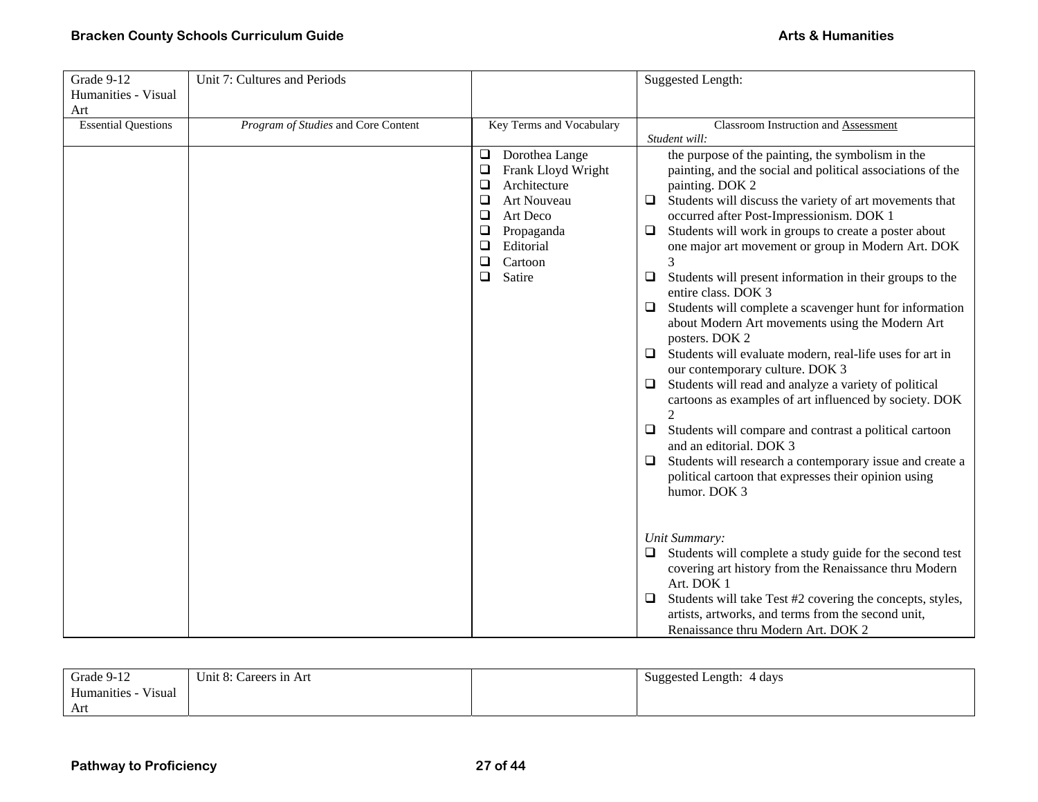| Grade 9-12<br>Humanities - Visual<br>Art | Unit 7: Cultures and Periods        |                                                                                                                                                                                                                                   | <b>Suggested Length:</b>                                                                                                                                                                                                                                                                                                                                                                                                                                                                                                                                                                                                                                                                                                                                                                                                                                                                                                                                                                                                                                                                                                                                                                                                                                                                                                                                                                                                       |
|------------------------------------------|-------------------------------------|-----------------------------------------------------------------------------------------------------------------------------------------------------------------------------------------------------------------------------------|--------------------------------------------------------------------------------------------------------------------------------------------------------------------------------------------------------------------------------------------------------------------------------------------------------------------------------------------------------------------------------------------------------------------------------------------------------------------------------------------------------------------------------------------------------------------------------------------------------------------------------------------------------------------------------------------------------------------------------------------------------------------------------------------------------------------------------------------------------------------------------------------------------------------------------------------------------------------------------------------------------------------------------------------------------------------------------------------------------------------------------------------------------------------------------------------------------------------------------------------------------------------------------------------------------------------------------------------------------------------------------------------------------------------------------|
| <b>Essential Questions</b>               | Program of Studies and Core Content | Key Terms and Vocabulary<br>$\Box$<br>Dorothea Lange<br>$\Box$<br>Frank Lloyd Wright<br>Architecture<br>$\Box$<br>□<br>Art Nouveau<br>□<br>Art Deco<br>$\Box$<br>Propaganda<br>❏<br>Editorial<br>$\Box$<br>Cartoon<br>❏<br>Satire | Classroom Instruction and Assessment<br>Student will:<br>the purpose of the painting, the symbolism in the<br>painting, and the social and political associations of the<br>painting. DOK 2<br>Students will discuss the variety of art movements that<br>$\Box$<br>occurred after Post-Impressionism. DOK 1<br>Students will work in groups to create a poster about<br>$\Box$<br>one major art movement or group in Modern Art. DOK<br>$\Box$<br>Students will present information in their groups to the<br>entire class. DOK 3<br>Students will complete a scavenger hunt for information<br>$\Box$<br>about Modern Art movements using the Modern Art<br>posters. DOK 2<br>Students will evaluate modern, real-life uses for art in<br>$\Box$<br>our contemporary culture. DOK 3<br>Students will read and analyze a variety of political<br>$\Box$<br>cartoons as examples of art influenced by society. DOK<br>$\mathcal{D}_{\alpha}$<br>Students will compare and contrast a political cartoon<br>$\Box$<br>and an editorial. DOK 3<br>Students will research a contemporary issue and create a<br>$\Box$<br>political cartoon that expresses their opinion using<br>humor. DOK 3<br>Unit Summary:<br>Students will complete a study guide for the second test<br>$\Box$<br>covering art history from the Renaissance thru Modern<br>Art. DOK 1<br>Students will take Test #2 covering the concepts, styles,<br>$\Box$ |
|                                          |                                     |                                                                                                                                                                                                                                   | artists, artworks, and terms from the second unit,<br>Renaissance thru Modern Art. DOK 2                                                                                                                                                                                                                                                                                                                                                                                                                                                                                                                                                                                                                                                                                                                                                                                                                                                                                                                                                                                                                                                                                                                                                                                                                                                                                                                                       |

| Grade 9-12                             | Unit 8: Careers in Art | Suggested Length: 4 days |
|----------------------------------------|------------------------|--------------------------|
| $\mathbf{v}$<br>Humanities -<br>Visual |                        |                          |
| Art                                    |                        |                          |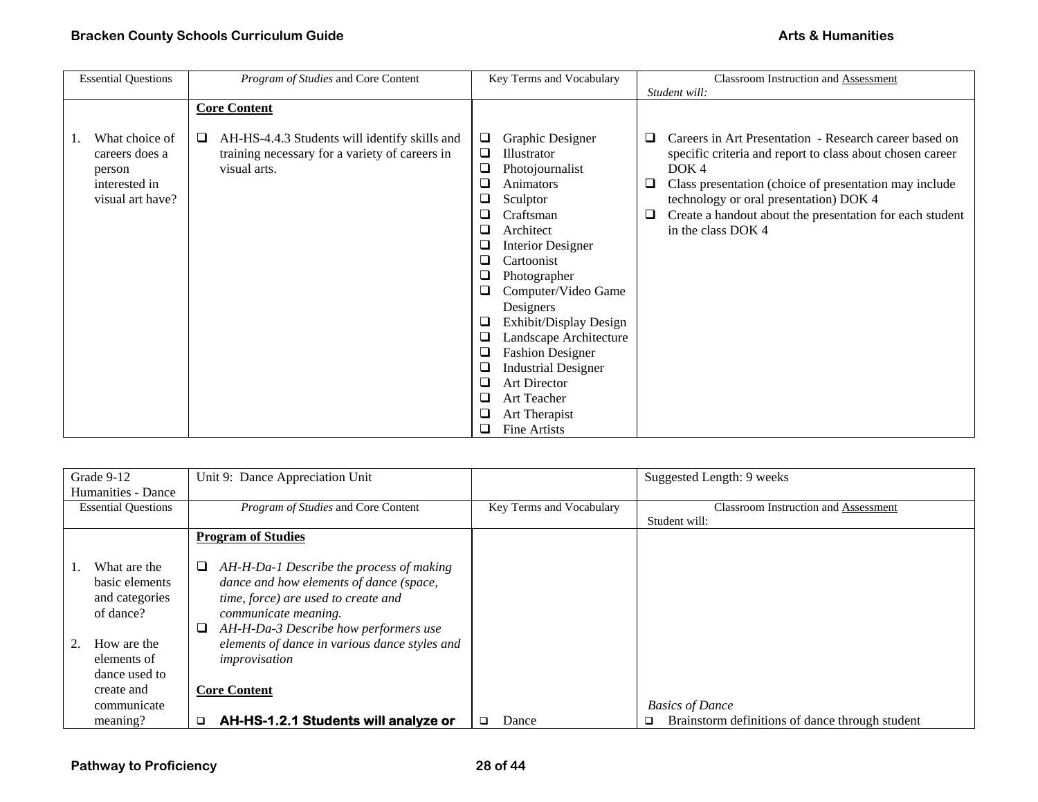| <b>Essential Questions</b> | Program of Studies and Core Content                | Key Terms and Vocabulary                               | Classroom Instruction and Assessment                           |
|----------------------------|----------------------------------------------------|--------------------------------------------------------|----------------------------------------------------------------|
|                            |                                                    |                                                        | Student will:                                                  |
|                            | <b>Core Content</b>                                |                                                        |                                                                |
|                            |                                                    |                                                        |                                                                |
| What choice of             | AH-HS-4.4.3 Students will identify skills and<br>❏ | Graphic Designer<br>$\Box$                             | Careers in Art Presentation - Research career based on<br>⊔    |
| careers does a             | training necessary for a variety of careers in     | Illustrator<br>⊔                                       | specific criteria and report to class about chosen career      |
| person                     | visual arts.                                       | Photojournalist<br>⊔                                   | DOK4                                                           |
| interested in              |                                                    | Animators<br>⊔                                         | Class presentation (choice of presentation may include<br>u    |
| visual art have?           |                                                    | Sculptor<br>⊔                                          | technology or oral presentation) DOK 4                         |
|                            |                                                    | Craftsman<br>⊔                                         | Create a handout about the presentation for each student<br>Q. |
|                            |                                                    | Architect<br>⊔                                         | in the class DOK 4                                             |
|                            |                                                    | <b>Interior Designer</b><br>$\Box$                     |                                                                |
|                            |                                                    | Cartoonist<br>❏                                        |                                                                |
|                            |                                                    | Photographer<br>O                                      |                                                                |
|                            |                                                    | Computer/Video Game<br>❏                               |                                                                |
|                            |                                                    | Designers                                              |                                                                |
|                            |                                                    | Exhibit/Display Design<br>⊔                            |                                                                |
|                            |                                                    | Landscape Architecture<br>⊔                            |                                                                |
|                            |                                                    | <b>Fashion Designer</b><br>ш                           |                                                                |
|                            |                                                    | <b>Industrial Designer</b><br>$\overline{\phantom{a}}$ |                                                                |
|                            |                                                    | <b>Art Director</b><br>⊔                               |                                                                |
|                            |                                                    | Art Teacher<br>⊔                                       |                                                                |
|                            |                                                    | Art Therapist<br>⊔                                     |                                                                |
|                            |                                                    | <b>Fine Artists</b><br>⊔                               |                                                                |

| Grade 9-12                 | Unit 9: Dance Appreciation Unit                |                          | Suggested Length: 9 weeks                            |
|----------------------------|------------------------------------------------|--------------------------|------------------------------------------------------|
| Humanities - Dance         |                                                |                          |                                                      |
| <b>Essential Questions</b> | Program of Studies and Core Content            | Key Terms and Vocabulary | Classroom Instruction and Assessment                 |
|                            |                                                |                          | Student will:                                        |
|                            | <b>Program of Studies</b>                      |                          |                                                      |
|                            |                                                |                          |                                                      |
| What are the               | AH-H-Da-1 Describe the process of making<br>u  |                          |                                                      |
| basic elements             | dance and how elements of dance (space,        |                          |                                                      |
| and categories             | time, force) are used to create and            |                          |                                                      |
| of dance?                  | communicate meaning.                           |                          |                                                      |
|                            | AH-H-Da-3 Describe how performers use<br>⊔     |                          |                                                      |
| How are the                | elements of dance in various dance styles and  |                          |                                                      |
| elements of                | improvisation                                  |                          |                                                      |
| dance used to              |                                                |                          |                                                      |
| create and                 | <b>Core Content</b>                            |                          |                                                      |
| communicate                |                                                |                          | <b>Basics of Dance</b>                               |
| meaning?                   | AH-HS-1.2.1 Students will analyze or<br>$\Box$ | Dance                    | Brainstorm definitions of dance through student<br>□ |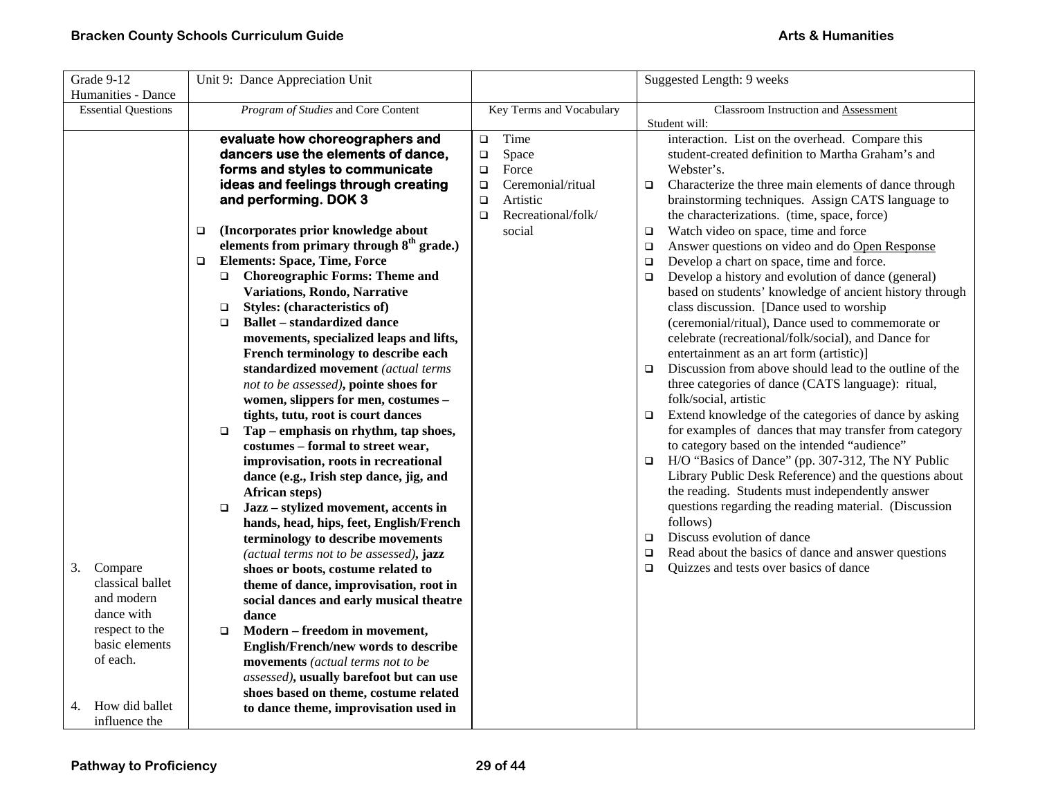| Grade 9-12                                                                                            | Unit 9: Dance Appreciation Unit                                                                                                                                                                                                                                                                                                                                                                                                                                                                                                                                                                                                                                                                                                                                                                                                                                                                                                                                                                                                                                                                                                                                                                                                                                                                                         |                                                                                                                                                     | Suggested Length: 9 weeks                                                                                                                                                                                                                                                                                                                                                                                                                                                                                                                                                                                                                                                                                                                                                                                                                                                                                                                                                                                                                                                                                                                                                                                                                                                                                                                                                                                                                                                                                                                                     |
|-------------------------------------------------------------------------------------------------------|-------------------------------------------------------------------------------------------------------------------------------------------------------------------------------------------------------------------------------------------------------------------------------------------------------------------------------------------------------------------------------------------------------------------------------------------------------------------------------------------------------------------------------------------------------------------------------------------------------------------------------------------------------------------------------------------------------------------------------------------------------------------------------------------------------------------------------------------------------------------------------------------------------------------------------------------------------------------------------------------------------------------------------------------------------------------------------------------------------------------------------------------------------------------------------------------------------------------------------------------------------------------------------------------------------------------------|-----------------------------------------------------------------------------------------------------------------------------------------------------|---------------------------------------------------------------------------------------------------------------------------------------------------------------------------------------------------------------------------------------------------------------------------------------------------------------------------------------------------------------------------------------------------------------------------------------------------------------------------------------------------------------------------------------------------------------------------------------------------------------------------------------------------------------------------------------------------------------------------------------------------------------------------------------------------------------------------------------------------------------------------------------------------------------------------------------------------------------------------------------------------------------------------------------------------------------------------------------------------------------------------------------------------------------------------------------------------------------------------------------------------------------------------------------------------------------------------------------------------------------------------------------------------------------------------------------------------------------------------------------------------------------------------------------------------------------|
| <b>Essential Questions</b>                                                                            | Program of Studies and Core Content                                                                                                                                                                                                                                                                                                                                                                                                                                                                                                                                                                                                                                                                                                                                                                                                                                                                                                                                                                                                                                                                                                                                                                                                                                                                                     | Key Terms and Vocabulary                                                                                                                            | Classroom Instruction and Assessment                                                                                                                                                                                                                                                                                                                                                                                                                                                                                                                                                                                                                                                                                                                                                                                                                                                                                                                                                                                                                                                                                                                                                                                                                                                                                                                                                                                                                                                                                                                          |
| Humanities - Dance<br>Compare<br>3.<br>classical ballet<br>and modern<br>dance with<br>respect to the | evaluate how choreographers and<br>dancers use the elements of dance,<br>forms and styles to communicate<br>ideas and feelings through creating<br>and performing. DOK 3<br>(Incorporates prior knowledge about<br>$\Box$<br>elements from primary through 8 <sup>th</sup> grade.)<br><b>Elements: Space, Time, Force</b><br>$\Box$<br><b>Choreographic Forms: Theme and</b><br>$\Box$<br>Variations, Rondo, Narrative<br>Styles: (characteristics of)<br>$\Box$<br><b>Ballet - standardized dance</b><br>$\Box$<br>movements, specialized leaps and lifts,<br>French terminology to describe each<br>standardized movement (actual terms<br>not to be assessed), pointe shoes for<br>women, slippers for men, costumes -<br>tights, tutu, root is court dances<br>Tap – emphasis on rhythm, tap shoes,<br>$\Box$<br>costumes - formal to street wear,<br>improvisation, roots in recreational<br>dance (e.g., Irish step dance, jig, and<br>African steps)<br>Jazz - stylized movement, accents in<br>$\Box$<br>hands, head, hips, feet, English/French<br>terminology to describe movements<br>(actual terms not to be assessed), jazz<br>shoes or boots, costume related to<br>theme of dance, improvisation, root in<br>social dances and early musical theatre<br>dance<br>Modern - freedom in movement,<br>$\Box$ | Time<br>$\Box$<br>Space<br>$\Box$<br>Force<br>$\Box$<br>Ceremonial/ritual<br>$\Box$<br>Artistic<br>$\Box$<br>Recreational/folk/<br>$\Box$<br>social | Student will:<br>interaction. List on the overhead. Compare this<br>student-created definition to Martha Graham's and<br>Webster's.<br>Characterize the three main elements of dance through<br>$\Box$<br>brainstorming techniques. Assign CATS language to<br>the characterizations. (time, space, force)<br>Watch video on space, time and force<br>$\Box$<br>Answer questions on video and do Open Response<br>$\Box$<br>Develop a chart on space, time and force.<br>$\Box$<br>Develop a history and evolution of dance (general)<br>$\Box$<br>based on students' knowledge of ancient history through<br>class discussion. [Dance used to worship<br>(ceremonial/ritual), Dance used to commemorate or<br>celebrate (recreational/folk/social), and Dance for<br>entertainment as an art form (artistic)]<br>Discussion from above should lead to the outline of the<br>$\Box$<br>three categories of dance (CATS language): ritual,<br>folk/social, artistic<br>Extend knowledge of the categories of dance by asking<br>$\Box$<br>for examples of dances that may transfer from category<br>to category based on the intended "audience"<br>H/O "Basics of Dance" (pp. 307-312, The NY Public<br>$\Box$<br>Library Public Desk Reference) and the questions about<br>the reading. Students must independently answer<br>questions regarding the reading material. (Discussion<br>follows)<br>Discuss evolution of dance<br>$\Box$<br>Read about the basics of dance and answer questions<br>$\Box$<br>Quizzes and tests over basics of dance<br>$\Box$ |
| basic elements<br>of each.<br>How did ballet<br>4.                                                    | English/French/new words to describe<br>movements (actual terms not to be<br>assessed), usually barefoot but can use<br>shoes based on theme, costume related<br>to dance theme, improvisation used in                                                                                                                                                                                                                                                                                                                                                                                                                                                                                                                                                                                                                                                                                                                                                                                                                                                                                                                                                                                                                                                                                                                  |                                                                                                                                                     |                                                                                                                                                                                                                                                                                                                                                                                                                                                                                                                                                                                                                                                                                                                                                                                                                                                                                                                                                                                                                                                                                                                                                                                                                                                                                                                                                                                                                                                                                                                                                               |
| influence the                                                                                         |                                                                                                                                                                                                                                                                                                                                                                                                                                                                                                                                                                                                                                                                                                                                                                                                                                                                                                                                                                                                                                                                                                                                                                                                                                                                                                                         |                                                                                                                                                     |                                                                                                                                                                                                                                                                                                                                                                                                                                                                                                                                                                                                                                                                                                                                                                                                                                                                                                                                                                                                                                                                                                                                                                                                                                                                                                                                                                                                                                                                                                                                                               |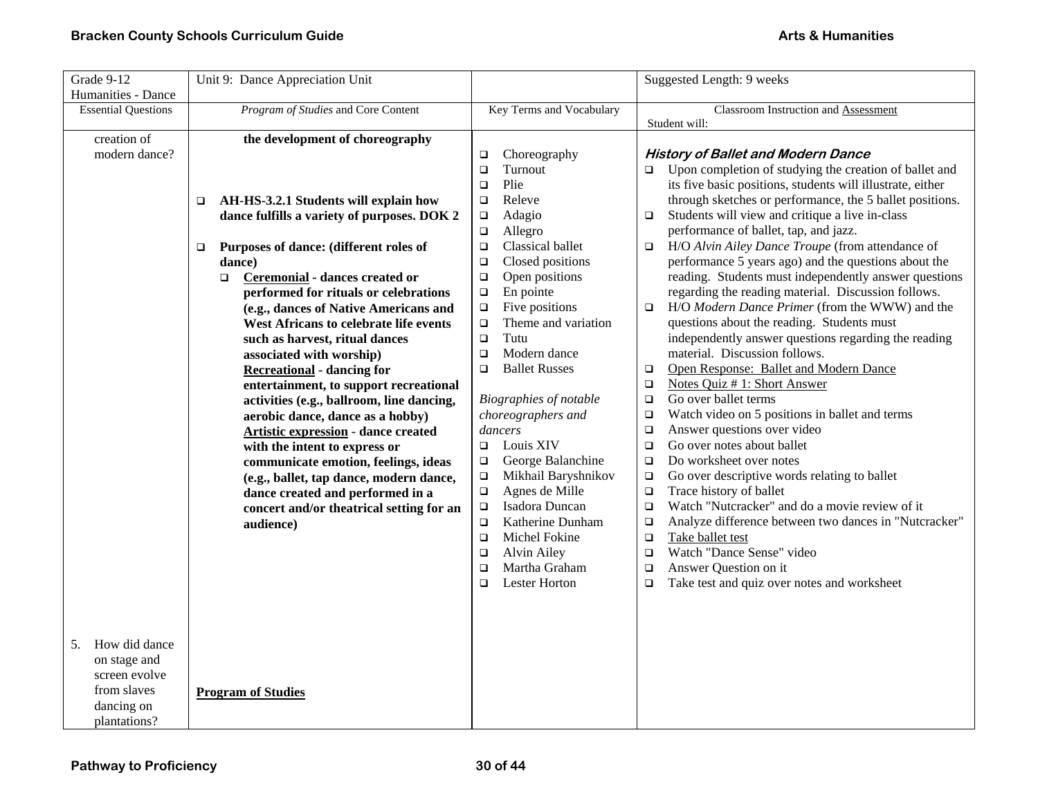| Grade 9-12                 | Unit 9: Dance Appreciation Unit             |                                                  | Suggested Length: 9 weeks                                        |
|----------------------------|---------------------------------------------|--------------------------------------------------|------------------------------------------------------------------|
| Humanities - Dance         |                                             |                                                  |                                                                  |
| <b>Essential Questions</b> | Program of Studies and Core Content         | Key Terms and Vocabulary                         | Classroom Instruction and Assessment<br>Student will:            |
| creation of                | the development of choreography             |                                                  |                                                                  |
| modern dance?              |                                             | Choreography<br>$\Box$                           | <b>History of Ballet and Modern Dance</b>                        |
|                            |                                             | Turnout<br>$\Box$                                | Upon completion of studying the creation of ballet and<br>$\Box$ |
|                            |                                             | Plie<br>$\Box$                                   | its five basic positions, students will illustrate, either       |
|                            | AH-HS-3.2.1 Students will explain how<br>□  | Releve<br>$\Box$                                 | through sketches or performance, the 5 ballet positions.         |
|                            | dance fulfills a variety of purposes. DOK 2 | Adagio<br>$\Box$                                 | Students will view and critique a live in-class<br>$\Box$        |
|                            |                                             | Allegro<br>$\Box$                                | performance of ballet, tap, and jazz.                            |
|                            | Purposes of dance: (different roles of<br>□ | Classical ballet<br>$\Box$                       | H/O Alvin Ailey Dance Troupe (from attendance of<br>$\Box$       |
|                            | dance)                                      | Closed positions<br>$\Box$                       | performance 5 years ago) and the questions about the             |
|                            | Ceremonial - dances created or<br>$\Box$    | Open positions<br>$\Box$                         | reading. Students must independently answer questions            |
|                            | performed for rituals or celebrations       | En pointe<br>$\Box$                              | regarding the reading material. Discussion follows.              |
|                            | (e.g., dances of Native Americans and       | Five positions<br>$\Box$                         | H/O Modern Dance Primer (from the WWW) and the<br>$\Box$         |
|                            | West Africans to celebrate life events      | Theme and variation<br>$\Box$                    | questions about the reading. Students must                       |
|                            | such as harvest, ritual dances              | Tutu<br>$\Box$                                   | independently answer questions regarding the reading             |
|                            | associated with worship)                    | Modern dance<br>$\Box$                           | material. Discussion follows.                                    |
|                            | <b>Recreational</b> - dancing for           | <b>Ballet Russes</b><br>$\Box$                   | Open Response: Ballet and Modern Dance<br>□                      |
|                            | entertainment, to support recreational      |                                                  | Notes Quiz # 1: Short Answer<br>$\Box$                           |
|                            | activities (e.g., ballroom, line dancing,   | Biographies of notable                           | Go over ballet terms<br>$\Box$                                   |
|                            | aerobic dance, dance as a hobby)            | choreographers and                               | Watch video on 5 positions in ballet and terms<br>$\Box$         |
|                            | <b>Artistic expression</b> - dance created  | dancers                                          | Answer questions over video<br>$\Box$                            |
|                            | with the intent to express or               | Louis XIV<br>$\Box$                              | Go over notes about ballet<br>$\Box$                             |
|                            | communicate emotion, feelings, ideas        | George Balanchine<br>$\Box$                      | Do worksheet over notes<br>$\Box$                                |
|                            | (e.g., ballet, tap dance, modern dance,     | Mikhail Baryshnikov<br>$\Box$                    | Go over descriptive words relating to ballet<br>$\Box$           |
|                            | dance created and performed in a            | Agnes de Mille<br>$\Box$                         | Trace history of ballet<br>$\Box$                                |
|                            | concert and/or theatrical setting for an    | Isadora Duncan<br>$\Box$                         | Watch "Nutcracker" and do a movie review of it<br>$\Box$         |
|                            | audience)                                   | Katherine Dunham<br>$\Box$                       | Analyze difference between two dances in "Nutcracker"<br>о       |
|                            |                                             | Michel Fokine<br>$\Box$                          | Take ballet test<br>$\Box$<br>Watch "Dance Sense" video          |
|                            |                                             | Alvin Ailey<br>$\Box$<br>Martha Graham<br>$\Box$ | $\Box$<br>Answer Question on it                                  |
|                            |                                             | <b>Lester Horton</b><br>□                        | $\Box$<br>Take test and quiz over notes and worksheet<br>$\Box$  |
|                            |                                             |                                                  |                                                                  |
|                            |                                             |                                                  |                                                                  |
|                            |                                             |                                                  |                                                                  |
| How did dance<br>5.        |                                             |                                                  |                                                                  |
| on stage and               |                                             |                                                  |                                                                  |
| screen evolve              |                                             |                                                  |                                                                  |
| from slaves                | <b>Program of Studies</b>                   |                                                  |                                                                  |
| dancing on                 |                                             |                                                  |                                                                  |
| plantations?               |                                             |                                                  |                                                                  |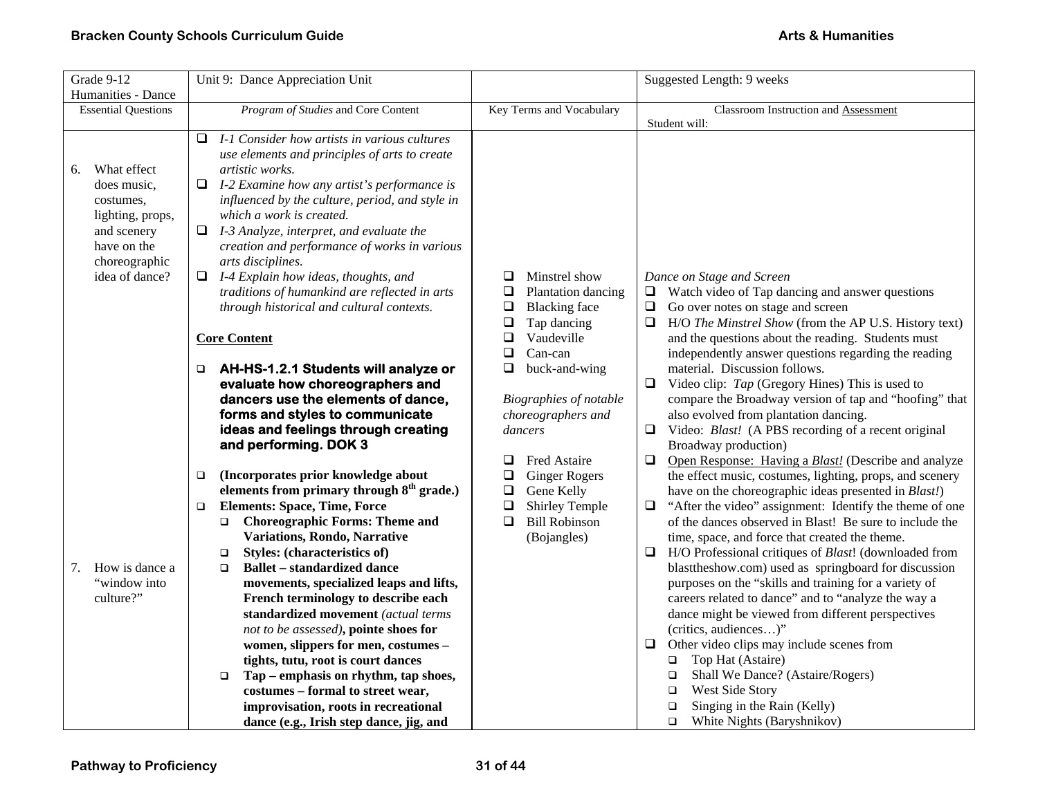| Grade 9-12                      | Unit 9: Dance Appreciation Unit                                                                   |                                                   | Suggested Length: 9 weeks                                                                                                |
|---------------------------------|---------------------------------------------------------------------------------------------------|---------------------------------------------------|--------------------------------------------------------------------------------------------------------------------------|
| Humanities - Dance              |                                                                                                   |                                                   |                                                                                                                          |
| <b>Essential Questions</b>      | Program of Studies and Core Content                                                               | Key Terms and Vocabulary                          | <b>Classroom Instruction and Assessment</b>                                                                              |
|                                 |                                                                                                   |                                                   | Student will:                                                                                                            |
|                                 | I-1 Consider how artists in various cultures<br>$\Box$                                            |                                                   |                                                                                                                          |
|                                 | use elements and principles of arts to create                                                     |                                                   |                                                                                                                          |
| What effect<br>6.               | artistic works.                                                                                   |                                                   |                                                                                                                          |
| does music,                     | $\Box$<br>I-2 Examine how any artist's performance is                                             |                                                   |                                                                                                                          |
| costumes,                       | influenced by the culture, period, and style in<br>which a work is created.                       |                                                   |                                                                                                                          |
| lighting, props,<br>and scenery | $\Box$ I-3 Analyze, interpret, and evaluate the                                                   |                                                   |                                                                                                                          |
| have on the                     | creation and performance of works in various                                                      |                                                   |                                                                                                                          |
| choreographic                   | arts disciplines.                                                                                 |                                                   |                                                                                                                          |
| idea of dance?                  | $\Box$ I-4 Explain how ideas, thoughts, and                                                       | ❏<br>Minstrel show                                | Dance on Stage and Screen                                                                                                |
|                                 | traditions of humankind are reflected in arts                                                     | Plantation dancing<br>❏                           | $\Box$ Watch video of Tap dancing and answer questions                                                                   |
|                                 | through historical and cultural contexts.                                                         | <b>Blacking</b> face<br>$\Box$                    | Go over notes on stage and screen<br>$\Box$                                                                              |
|                                 |                                                                                                   | $\Box$<br>Tap dancing                             | $\Box$<br>H/O The Minstrel Show (from the AP U.S. History text)                                                          |
|                                 | <b>Core Content</b>                                                                               | $\Box$<br>Vaudeville                              | and the questions about the reading. Students must                                                                       |
|                                 |                                                                                                   | Can-can<br>❏                                      | independently answer questions regarding the reading                                                                     |
|                                 | <b>AH-HS-1.2.1 Students will analyze or</b><br>$\Box$                                             | $\Box$<br>buck-and-wing                           | material. Discussion follows.                                                                                            |
|                                 | evaluate how choreographers and                                                                   |                                                   | Video clip: Tap (Gregory Hines) This is used to<br>□                                                                     |
|                                 | dancers use the elements of dance,                                                                | Biographies of notable                            | compare the Broadway version of tap and "hoofing" that                                                                   |
|                                 | forms and styles to communicate                                                                   | choreographers and                                | also evolved from plantation dancing.                                                                                    |
|                                 | ideas and feelings through creating                                                               | dancers                                           | Video: Blast! (A PBS recording of a recent original<br>⊔                                                                 |
|                                 | and performing. DOK 3                                                                             |                                                   | Broadway production)                                                                                                     |
|                                 |                                                                                                   | $\Box$<br><b>Fred Astaire</b>                     | $\Box$<br>Open Response: Having a Blast! (Describe and analyze                                                           |
|                                 | (Incorporates prior knowledge about<br>❏<br>elements from primary through 8 <sup>th</sup> grade.) | ❏<br><b>Ginger Rogers</b><br>$\Box$<br>Gene Kelly | the effect music, costumes, lighting, props, and scenery<br>have on the choreographic ideas presented in <i>Blast!</i> ) |
|                                 | <b>Elements: Space, Time, Force</b><br>$\Box$                                                     | $\Box$<br>Shirley Temple                          | "After the video" assignment: Identify the theme of one<br>$\Box$                                                        |
|                                 | <b>Choreographic Forms: Theme and</b><br>$\Box$                                                   | <b>Bill Robinson</b><br>$\Box$                    | of the dances observed in Blast! Be sure to include the                                                                  |
|                                 | Variations, Rondo, Narrative                                                                      | (Bojangles)                                       | time, space, and force that created the theme.                                                                           |
|                                 | Styles: (characteristics of)<br>$\Box$                                                            |                                                   | $\Box$<br>H/O Professional critiques of <i>Blast</i> ! (downloaded from                                                  |
| How is dance a<br>7.            | <b>Ballet – standardized dance</b><br>$\Box$                                                      |                                                   | blast the show.com) used as springboard for discussion                                                                   |
| "window into                    | movements, specialized leaps and lifts,                                                           |                                                   | purposes on the "skills and training for a variety of                                                                    |
| culture?"                       | French terminology to describe each                                                               |                                                   | careers related to dance" and to "analyze the way a                                                                      |
|                                 | standardized movement (actual terms                                                               |                                                   | dance might be viewed from different perspectives                                                                        |
|                                 | not to be assessed), pointe shoes for                                                             |                                                   | (critics, audiences)"                                                                                                    |
|                                 | women, slippers for men, costumes -                                                               |                                                   | Other video clips may include scenes from<br>❏                                                                           |
|                                 | tights, tutu, root is court dances                                                                |                                                   | $\Box$ Top Hat (Astaire)                                                                                                 |
|                                 | Tap - emphasis on rhythm, tap shoes,<br>$\Box$                                                    |                                                   | Shall We Dance? (Astaire/Rogers)<br>$\Box$                                                                               |
|                                 | costumes - formal to street wear,                                                                 |                                                   | West Side Story<br>$\Box$                                                                                                |
|                                 | improvisation, roots in recreational                                                              |                                                   | Singing in the Rain (Kelly)<br>□                                                                                         |
|                                 | dance (e.g., Irish step dance, jig, and                                                           |                                                   | White Nights (Baryshnikov)<br>$\Box$                                                                                     |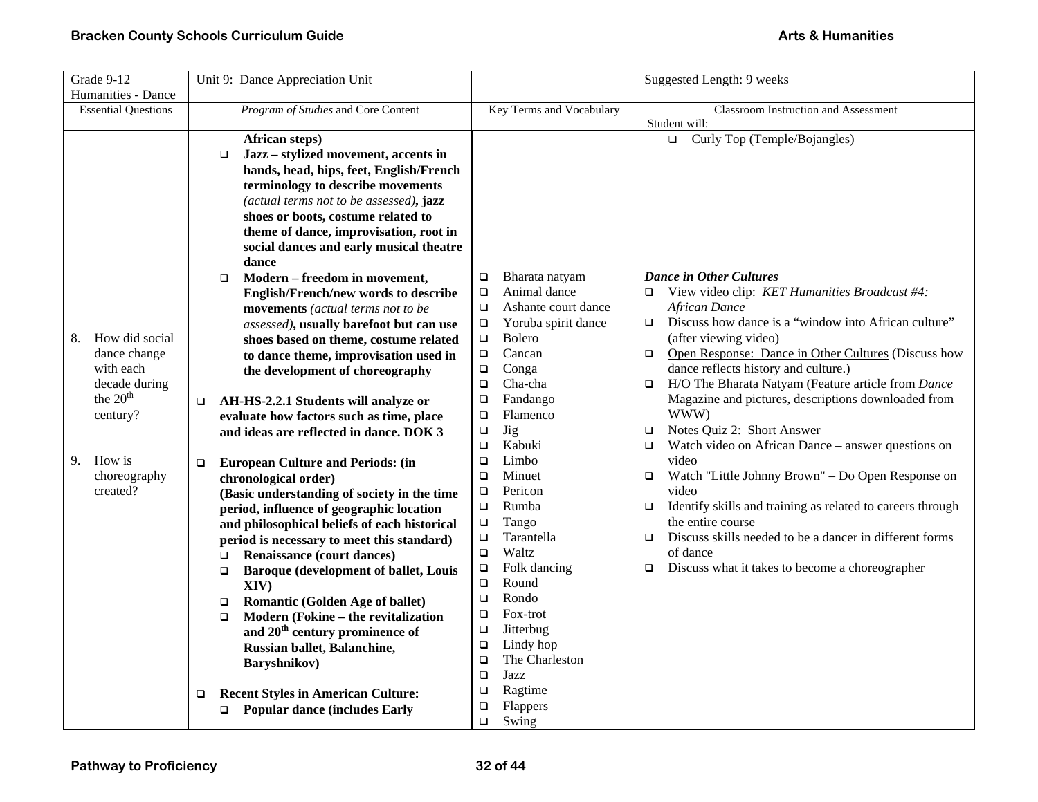| Grade 9-12                 | Unit 9: Dance Appreciation Unit                        |                               | Suggested Length: 9 weeks                                            |
|----------------------------|--------------------------------------------------------|-------------------------------|----------------------------------------------------------------------|
| Humanities - Dance         |                                                        |                               |                                                                      |
| <b>Essential Questions</b> | Program of Studies and Core Content                    | Key Terms and Vocabulary      | Classroom Instruction and Assessment                                 |
|                            |                                                        |                               | Student will:                                                        |
|                            | African steps)                                         |                               | Curly Top (Temple/Bojangles)<br>$\Box$                               |
|                            | Jazz - stylized movement, accents in<br>$\Box$         |                               |                                                                      |
|                            | hands, head, hips, feet, English/French                |                               |                                                                      |
|                            | terminology to describe movements                      |                               |                                                                      |
|                            | (actual terms not to be assessed), jazz                |                               |                                                                      |
|                            | shoes or boots, costume related to                     |                               |                                                                      |
|                            | theme of dance, improvisation, root in                 |                               |                                                                      |
|                            | social dances and early musical theatre                |                               |                                                                      |
|                            | dance                                                  |                               |                                                                      |
|                            | Modern - freedom in movement,<br>□                     | Bharata natyam<br>$\Box$      | <b>Dance in Other Cultures</b>                                       |
|                            | English/French/new words to describe                   | Animal dance<br>$\Box$        | View video clip: KET Humanities Broadcast #4:<br>$\Box$              |
|                            | movements (actual terms not to be                      | Ashante court dance<br>$\Box$ | <b>African Dance</b>                                                 |
|                            | assessed), usually barefoot but can use                | Yoruba spirit dance<br>$\Box$ | Discuss how dance is a "window into African culture"<br>$\Box$       |
| How did social<br>8.       | shoes based on theme, costume related                  | Bolero<br>$\Box$              | (after viewing video)                                                |
| dance change               | to dance theme, improvisation used in                  | Cancan<br>$\Box$              | Open Response: Dance in Other Cultures (Discuss how<br>$\Box$        |
| with each                  | the development of choreography                        | $\Box$<br>Conga               | dance reflects history and culture.)                                 |
| decade during              |                                                        | Cha-cha<br>$\Box$             | H/O The Bharata Natyam (Feature article from Dance<br>$\Box$         |
| the 20 <sup>th</sup>       | AH-HS-2.2.1 Students will analyze or<br>□              | Fandango<br>□                 | Magazine and pictures, descriptions downloaded from                  |
| century?                   | evaluate how factors such as time, place               | Flamenco<br>$\Box$            | WWW)                                                                 |
|                            | and ideas are reflected in dance. DOK 3                | <b>Jig</b><br>$\Box$          | Notes Quiz 2: Short Answer<br>$\Box$                                 |
|                            |                                                        | Kabuki<br>$\Box$              | Watch video on African Dance – answer questions on<br>$\Box$         |
| How is<br>9.               | <b>European Culture and Periods: (in</b><br>$\Box$     | Limbo<br>$\Box$               | video                                                                |
| choreography               | chronological order)                                   | Minuet<br>$\Box$              | Watch "Little Johnny Brown" – Do Open Response on<br>$\Box$          |
| created?                   | (Basic understanding of society in the time            | Pericon<br>$\Box$             | video                                                                |
|                            | period, influence of geographic location               | Rumba<br>$\Box$               | Identify skills and training as related to careers through<br>$\Box$ |
|                            | and philosophical beliefs of each historical           | $\Box$<br>Tango               | the entire course                                                    |
|                            | period is necessary to meet this standard)             | Tarantella<br>$\Box$          | Discuss skills needed to be a dancer in different forms<br>$\Box$    |
|                            | Renaissance (court dances)<br>$\Box$                   | Waltz<br>$\Box$               | of dance                                                             |
|                            | <b>Baroque (development of ballet, Louis</b><br>$\Box$ | Folk dancing<br>$\Box$        | Discuss what it takes to become a choreographer<br>$\Box$            |
|                            | XIV)                                                   | Round<br>$\Box$               |                                                                      |
|                            | <b>Romantic (Golden Age of ballet)</b><br>$\Box$       | Rondo<br>$\Box$               |                                                                      |
|                            | Modern (Fokine – the revitalization<br>$\Box$          | Fox-trot<br>$\Box$            |                                                                      |
|                            | and 20 <sup>th</sup> century prominence of             | Jitterbug<br>$\Box$           |                                                                      |
|                            | Russian ballet, Balanchine,                            | Lindy hop<br>$\Box$           |                                                                      |
|                            | Baryshnikov)                                           | The Charleston<br>$\Box$      |                                                                      |
|                            |                                                        | Jazz<br>$\Box$                |                                                                      |
|                            | <b>Recent Styles in American Culture:</b><br>□         | Ragtime<br>□                  |                                                                      |
|                            | □ Popular dance (includes Early                        | Flappers<br>$\Box$            |                                                                      |
|                            |                                                        | Swing<br>$\Box$               |                                                                      |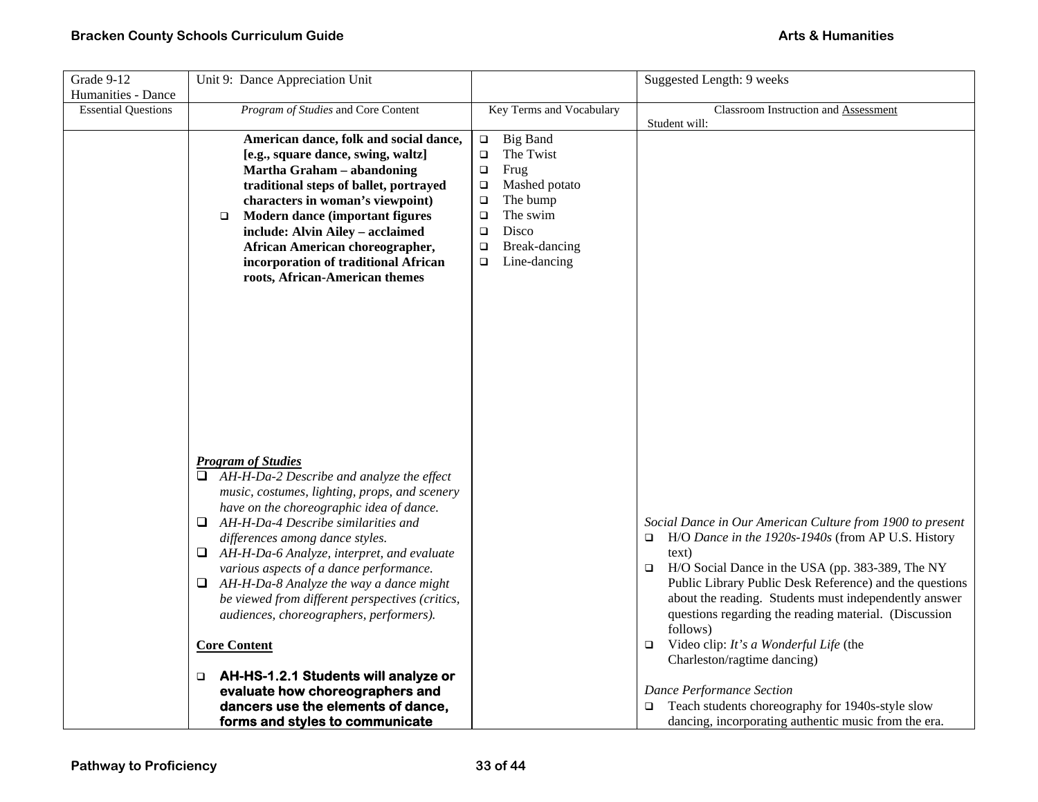| Grade 9-12                 | Unit 9: Dance Appreciation Unit                                                           |                                     | Suggested Length: 9 weeks                                    |
|----------------------------|-------------------------------------------------------------------------------------------|-------------------------------------|--------------------------------------------------------------|
| Humanities - Dance         |                                                                                           |                                     |                                                              |
| <b>Essential Questions</b> | Program of Studies and Core Content                                                       | Key Terms and Vocabulary            | Classroom Instruction and Assessment                         |
|                            |                                                                                           |                                     | Student will:                                                |
|                            | American dance, folk and social dance,                                                    | <b>Big Band</b><br>$\Box$           |                                                              |
|                            | [e.g., square dance, swing, waltz]                                                        | The Twist<br>$\Box$                 |                                                              |
|                            | Martha Graham - abandoning                                                                | Frug<br>$\Box$                      |                                                              |
|                            | traditional steps of ballet, portrayed<br>characters in woman's viewpoint)                | Mashed potato<br>$\Box$<br>The bump |                                                              |
|                            | Modern dance (important figures<br>$\Box$                                                 | $\Box$<br>The swim<br>$\Box$        |                                                              |
|                            | include: Alvin Ailey - acclaimed                                                          | Disco<br>$\Box$                     |                                                              |
|                            | African American choreographer,                                                           | Break-dancing<br>$\Box$             |                                                              |
|                            | incorporation of traditional African                                                      | Line-dancing<br>$\Box$              |                                                              |
|                            | roots, African-American themes                                                            |                                     |                                                              |
|                            |                                                                                           |                                     |                                                              |
|                            |                                                                                           |                                     |                                                              |
|                            |                                                                                           |                                     |                                                              |
|                            |                                                                                           |                                     |                                                              |
|                            |                                                                                           |                                     |                                                              |
|                            |                                                                                           |                                     |                                                              |
|                            |                                                                                           |                                     |                                                              |
|                            |                                                                                           |                                     |                                                              |
|                            |                                                                                           |                                     |                                                              |
|                            |                                                                                           |                                     |                                                              |
|                            |                                                                                           |                                     |                                                              |
|                            | <b>Program of Studies</b>                                                                 |                                     |                                                              |
|                            | $\Box$ AH-H-Da-2 Describe and analyze the effect                                          |                                     |                                                              |
|                            | music, costumes, lighting, props, and scenery<br>have on the choreographic idea of dance. |                                     |                                                              |
|                            | $\Box$ AH-H-Da-4 Describe similarities and                                                |                                     | Social Dance in Our American Culture from 1900 to present    |
|                            | differences among dance styles.                                                           |                                     | H/O Dance in the 1920s-1940s (from AP U.S. History<br>$\Box$ |
|                            | AH-H-Da-6 Analyze, interpret, and evaluate<br>❏.                                          |                                     | text)                                                        |
|                            | various aspects of a dance performance.                                                   |                                     | H/O Social Dance in the USA (pp. 383-389, The NY<br>$\Box$   |
|                            | $\Box$ AH-H-Da-8 Analyze the way a dance might                                            |                                     | Public Library Public Desk Reference) and the questions      |
|                            | be viewed from different perspectives (critics,                                           |                                     | about the reading. Students must independently answer        |
|                            | audiences, choreographers, performers).                                                   |                                     | questions regarding the reading material. (Discussion        |
|                            |                                                                                           |                                     | follows)                                                     |
|                            | <b>Core Content</b>                                                                       |                                     | Video clip: It's a Wonderful Life (the<br>$\Box$             |
|                            |                                                                                           |                                     | Charleston/ragtime dancing)                                  |
|                            | AH-HS-1.2.1 Students will analyze or<br>$\Box$                                            |                                     |                                                              |
|                            | evaluate how choreographers and                                                           |                                     | Dance Performance Section                                    |
|                            | dancers use the elements of dance,                                                        |                                     | $\Box$ Teach students choreography for 1940s-style slow      |
|                            | forms and styles to communicate                                                           |                                     | dancing, incorporating authentic music from the era.         |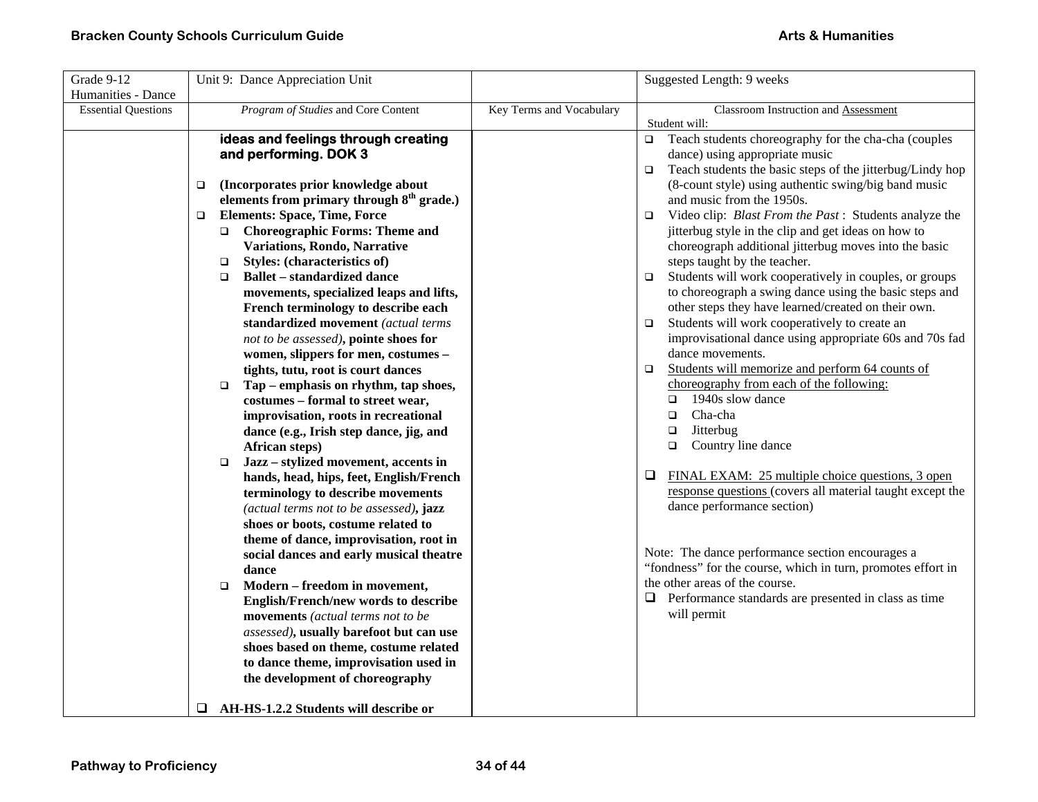| Grade 9-12<br>Humanities - Dance | Unit 9: Dance Appreciation Unit                                                                                                                                                                                                                                                                                                                                                                                                                                                                                                                                                                                                                                                                                                                                                                                                                                                                                                                                                                                                                                                                                                                                                                                                                                                                                                                                                                                                                          |                          | Suggested Length: 9 weeks                                                                                                                                                                                                                                                                                                                                                                                                                                                                                                                                                                                                                                                                                                                                                                                                                                                                                                                                                                                                                                                                                                                                                                                                                                                                                                                                                                                                                  |
|----------------------------------|----------------------------------------------------------------------------------------------------------------------------------------------------------------------------------------------------------------------------------------------------------------------------------------------------------------------------------------------------------------------------------------------------------------------------------------------------------------------------------------------------------------------------------------------------------------------------------------------------------------------------------------------------------------------------------------------------------------------------------------------------------------------------------------------------------------------------------------------------------------------------------------------------------------------------------------------------------------------------------------------------------------------------------------------------------------------------------------------------------------------------------------------------------------------------------------------------------------------------------------------------------------------------------------------------------------------------------------------------------------------------------------------------------------------------------------------------------|--------------------------|--------------------------------------------------------------------------------------------------------------------------------------------------------------------------------------------------------------------------------------------------------------------------------------------------------------------------------------------------------------------------------------------------------------------------------------------------------------------------------------------------------------------------------------------------------------------------------------------------------------------------------------------------------------------------------------------------------------------------------------------------------------------------------------------------------------------------------------------------------------------------------------------------------------------------------------------------------------------------------------------------------------------------------------------------------------------------------------------------------------------------------------------------------------------------------------------------------------------------------------------------------------------------------------------------------------------------------------------------------------------------------------------------------------------------------------------|
| <b>Essential Questions</b>       | Program of Studies and Core Content                                                                                                                                                                                                                                                                                                                                                                                                                                                                                                                                                                                                                                                                                                                                                                                                                                                                                                                                                                                                                                                                                                                                                                                                                                                                                                                                                                                                                      | Key Terms and Vocabulary | Classroom Instruction and Assessment                                                                                                                                                                                                                                                                                                                                                                                                                                                                                                                                                                                                                                                                                                                                                                                                                                                                                                                                                                                                                                                                                                                                                                                                                                                                                                                                                                                                       |
|                                  | ideas and feelings through creating<br>and performing. DOK 3<br>(Incorporates prior knowledge about<br>$\Box$<br>elements from primary through 8 <sup>th</sup> grade.)<br><b>Elements: Space, Time, Force</b><br>$\Box$<br><b>Choreographic Forms: Theme and</b><br>$\Box$<br>Variations, Rondo, Narrative<br>Styles: (characteristics of)<br>$\Box$<br><b>Ballet – standardized dance</b><br>$\Box$<br>movements, specialized leaps and lifts,<br>French terminology to describe each<br>standardized movement (actual terms<br>not to be assessed), pointe shoes for<br>women, slippers for men, costumes -<br>tights, tutu, root is court dances<br>Tap – emphasis on rhythm, tap shoes,<br>$\Box$<br>costumes - formal to street wear,<br>improvisation, roots in recreational<br>dance (e.g., Irish step dance, jig, and<br>African steps)<br>Jazz - stylized movement, accents in<br>$\Box$<br>hands, head, hips, feet, English/French<br>terminology to describe movements<br>(actual terms not to be assessed), jazz<br>shoes or boots, costume related to<br>theme of dance, improvisation, root in<br>social dances and early musical theatre<br>dance<br>Modern - freedom in movement,<br>$\Box$<br>English/French/new words to describe<br>movements (actual terms not to be<br>assessed), usually barefoot but can use<br>shoes based on theme, costume related<br>to dance theme, improvisation used in<br>the development of choreography |                          | Student will:<br>Teach students choreography for the cha-cha (couples<br>$\Box$<br>dance) using appropriate music<br>Teach students the basic steps of the jitterbug/Lindy hop<br>$\Box$<br>(8-count style) using authentic swing/big band music<br>and music from the 1950s.<br>Video clip: Blast From the Past: Students analyze the<br>$\Box$<br>jitterbug style in the clip and get ideas on how to<br>choreograph additional jitterbug moves into the basic<br>steps taught by the teacher.<br>Students will work cooperatively in couples, or groups<br>$\Box$<br>to choreograph a swing dance using the basic steps and<br>other steps they have learned/created on their own.<br>Students will work cooperatively to create an<br>$\Box$<br>improvisational dance using appropriate 60s and 70s fad<br>dance movements.<br>Students will memorize and perform 64 counts of<br>$\Box$<br>choreography from each of the following:<br>1940s slow dance<br>$\Box$<br>Cha-cha<br>$\Box$<br>Jitterbug<br>$\Box$<br>Country line dance<br>$\Box$<br>FINAL EXAM: 25 multiple choice questions, 3 open<br>⊔<br>response questions (covers all material taught except the<br>dance performance section)<br>Note: The dance performance section encourages a<br>"fondness" for the course, which in turn, promotes effort in<br>the other areas of the course.<br>$\Box$ Performance standards are presented in class as time<br>will permit |
|                                  | AH-HS-1.2.2 Students will describe or<br>□                                                                                                                                                                                                                                                                                                                                                                                                                                                                                                                                                                                                                                                                                                                                                                                                                                                                                                                                                                                                                                                                                                                                                                                                                                                                                                                                                                                                               |                          |                                                                                                                                                                                                                                                                                                                                                                                                                                                                                                                                                                                                                                                                                                                                                                                                                                                                                                                                                                                                                                                                                                                                                                                                                                                                                                                                                                                                                                            |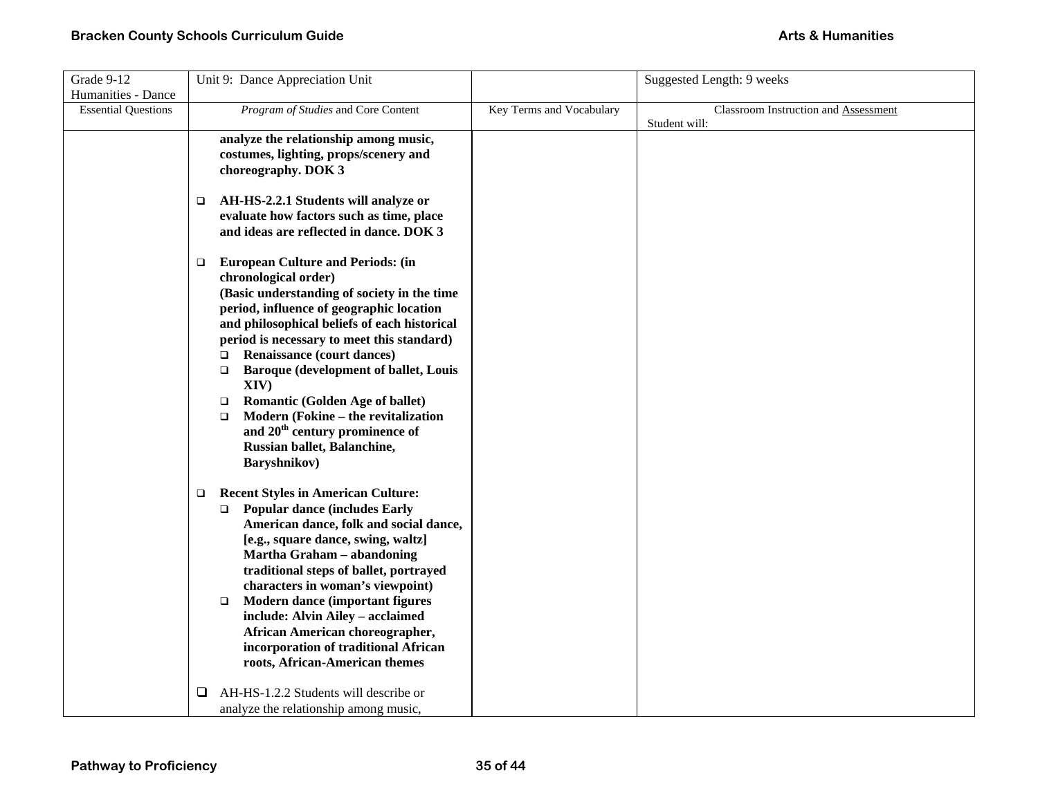| Grade 9-12                 | Unit 9: Dance Appreciation Unit                                                  |                          | Suggested Length: 9 weeks            |
|----------------------------|----------------------------------------------------------------------------------|--------------------------|--------------------------------------|
| Humanities - Dance         |                                                                                  |                          |                                      |
| <b>Essential Questions</b> | Program of Studies and Core Content                                              | Key Terms and Vocabulary | Classroom Instruction and Assessment |
|                            |                                                                                  |                          | Student will:                        |
|                            | analyze the relationship among music,                                            |                          |                                      |
|                            | costumes, lighting, props/scenery and                                            |                          |                                      |
|                            | choreography. DOK 3                                                              |                          |                                      |
|                            |                                                                                  |                          |                                      |
|                            | AH-HS-2.2.1 Students will analyze or<br>$\Box$                                   |                          |                                      |
|                            | evaluate how factors such as time, place                                         |                          |                                      |
|                            | and ideas are reflected in dance. DOK 3                                          |                          |                                      |
|                            |                                                                                  |                          |                                      |
|                            | <b>European Culture and Periods: (in</b><br>$\Box$                               |                          |                                      |
|                            | chronological order)                                                             |                          |                                      |
|                            | (Basic understanding of society in the time                                      |                          |                                      |
|                            | period, influence of geographic location                                         |                          |                                      |
|                            | and philosophical beliefs of each historical                                     |                          |                                      |
|                            | period is necessary to meet this standard)                                       |                          |                                      |
|                            | <b>Renaissance (court dances)</b><br>$\Box$                                      |                          |                                      |
|                            | Baroque (development of ballet, Louis<br>$\Box$                                  |                          |                                      |
|                            | XIV)                                                                             |                          |                                      |
|                            | Romantic (Golden Age of ballet)<br>$\Box$<br>Modern (Fokine - the revitalization |                          |                                      |
|                            | $\Box$<br>and 20 <sup>th</sup> century prominence of                             |                          |                                      |
|                            | Russian ballet, Balanchine,                                                      |                          |                                      |
|                            | Baryshnikov)                                                                     |                          |                                      |
|                            |                                                                                  |                          |                                      |
|                            | <b>Recent Styles in American Culture:</b><br>o.                                  |                          |                                      |
|                            | <b>Popular dance (includes Early</b><br>$\Box$                                   |                          |                                      |
|                            | American dance, folk and social dance,                                           |                          |                                      |
|                            | [e.g., square dance, swing, waltz]                                               |                          |                                      |
|                            | Martha Graham - abandoning                                                       |                          |                                      |
|                            | traditional steps of ballet, portrayed                                           |                          |                                      |
|                            | characters in woman's viewpoint)                                                 |                          |                                      |
|                            | Modern dance (important figures<br>$\Box$                                        |                          |                                      |
|                            | include: Alvin Ailey - acclaimed                                                 |                          |                                      |
|                            | African American choreographer,                                                  |                          |                                      |
|                            | incorporation of traditional African                                             |                          |                                      |
|                            | roots, African-American themes                                                   |                          |                                      |
|                            |                                                                                  |                          |                                      |
|                            | AH-HS-1.2.2 Students will describe or<br>❏                                       |                          |                                      |
|                            | analyze the relationship among music,                                            |                          |                                      |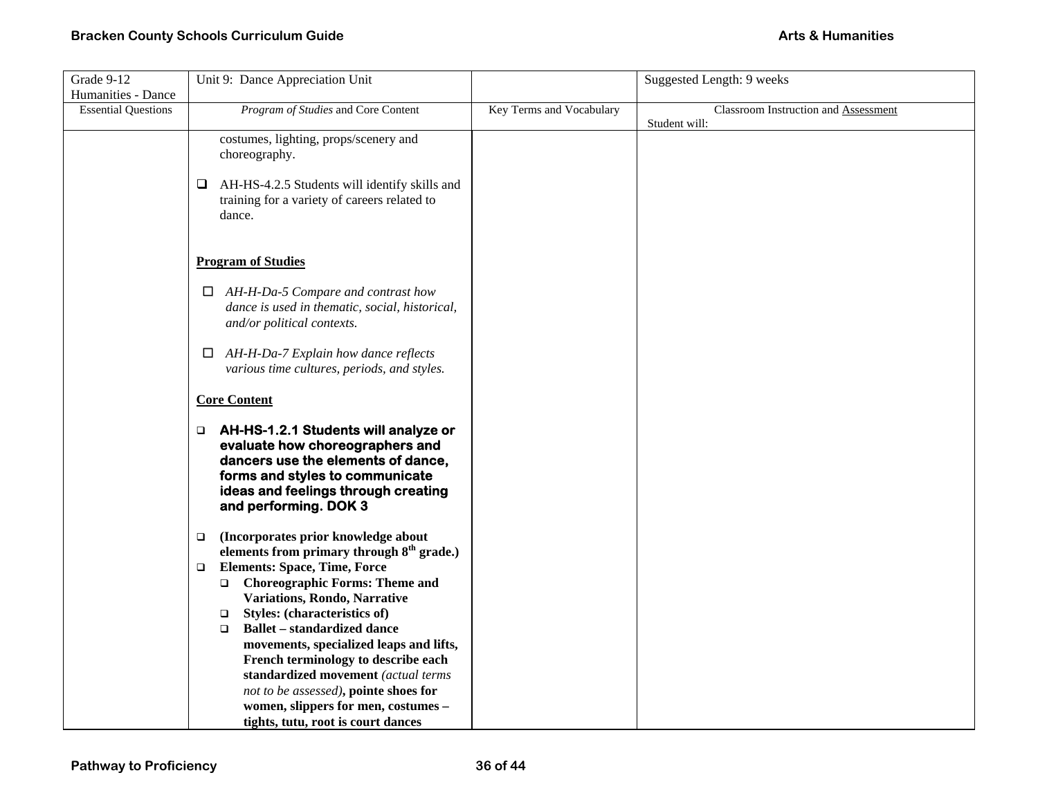| Grade 9-12                 | Unit 9: Dance Appreciation Unit                                                                                                                                                                                    |                          | Suggested Length: 9 weeks                             |
|----------------------------|--------------------------------------------------------------------------------------------------------------------------------------------------------------------------------------------------------------------|--------------------------|-------------------------------------------------------|
| Humanities - Dance         |                                                                                                                                                                                                                    |                          |                                                       |
| <b>Essential Questions</b> | Program of Studies and Core Content                                                                                                                                                                                | Key Terms and Vocabulary | Classroom Instruction and Assessment<br>Student will: |
|                            | costumes, lighting, props/scenery and<br>choreography.                                                                                                                                                             |                          |                                                       |
|                            | AH-HS-4.2.5 Students will identify skills and<br>⊔<br>training for a variety of careers related to<br>dance.                                                                                                       |                          |                                                       |
|                            | <b>Program of Studies</b>                                                                                                                                                                                          |                          |                                                       |
|                            | $\Box$ AH-H-Da-5 Compare and contrast how<br>dance is used in thematic, social, historical,<br>and/or political contexts.                                                                                          |                          |                                                       |
|                            | $\Box$ AH-H-Da-7 Explain how dance reflects<br>various time cultures, periods, and styles.                                                                                                                         |                          |                                                       |
|                            | <b>Core Content</b>                                                                                                                                                                                                |                          |                                                       |
|                            | □ AH-HS-1.2.1 Students will analyze or<br>evaluate how choreographers and<br>dancers use the elements of dance,<br>forms and styles to communicate<br>ideas and feelings through creating<br>and performing. DOK 3 |                          |                                                       |
|                            | (Incorporates prior knowledge about<br>□<br>elements from primary through 8 <sup>th</sup> grade.)                                                                                                                  |                          |                                                       |
|                            | <b>Elements: Space, Time, Force</b><br>$\Box$<br><b>Choreographic Forms: Theme and</b><br>$\Box$<br>Variations, Rondo, Narrative<br><b>Styles:</b> (characteristics of)<br>$\Box$                                  |                          |                                                       |
|                            | <b>Ballet – standardized dance</b><br>$\Box$<br>movements, specialized leaps and lifts,<br>French terminology to describe each                                                                                     |                          |                                                       |
|                            | standardized movement (actual terms<br>not to be assessed), pointe shoes for<br>women, slippers for men, costumes -                                                                                                |                          |                                                       |
|                            | tights, tutu, root is court dances                                                                                                                                                                                 |                          |                                                       |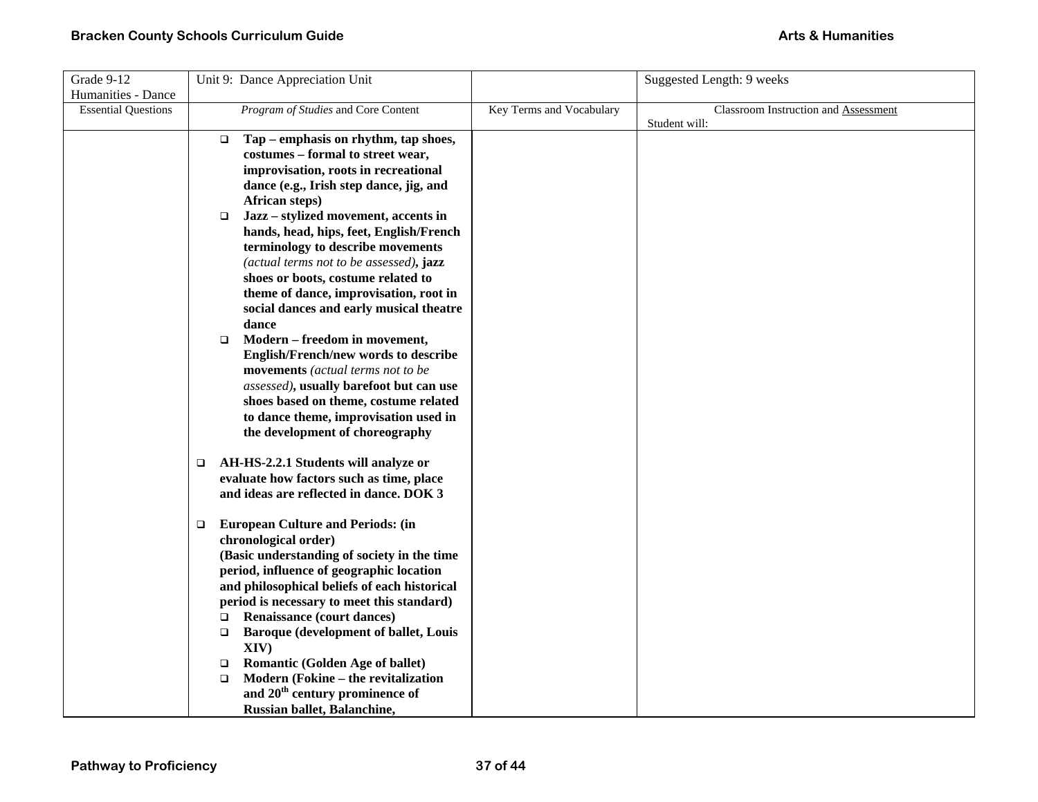| Grade 9-12                 | Unit 9: Dance Appreciation Unit                                                  |                          | Suggested Length: 9 weeks            |
|----------------------------|----------------------------------------------------------------------------------|--------------------------|--------------------------------------|
| Humanities - Dance         |                                                                                  |                          |                                      |
| <b>Essential Questions</b> | Program of Studies and Core Content                                              | Key Terms and Vocabulary | Classroom Instruction and Assessment |
|                            |                                                                                  |                          | Student will:                        |
|                            | Tap – emphasis on rhythm, tap shoes,<br>$\Box$                                   |                          |                                      |
|                            | costumes - formal to street wear,                                                |                          |                                      |
|                            | improvisation, roots in recreational                                             |                          |                                      |
|                            | dance (e.g., Irish step dance, jig, and                                          |                          |                                      |
|                            | African steps)                                                                   |                          |                                      |
|                            | Jazz - stylized movement, accents in<br>$\Box$                                   |                          |                                      |
|                            | hands, head, hips, feet, English/French                                          |                          |                                      |
|                            | terminology to describe movements                                                |                          |                                      |
|                            | (actual terms not to be assessed), jazz                                          |                          |                                      |
|                            | shoes or boots, costume related to                                               |                          |                                      |
|                            | theme of dance, improvisation, root in                                           |                          |                                      |
|                            | social dances and early musical theatre                                          |                          |                                      |
|                            | dance                                                                            |                          |                                      |
|                            | Modern – freedom in movement,<br>$\Box$                                          |                          |                                      |
|                            | English/French/new words to describe                                             |                          |                                      |
|                            | movements (actual terms not to be                                                |                          |                                      |
|                            | assessed), usually barefoot but can use<br>shoes based on theme, costume related |                          |                                      |
|                            | to dance theme, improvisation used in                                            |                          |                                      |
|                            | the development of choreography                                                  |                          |                                      |
|                            |                                                                                  |                          |                                      |
|                            | AH-HS-2.2.1 Students will analyze or<br>$\Box$                                   |                          |                                      |
|                            | evaluate how factors such as time, place                                         |                          |                                      |
|                            | and ideas are reflected in dance. DOK 3                                          |                          |                                      |
|                            |                                                                                  |                          |                                      |
|                            | <b>European Culture and Periods: (in</b><br>□                                    |                          |                                      |
|                            | chronological order)                                                             |                          |                                      |
|                            | (Basic understanding of society in the time                                      |                          |                                      |
|                            | period, influence of geographic location                                         |                          |                                      |
|                            | and philosophical beliefs of each historical                                     |                          |                                      |
|                            | period is necessary to meet this standard)                                       |                          |                                      |
|                            | Renaissance (court dances)<br>$\Box$                                             |                          |                                      |
|                            | <b>Baroque (development of ballet, Louis</b><br>$\Box$                           |                          |                                      |
|                            | XIV)                                                                             |                          |                                      |
|                            | <b>Romantic (Golden Age of ballet)</b><br>$\Box$                                 |                          |                                      |
|                            | Modern (Fokine - the revitalization<br>$\Box$                                    |                          |                                      |
|                            | and 20 <sup>th</sup> century prominence of                                       |                          |                                      |
|                            | Russian ballet, Balanchine,                                                      |                          |                                      |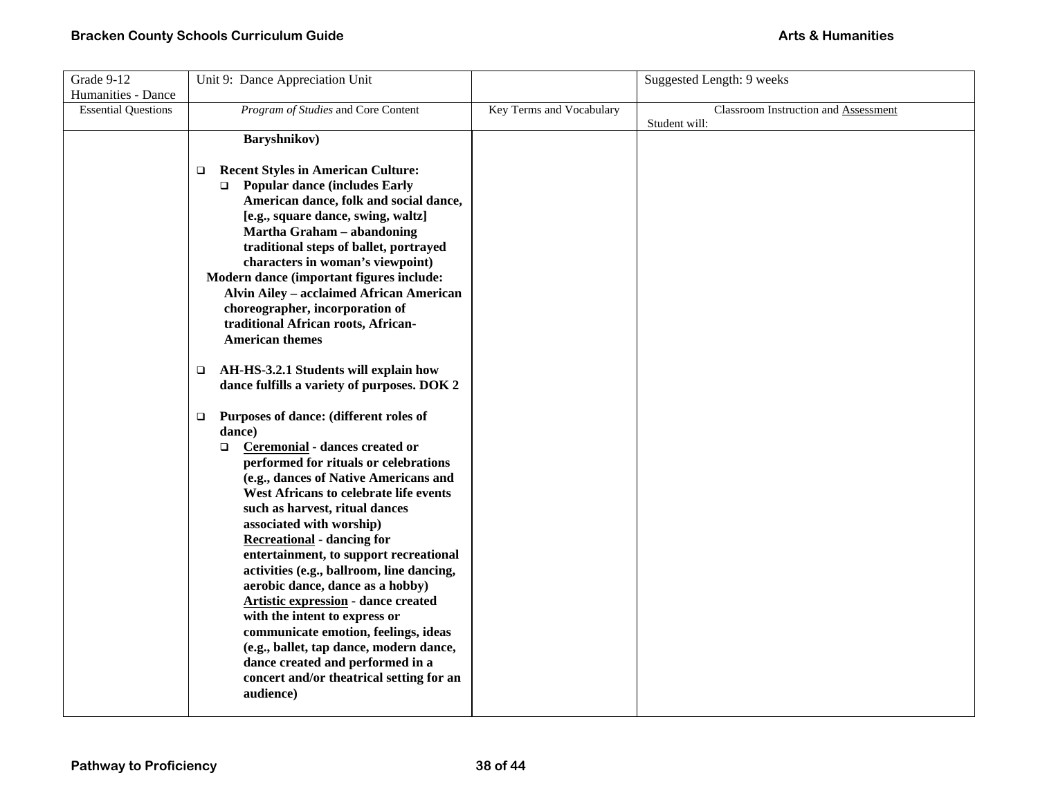| Grade 9-12                 | Unit 9: Dance Appreciation Unit                                        |                          | Suggested Length: 9 weeks            |
|----------------------------|------------------------------------------------------------------------|--------------------------|--------------------------------------|
| Humanities - Dance         |                                                                        |                          |                                      |
| <b>Essential Questions</b> | Program of Studies and Core Content                                    | Key Terms and Vocabulary | Classroom Instruction and Assessment |
|                            |                                                                        |                          | Student will:                        |
|                            | Baryshnikov)                                                           |                          |                                      |
|                            |                                                                        |                          |                                      |
|                            | <b>Recent Styles in American Culture:</b><br>$\Box$                    |                          |                                      |
|                            | <b>Popular dance (includes Early</b><br>$\Box$                         |                          |                                      |
|                            | American dance, folk and social dance,                                 |                          |                                      |
|                            | [e.g., square dance, swing, waltz]                                     |                          |                                      |
|                            | Martha Graham - abandoning                                             |                          |                                      |
|                            | traditional steps of ballet, portrayed                                 |                          |                                      |
|                            | characters in woman's viewpoint)                                       |                          |                                      |
|                            | Modern dance (important figures include:                               |                          |                                      |
|                            | <b>Alvin Ailey - acclaimed African American</b>                        |                          |                                      |
|                            | choreographer, incorporation of<br>traditional African roots, African- |                          |                                      |
|                            | <b>American themes</b>                                                 |                          |                                      |
|                            |                                                                        |                          |                                      |
|                            | AH-HS-3.2.1 Students will explain how<br>□                             |                          |                                      |
|                            | dance fulfills a variety of purposes. DOK 2                            |                          |                                      |
|                            |                                                                        |                          |                                      |
|                            | Purposes of dance: (different roles of<br>$\Box$                       |                          |                                      |
|                            | dance)                                                                 |                          |                                      |
|                            | Ceremonial - dances created or<br>$\Box$                               |                          |                                      |
|                            | performed for rituals or celebrations                                  |                          |                                      |
|                            | (e.g., dances of Native Americans and                                  |                          |                                      |
|                            | West Africans to celebrate life events                                 |                          |                                      |
|                            | such as harvest, ritual dances                                         |                          |                                      |
|                            | associated with worship)                                               |                          |                                      |
|                            | <b>Recreational</b> - dancing for                                      |                          |                                      |
|                            | entertainment, to support recreational                                 |                          |                                      |
|                            | activities (e.g., ballroom, line dancing,                              |                          |                                      |
|                            | aerobic dance, dance as a hobby)                                       |                          |                                      |
|                            | <b>Artistic expression</b> - dance created                             |                          |                                      |
|                            | with the intent to express or                                          |                          |                                      |
|                            | communicate emotion, feelings, ideas                                   |                          |                                      |
|                            | (e.g., ballet, tap dance, modern dance,                                |                          |                                      |
|                            | dance created and performed in a                                       |                          |                                      |
|                            | concert and/or theatrical setting for an                               |                          |                                      |
|                            | audience)                                                              |                          |                                      |
|                            |                                                                        |                          |                                      |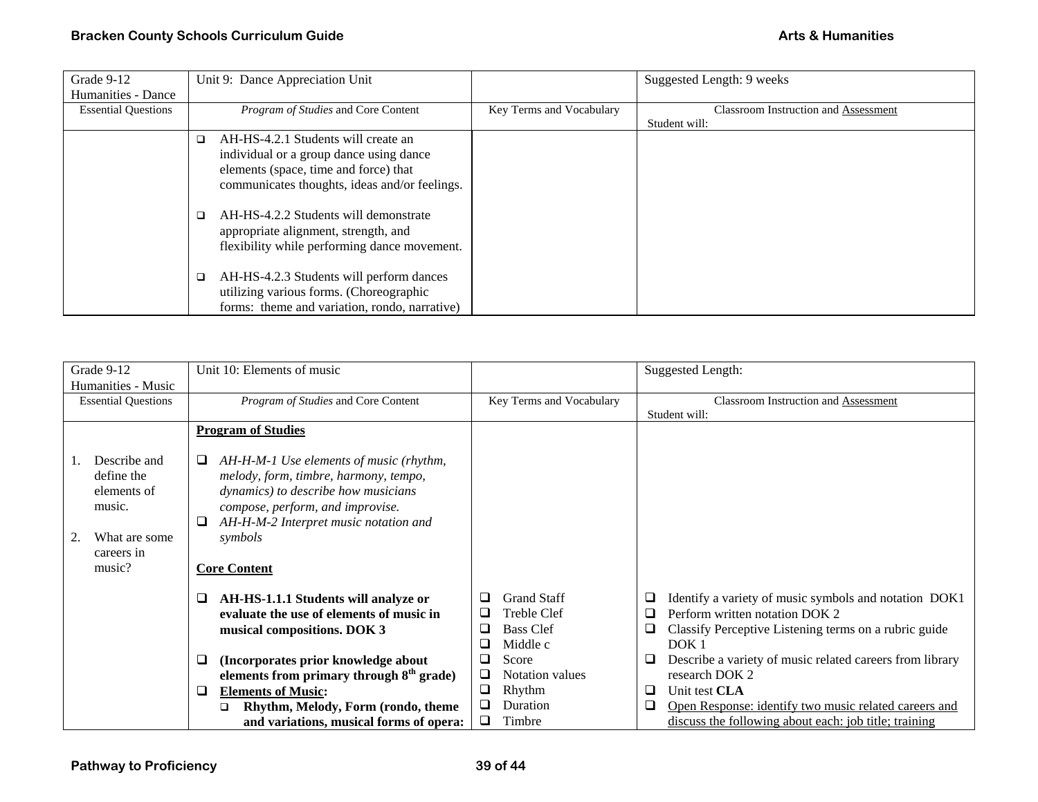| Grade 9-12                 | Unit 9: Dance Appreciation Unit                    |                          | Suggested Length: 9 weeks                   |
|----------------------------|----------------------------------------------------|--------------------------|---------------------------------------------|
| Humanities - Dance         |                                                    |                          |                                             |
| <b>Essential Questions</b> | Program of Studies and Core Content                | Key Terms and Vocabulary | <b>Classroom Instruction and Assessment</b> |
|                            |                                                    |                          | Student will:                               |
|                            | AH-HS-4.2.1 Students will create an<br>$\Box$      |                          |                                             |
|                            | individual or a group dance using dance            |                          |                                             |
|                            | elements (space, time and force) that              |                          |                                             |
|                            | communicates thoughts, ideas and/or feelings.      |                          |                                             |
|                            |                                                    |                          |                                             |
|                            | AH-HS-4.2.2 Students will demonstrate              |                          |                                             |
|                            | appropriate alignment, strength, and               |                          |                                             |
|                            | flexibility while performing dance movement.       |                          |                                             |
|                            |                                                    |                          |                                             |
|                            | AH-HS-4.2.3 Students will perform dances<br>$\Box$ |                          |                                             |
|                            | utilizing various forms. (Choreographic            |                          |                                             |
|                            | forms: theme and variation, rondo, narrative)      |                          |                                             |

| Grade 9-12                                                                         | Unit 10: Elements of music                                                                                                                                                                                                   |                                                                                              | <b>Suggested Length:</b>                                                                                                                                                            |
|------------------------------------------------------------------------------------|------------------------------------------------------------------------------------------------------------------------------------------------------------------------------------------------------------------------------|----------------------------------------------------------------------------------------------|-------------------------------------------------------------------------------------------------------------------------------------------------------------------------------------|
| Humanities - Music<br><b>Essential Questions</b>                                   | Program of Studies and Core Content                                                                                                                                                                                          | Key Terms and Vocabulary                                                                     | Classroom Instruction and Assessment<br>Student will:                                                                                                                               |
|                                                                                    | <b>Program of Studies</b>                                                                                                                                                                                                    |                                                                                              |                                                                                                                                                                                     |
| Describe and<br>define the<br>elements of<br>music.<br>What are some<br>careers in | AH-H-M-1 Use elements of music (rhythm,<br>u<br>melody, form, timbre, harmony, tempo,<br><i>dynamics</i> ) to describe how musicians<br>compose, perform, and improvise.<br>AH-H-M-2 Interpret music notation and<br>symbols |                                                                                              |                                                                                                                                                                                     |
| music?                                                                             | <b>Core Content</b>                                                                                                                                                                                                          |                                                                                              |                                                                                                                                                                                     |
|                                                                                    | AH-HS-1.1.1 Students will analyze or<br>⊔<br>evaluate the use of elements of music in<br>musical compositions. DOK 3                                                                                                         | <b>Grand Staff</b><br>⊔<br><b>Treble Clef</b><br>⊔<br><b>Bass Clef</b><br>❏<br>❏<br>Middle c | Identify a variety of music symbols and notation DOK1<br>⊔<br>Perform written notation DOK 2<br>❏<br>Classify Perceptive Listening terms on a rubric guide<br>⊔<br>DOK <sub>1</sub> |
|                                                                                    | (Incorporates prior knowledge about<br>⊔<br>elements from primary through $8th$ grade)                                                                                                                                       | Score<br>$\overline{\phantom{0}}$<br>❏<br>Notation values                                    | Describe a variety of music related careers from library<br>⊔<br>research DOK 2                                                                                                     |
|                                                                                    | <b>Elements of Music:</b><br>⊔<br>Rhythm, Melody, Form (rondo, theme<br>◻<br>and variations, musical forms of opera:                                                                                                         | ❏<br>Rhythm<br>Duration<br>⊔<br>Timbre<br>⊔                                                  | Unit test CLA<br>⊔<br>Open Response: identify two music related careers and<br>⊔<br>discuss the following about each: job title; training                                           |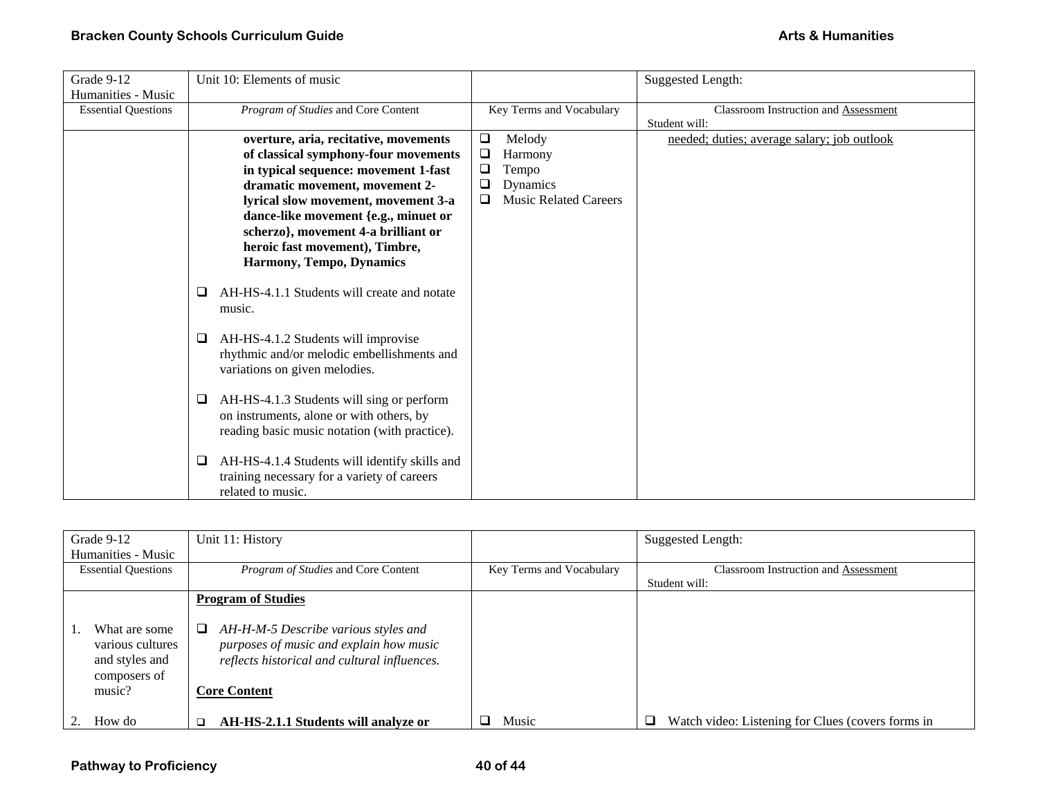| Grade 9-12                 | Unit 10: Elements of music                                                                                                             |                                   | <b>Suggested Length:</b>                    |
|----------------------------|----------------------------------------------------------------------------------------------------------------------------------------|-----------------------------------|---------------------------------------------|
| Humanities - Music         |                                                                                                                                        |                                   |                                             |
| <b>Essential Questions</b> | Program of Studies and Core Content                                                                                                    | Key Terms and Vocabulary          | <b>Classroom Instruction and Assessment</b> |
|                            |                                                                                                                                        |                                   | Student will:                               |
|                            | overture, aria, recitative, movements                                                                                                  | Melody<br>❏                       | needed; duties; average salary; job outlook |
|                            | of classical symphony-four movements                                                                                                   | $\Box$<br>Harmony                 |                                             |
|                            | in typical sequence: movement 1-fast                                                                                                   | $\Box$<br>Tempo                   |                                             |
|                            | dramatic movement, movement 2-                                                                                                         | ❏<br>Dynamics                     |                                             |
|                            | lyrical slow movement, movement 3-a                                                                                                    | <b>Music Related Careers</b><br>❏ |                                             |
|                            | dance-like movement {e.g., minuet or                                                                                                   |                                   |                                             |
|                            | scherzo}, movement 4-a brilliant or                                                                                                    |                                   |                                             |
|                            | heroic fast movement), Timbre,                                                                                                         |                                   |                                             |
|                            | Harmony, Tempo, Dynamics                                                                                                               |                                   |                                             |
|                            | AH-HS-4.1.1 Students will create and notate<br>□<br>music.                                                                             |                                   |                                             |
|                            | AH-HS-4.1.2 Students will improvise<br>□<br>rhythmic and/or melodic embellishments and<br>variations on given melodies.                |                                   |                                             |
|                            | AH-HS-4.1.3 Students will sing or perform<br>on instruments, alone or with others, by<br>reading basic music notation (with practice). |                                   |                                             |
|                            | AH-HS-4.1.4 Students will identify skills and<br>⊔<br>training necessary for a variety of careers                                      |                                   |                                             |
|                            | related to music.                                                                                                                      |                                   |                                             |

| Grade 9-12                                                                    | Unit 11: History                                                                                                                                            |                          | <b>Suggested Length:</b>                          |
|-------------------------------------------------------------------------------|-------------------------------------------------------------------------------------------------------------------------------------------------------------|--------------------------|---------------------------------------------------|
| Humanities - Music                                                            |                                                                                                                                                             |                          |                                                   |
| <b>Essential Questions</b>                                                    | Program of Studies and Core Content                                                                                                                         | Key Terms and Vocabulary | <b>Classroom Instruction and Assessment</b>       |
|                                                                               |                                                                                                                                                             |                          | Student will:                                     |
|                                                                               | <b>Program of Studies</b>                                                                                                                                   |                          |                                                   |
| What are some<br>various cultures<br>and styles and<br>composers of<br>music? | AH-H-M-5 Describe various styles and<br>❏<br>purposes of music and explain how music<br>reflects historical and cultural influences.<br><b>Core Content</b> |                          |                                                   |
| How do                                                                        | AH-HS-2.1.1 Students will analyze or                                                                                                                        | Music                    | Watch video: Listening for Clues (covers forms in |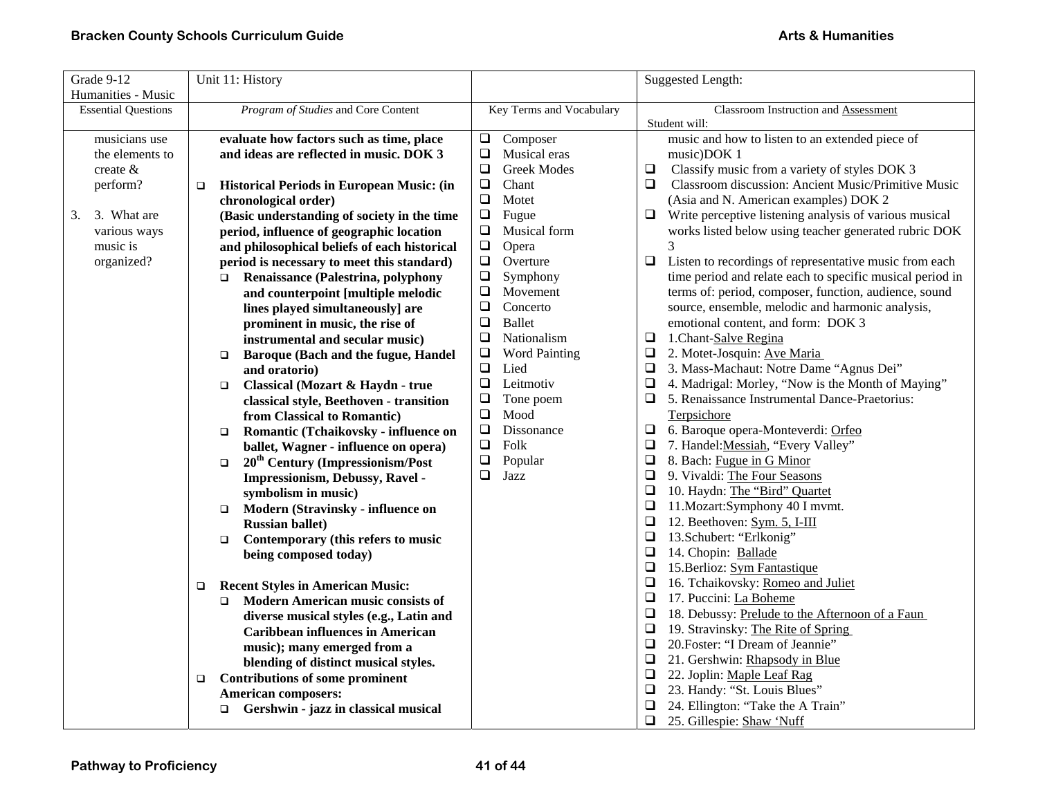| Grade 9-12                 | Unit 11: History                                           |                                | Suggested Length:                                                |
|----------------------------|------------------------------------------------------------|--------------------------------|------------------------------------------------------------------|
| Humanities - Music         |                                                            |                                |                                                                  |
| <b>Essential Questions</b> | Program of Studies and Core Content                        | Key Terms and Vocabulary       | Classroom Instruction and Assessment                             |
|                            |                                                            |                                | Student will:                                                    |
| musicians use              | evaluate how factors such as time, place                   | $\Box$<br>Composer             | music and how to listen to an extended piece of                  |
| the elements to            | and ideas are reflected in music. DOK 3                    | $\Box$<br>Musical eras         | music)DOK 1                                                      |
| create $\&$                |                                                            | $\Box$<br><b>Greek Modes</b>   | $\Box$<br>Classify music from a variety of styles DOK 3          |
| perform?                   | <b>Historical Periods in European Music: (in</b><br>$\Box$ | $\Box$<br>Chant                | Classroom discussion: Ancient Music/Primitive Music<br>$\Box$    |
|                            | chronological order)                                       | $\Box$<br>Motet                | (Asia and N. American examples) DOK 2                            |
| 3. What are<br>3.          | (Basic understanding of society in the time                | $\Box$<br>Fugue                | Write perceptive listening analysis of various musical<br>□      |
| various ways               | period, influence of geographic location                   | $\Box$<br>Musical form         | works listed below using teacher generated rubric DOK            |
| music is                   | and philosophical beliefs of each historical               | $\Box$<br>Opera                | 3                                                                |
| organized?                 | period is necessary to meet this standard)                 | $\Box$<br>Overture             | Listen to recordings of representative music from each<br>$\Box$ |
|                            | Renaissance (Palestrina, polyphony<br>$\Box$               | $\Box$<br>Symphony             | time period and relate each to specific musical period in        |
|                            | and counterpoint [multiple melodic                         | $\Box$<br>Movement             | terms of: period, composer, function, audience, sound            |
|                            | lines played simultaneously] are                           | $\Box$<br>Concerto             | source, ensemble, melodic and harmonic analysis,                 |
|                            | prominent in music, the rise of                            | $\Box$<br><b>Ballet</b>        | emotional content, and form: DOK 3                               |
|                            | instrumental and secular music)                            | $\Box$<br>Nationalism          | 1.Chant-Salve Regina<br>$\Box$                                   |
|                            | Baroque (Bach and the fugue, Handel<br>$\Box$              | $\Box$<br><b>Word Painting</b> | 2. Motet-Josquin: Ave Maria<br>□                                 |
|                            | and oratorio)                                              | $\Box$<br>Lied                 | 3. Mass-Machaut: Notre Dame "Agnus Dei"<br>$\Box$                |
|                            | Classical (Mozart & Haydn - true<br>$\Box$                 | $\Box$<br>Leitmotiv            | 4. Madrigal: Morley, "Now is the Month of Maying"<br>$\Box$      |
|                            | classical style, Beethoven - transition                    | $\Box$<br>Tone poem            | 5. Renaissance Instrumental Dance-Praetorius:<br>$\Box$          |
|                            | from Classical to Romantic)                                | $\Box$<br>Mood                 | Terpsichore                                                      |
|                            | Romantic (Tchaikovsky - influence on<br>$\Box$             | $\Box$<br>Dissonance           | 6. Baroque opera-Monteverdi: Orfeo<br>$\Box$                     |
|                            | ballet, Wagner - influence on opera)                       | $\Box$<br>Folk                 | $\Box$<br>7. Handel: Messiah, "Every Valley"                     |
|                            | 20 <sup>th</sup> Century (Impressionism/Post<br>$\Box$     | $\Box$<br>Popular              | $\Box$<br>8. Bach: Fugue in G Minor                              |
|                            | Impressionism, Debussy, Ravel -                            | $\Box$<br>Jazz                 | $\Box$<br>9. Vivaldi: The Four Seasons                           |
|                            | symbolism in music)                                        |                                | $\Box$<br>10. Haydn: The "Bird" Quartet                          |
|                            | Modern (Stravinsky - influence on<br>$\Box$                |                                | $\Box$<br>11. Mozart: Symphony 40 I mvmt.                        |
|                            | <b>Russian ballet)</b>                                     |                                | 12. Beethoven: Sym. 5, I-III<br>$\Box$                           |
|                            | Contemporary (this refers to music<br>$\Box$               |                                | 13.Schubert: "Erlkonig"<br>$\Box$                                |
|                            | being composed today)                                      |                                | $\Box$<br>14. Chopin: Ballade                                    |
|                            |                                                            |                                | $\Box$<br>15. Berlioz: Sym Fantastique                           |
|                            | <b>Recent Styles in American Music:</b><br>□               |                                | 16. Tchaikovsky: Romeo and Juliet<br>$\Box$                      |
|                            | <b>Modern American music consists of</b><br>$\Box$         |                                | 17. Puccini: La Boheme<br>$\Box$                                 |
|                            | diverse musical styles (e.g., Latin and                    |                                | 18. Debussy: Prelude to the Afternoon of a Faun<br>$\Box$        |
|                            | <b>Caribbean influences in American</b>                    |                                | $\Box$<br>19. Stravinsky: The Rite of Spring                     |
|                            | music); many emerged from a                                |                                | 20. Foster: "I Dream of Jeannie"<br>$\Box$                       |
|                            | blending of distinct musical styles.                       |                                | 21. Gershwin: Rhapsody in Blue<br>$\Box$                         |
|                            | <b>Contributions of some prominent</b><br>$\Box$           |                                | $\Box$<br>22. Joplin: Maple Leaf Rag                             |
|                            | <b>American composers:</b>                                 |                                | 23. Handy: "St. Louis Blues"<br>$\Box$                           |
|                            | Gershwin - jazz in classical musical<br>$\Box$             |                                | 24. Ellington: "Take the A Train"                                |
|                            |                                                            |                                | 25. Gillespie: Shaw 'Nuff<br>$\Box$                              |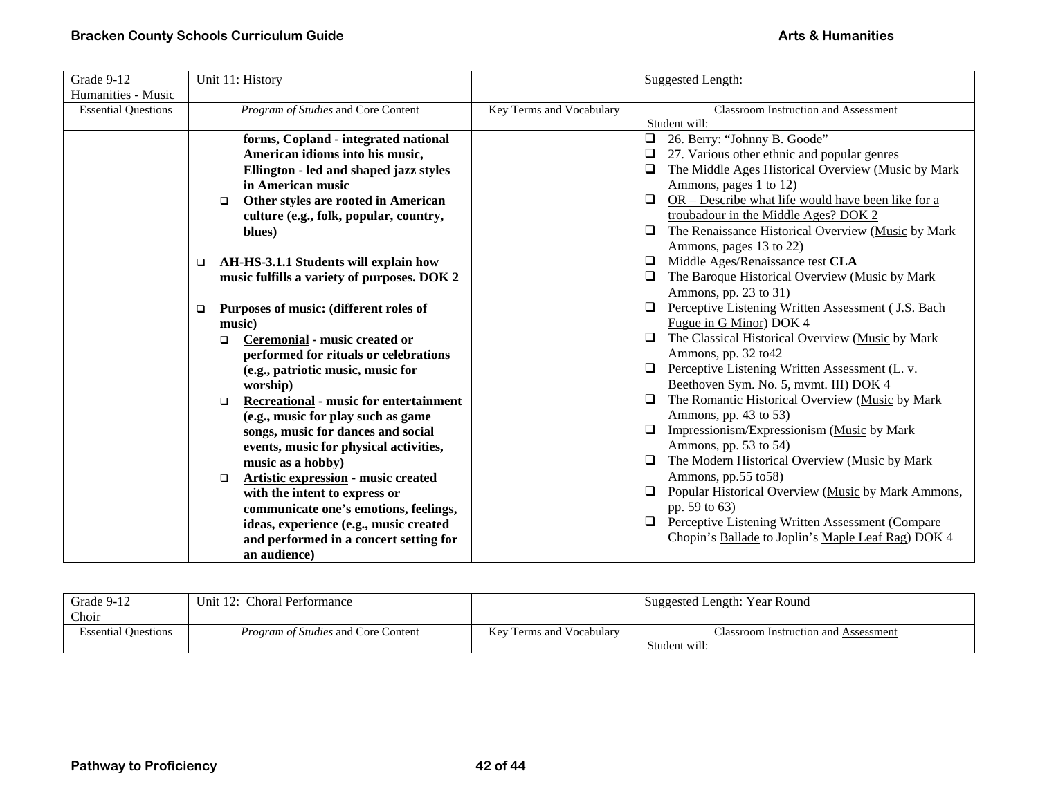## **Bracken County Schools Curriculum Guide** <br> **Bracken County Schools Curriculum Guide Arts & Humanities Arts & Humanities**

| Grade 9-12                 | Unit 11: History                                        |                          | <b>Suggested Length:</b>                                     |
|----------------------------|---------------------------------------------------------|--------------------------|--------------------------------------------------------------|
| Humanities - Music         |                                                         |                          |                                                              |
| <b>Essential Questions</b> | Program of Studies and Core Content                     | Key Terms and Vocabulary | Classroom Instruction and Assessment                         |
|                            |                                                         |                          | Student will:                                                |
|                            | forms, Copland - integrated national                    |                          | 26. Berry: "Johnny B. Goode"<br>$\Box$                       |
|                            | American idioms into his music,                         |                          | 27. Various other ethnic and popular genres                  |
|                            | Ellington - led and shaped jazz styles                  |                          | The Middle Ages Historical Overview (Music by Mark<br>$\Box$ |
|                            | in American music                                       |                          | Ammons, pages 1 to 12)                                       |
|                            | Other styles are rooted in American<br>$\Box$           |                          | OR - Describe what life would have been like for a<br>$\Box$ |
|                            | culture (e.g., folk, popular, country,                  |                          | troubadour in the Middle Ages? DOK 2                         |
|                            | blues)                                                  |                          | The Renaissance Historical Overview (Music by Mark<br>$\Box$ |
|                            |                                                         |                          | Ammons, pages 13 to 22)                                      |
|                            | AH-HS-3.1.1 Students will explain how<br>$\Box$         |                          | Middle Ages/Renaissance test CLA<br>0                        |
|                            | music fulfills a variety of purposes. DOK 2             |                          | The Baroque Historical Overview (Music by Mark<br>$\Box$     |
|                            |                                                         |                          | Ammons, pp. 23 to 31)                                        |
|                            | Purposes of music: (different roles of<br>$\Box$        |                          | Perceptive Listening Written Assessment (J.S. Bach<br>u.     |
|                            | music)                                                  |                          | Fugue in G Minor) DOK 4                                      |
|                            | Ceremonial - music created or<br>$\Box$                 |                          | The Classical Historical Overview (Music by Mark<br>$\Box$   |
|                            | performed for rituals or celebrations                   |                          | Ammons, pp. 32 to 42                                         |
|                            | (e.g., patriotic music, music for                       |                          | Perceptive Listening Written Assessment (L. v.<br>$\Box$     |
|                            | worship)                                                |                          | Beethoven Sym. No. 5, mvmt. III) DOK 4                       |
|                            | <b>Recreational - music for entertainment</b><br>$\Box$ |                          | The Romantic Historical Overview (Music by Mark<br>□         |
|                            | (e.g., music for play such as game                      |                          | Ammons, pp. 43 to 53)                                        |
|                            | songs, music for dances and social                      |                          | Impressionism/Expressionism (Music by Mark<br>$\Box$         |
|                            | events, music for physical activities,                  |                          | Ammons, pp. 53 to 54)                                        |
|                            | music as a hobby)                                       |                          | The Modern Historical Overview (Music by Mark<br>$\Box$      |
|                            | Artistic expression - music created<br>$\Box$           |                          | Ammons, pp.55 to58)                                          |
|                            | with the intent to express or                           |                          | Popular Historical Overview (Music by Mark Ammons,           |
|                            | communicate one's emotions, feelings,                   |                          | pp. 59 to 63)                                                |
|                            | ideas, experience (e.g., music created                  |                          | Perceptive Listening Written Assessment (Compare<br>$\Box$   |
|                            | and performed in a concert setting for                  |                          | Chopin's Ballade to Joplin's Maple Leaf Rag) DOK 4           |
|                            | an audience)                                            |                          |                                                              |

| Grade 9-12                 | Unit 12: Choral Performance                |                          | Suggested Length: Year Round         |
|----------------------------|--------------------------------------------|--------------------------|--------------------------------------|
| Choir                      |                                            |                          |                                      |
| <b>Essential Questions</b> | <i>Program of Studies</i> and Core Content | Key Terms and Vocabulary | Classroom Instruction and Assessment |
|                            |                                            |                          | Student will:                        |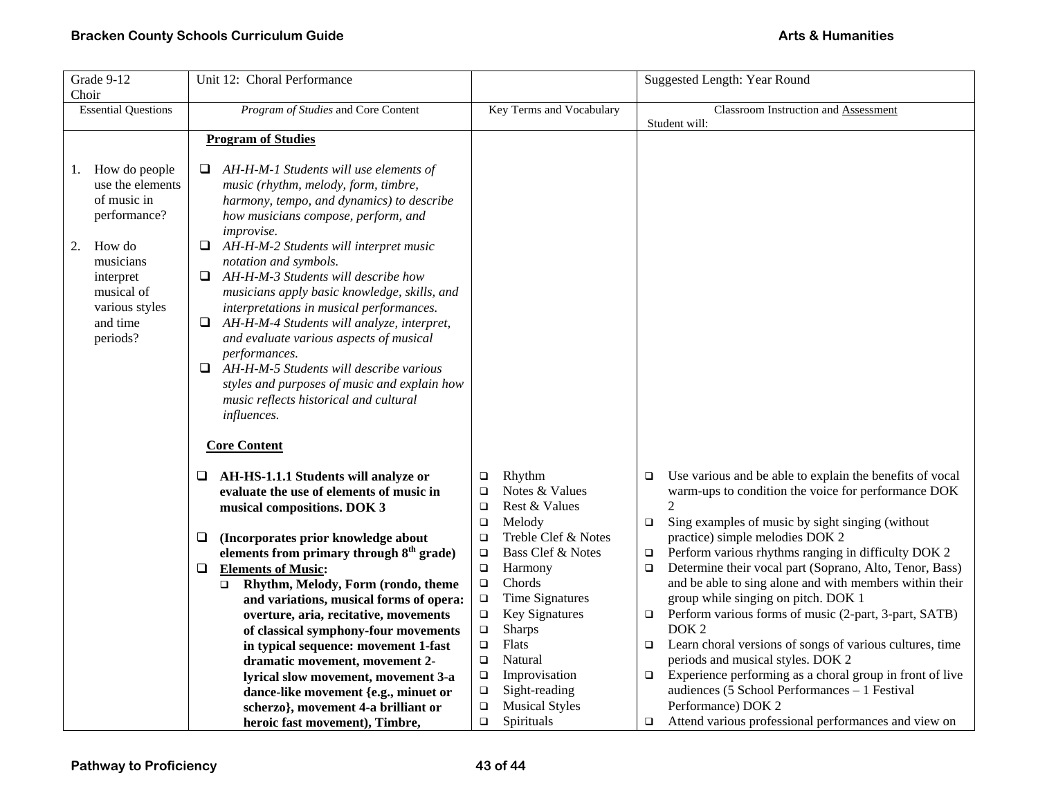| Grade 9-12                                                                                                                                                               | Unit 12: Choral Performance                                                                                                                                                                                                                                                                                                                                                                                                                                                                                                                                                                                                                                                            |                                                                                                                              | Suggested Length: Year Round                                                                                                                                                                                               |
|--------------------------------------------------------------------------------------------------------------------------------------------------------------------------|----------------------------------------------------------------------------------------------------------------------------------------------------------------------------------------------------------------------------------------------------------------------------------------------------------------------------------------------------------------------------------------------------------------------------------------------------------------------------------------------------------------------------------------------------------------------------------------------------------------------------------------------------------------------------------------|------------------------------------------------------------------------------------------------------------------------------|----------------------------------------------------------------------------------------------------------------------------------------------------------------------------------------------------------------------------|
| Choir                                                                                                                                                                    |                                                                                                                                                                                                                                                                                                                                                                                                                                                                                                                                                                                                                                                                                        |                                                                                                                              |                                                                                                                                                                                                                            |
| <b>Essential Questions</b>                                                                                                                                               | Program of Studies and Core Content                                                                                                                                                                                                                                                                                                                                                                                                                                                                                                                                                                                                                                                    | Key Terms and Vocabulary                                                                                                     | Classroom Instruction and Assessment                                                                                                                                                                                       |
|                                                                                                                                                                          |                                                                                                                                                                                                                                                                                                                                                                                                                                                                                                                                                                                                                                                                                        |                                                                                                                              | Student will:                                                                                                                                                                                                              |
|                                                                                                                                                                          | <b>Program of Studies</b>                                                                                                                                                                                                                                                                                                                                                                                                                                                                                                                                                                                                                                                              |                                                                                                                              |                                                                                                                                                                                                                            |
| How do people<br>1.<br>use the elements<br>of music in<br>performance?<br>How do<br>2.<br>musicians<br>interpret<br>musical of<br>various styles<br>and time<br>periods? | AH-H-M-1 Students will use elements of<br>⊔<br>music (rhythm, melody, form, timbre,<br>harmony, tempo, and dynamics) to describe<br>how musicians compose, perform, and<br>improvise.<br>AH-H-M-2 Students will interpret music<br>❏<br>notation and symbols.<br>$\Box$ AH-H-M-3 Students will describe how<br>musicians apply basic knowledge, skills, and<br>interpretations in musical performances.<br>$\Box$ AH-H-M-4 Students will analyze, interpret,<br>and evaluate various aspects of musical<br>performances.<br>AH-H-M-5 Students will describe various<br>$\Box$<br>styles and purposes of music and explain how<br>music reflects historical and cultural<br>influences. |                                                                                                                              |                                                                                                                                                                                                                            |
|                                                                                                                                                                          | <b>Core Content</b>                                                                                                                                                                                                                                                                                                                                                                                                                                                                                                                                                                                                                                                                    |                                                                                                                              |                                                                                                                                                                                                                            |
|                                                                                                                                                                          | $\Box$ AH-HS-1.1.1 Students will analyze or<br>evaluate the use of elements of music in<br>musical compositions. DOK 3<br>(Incorporates prior knowledge about<br>⊔                                                                                                                                                                                                                                                                                                                                                                                                                                                                                                                     | Rhythm<br>$\Box$<br>Notes & Values<br>$\Box$<br>Rest & Values<br>$\Box$<br>$\Box$<br>Melody<br>Treble Clef & Notes<br>$\Box$ | Use various and be able to explain the benefits of vocal<br>$\Box$<br>warm-ups to condition the voice for performance DOK<br>Sing examples of music by sight singing (without<br>$\Box$<br>practice) simple melodies DOK 2 |
|                                                                                                                                                                          | elements from primary through 8 <sup>th</sup> grade)                                                                                                                                                                                                                                                                                                                                                                                                                                                                                                                                                                                                                                   | Bass Clef & Notes<br>$\Box$                                                                                                  | Perform various rhythms ranging in difficulty DOK 2<br>$\Box$                                                                                                                                                              |
|                                                                                                                                                                          | <b>Elements of Music:</b><br>❏                                                                                                                                                                                                                                                                                                                                                                                                                                                                                                                                                                                                                                                         | $\Box$<br>Harmony                                                                                                            | Determine their vocal part (Soprano, Alto, Tenor, Bass)<br>$\Box$                                                                                                                                                          |
|                                                                                                                                                                          | Rhythm, Melody, Form (rondo, theme<br>$\Box$                                                                                                                                                                                                                                                                                                                                                                                                                                                                                                                                                                                                                                           | Chords<br>$\Box$                                                                                                             | and be able to sing alone and with members within their                                                                                                                                                                    |
|                                                                                                                                                                          | and variations, musical forms of opera:                                                                                                                                                                                                                                                                                                                                                                                                                                                                                                                                                                                                                                                | Time Signatures<br>$\Box$                                                                                                    | group while singing on pitch. DOK 1                                                                                                                                                                                        |
|                                                                                                                                                                          | overture, aria, recitative, movements                                                                                                                                                                                                                                                                                                                                                                                                                                                                                                                                                                                                                                                  | <b>Key Signatures</b><br>$\Box$                                                                                              | Perform various forms of music (2-part, 3-part, SATB)<br>$\Box$                                                                                                                                                            |
|                                                                                                                                                                          | of classical symphony-four movements                                                                                                                                                                                                                                                                                                                                                                                                                                                                                                                                                                                                                                                   | <b>Sharps</b><br>$\Box$                                                                                                      | DOK <sub>2</sub>                                                                                                                                                                                                           |
|                                                                                                                                                                          | in typical sequence: movement 1-fast                                                                                                                                                                                                                                                                                                                                                                                                                                                                                                                                                                                                                                                   | <b>Flats</b><br>$\Box$                                                                                                       | Learn choral versions of songs of various cultures, time<br>O.                                                                                                                                                             |
|                                                                                                                                                                          | dramatic movement, movement 2-                                                                                                                                                                                                                                                                                                                                                                                                                                                                                                                                                                                                                                                         | $\Box$<br>Natural                                                                                                            | periods and musical styles. DOK 2                                                                                                                                                                                          |
|                                                                                                                                                                          | lyrical slow movement, movement 3-a                                                                                                                                                                                                                                                                                                                                                                                                                                                                                                                                                                                                                                                    | Improvisation<br>$\Box$                                                                                                      | Experience performing as a choral group in front of live<br>$\Box$                                                                                                                                                         |
|                                                                                                                                                                          | dance-like movement {e.g., minuet or                                                                                                                                                                                                                                                                                                                                                                                                                                                                                                                                                                                                                                                   | Sight-reading<br>$\Box$                                                                                                      | audiences (5 School Performances - 1 Festival                                                                                                                                                                              |
|                                                                                                                                                                          | scherzo}, movement 4-a brilliant or                                                                                                                                                                                                                                                                                                                                                                                                                                                                                                                                                                                                                                                    | <b>Musical Styles</b><br>$\Box$                                                                                              | Performance) DOK 2                                                                                                                                                                                                         |
|                                                                                                                                                                          | heroic fast movement), Timbre,                                                                                                                                                                                                                                                                                                                                                                                                                                                                                                                                                                                                                                                         | $\Box$<br>Spirituals                                                                                                         | Attend various professional performances and view on<br>$\Box$                                                                                                                                                             |